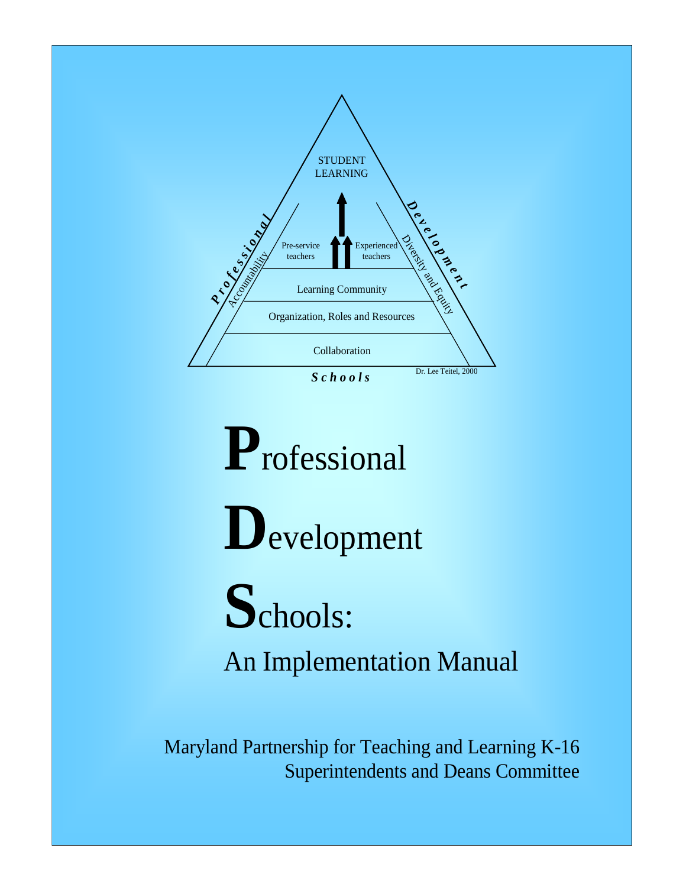

**P**rofessional **D**evelopment **S**chools: An Implementation Manual

Maryland Partnership for Teaching and Learning K-16 Superintendents and Deans Committee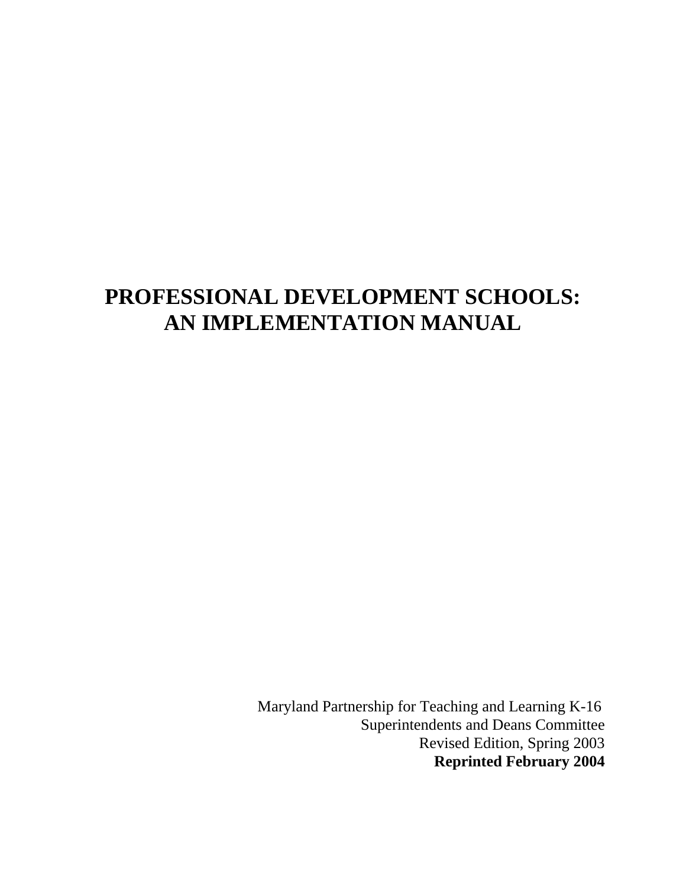# **PROFESSIONAL DEVELOPMENT SCHOOLS: AN IMPLEMENTATION MANUAL**

 Maryland Partnership for Teaching and Learning K-16 Superintendents and Deans Committee Revised Edition, Spring 2003 **Reprinted February 2004**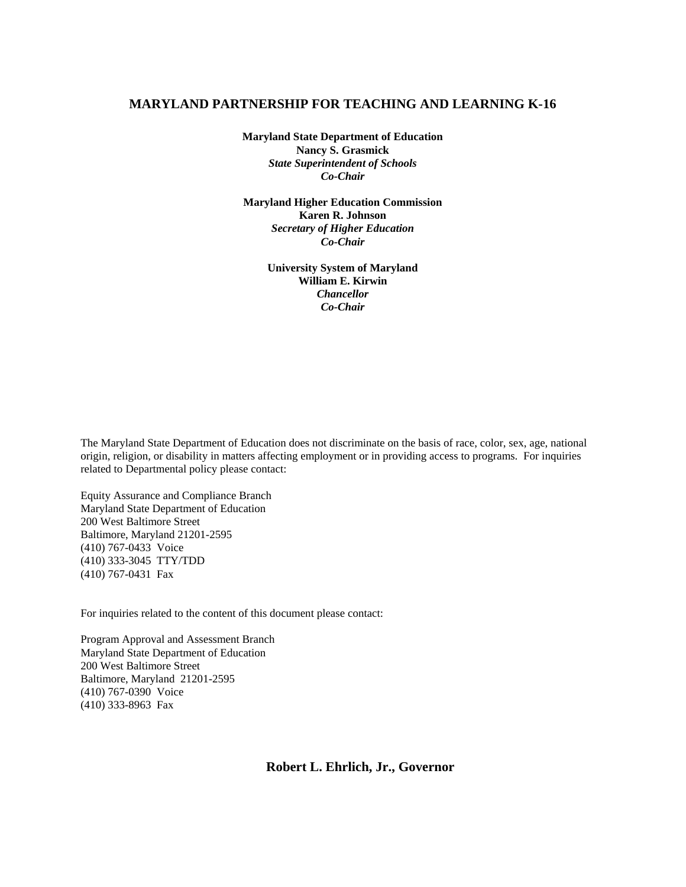#### **MARYLAND PARTNERSHIP FOR TEACHING AND LEARNING K-16**

**Maryland State Department of Education Nancy S. Grasmick**  *State Superintendent of Schools Co-Chair* 

**Maryland Higher Education Commission Karen R. Johnson**  *Secretary of Higher Education Co-Chair*

> **University System of Maryland William E. Kirwin**  *Chancellor Co-Chair*

The Maryland State Department of Education does not discriminate on the basis of race, color, sex, age, national origin, religion, or disability in matters affecting employment or in providing access to programs. For inquiries related to Departmental policy please contact:

Equity Assurance and Compliance Branch Maryland State Department of Education 200 West Baltimore Street Baltimore, Maryland 21201-2595 (410) 767-0433 Voice (410) 333-3045 TTY/TDD (410) 767-0431 Fax

For inquiries related to the content of this document please contact:

Program Approval and Assessment Branch Maryland State Department of Education 200 West Baltimore Street Baltimore, Maryland 21201-2595 (410) 767-0390 Voice (410) 333-8963 Fax

**Robert L. Ehrlich, Jr., Governor**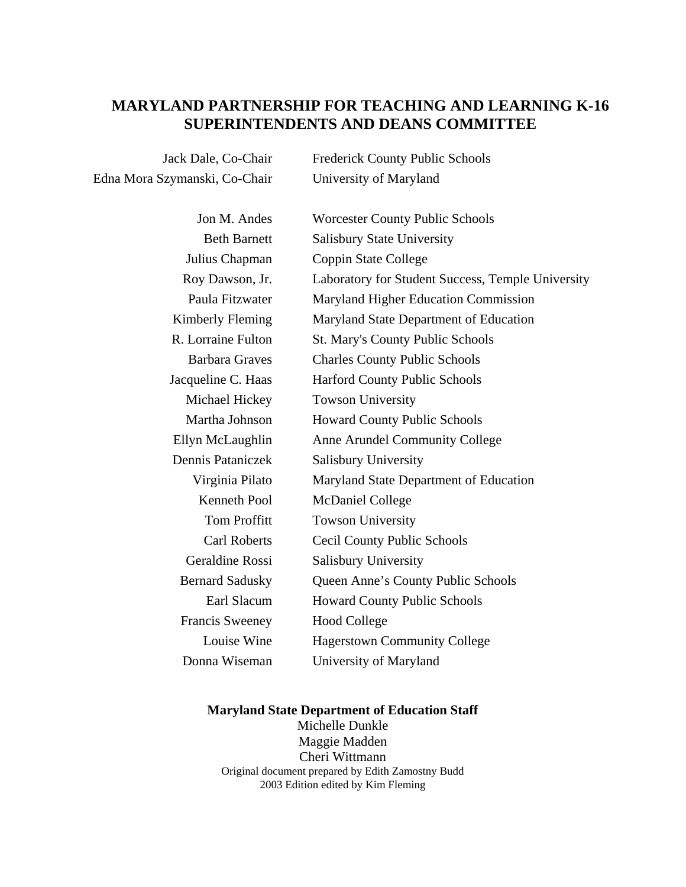# **MARYLAND PARTNERSHIP FOR TEACHING AND LEARNING K-16 SUPERINTENDENTS AND DEANS COMMITTEE**

Edna Mora Szymanski, Co-Chair University of Maryland

Jack Dale, Co-Chair Frederick County Public Schools

| <b>Worcester County Public Schools</b>            |
|---------------------------------------------------|
| <b>Salisbury State University</b>                 |
| Coppin State College                              |
| Laboratory for Student Success, Temple University |
| Maryland Higher Education Commission              |
| Maryland State Department of Education            |
| <b>St. Mary's County Public Schools</b>           |
| <b>Charles County Public Schools</b>              |
| <b>Harford County Public Schools</b>              |
| <b>Towson University</b>                          |
| <b>Howard County Public Schools</b>               |
| Anne Arundel Community College                    |
| <b>Salisbury University</b>                       |
| Maryland State Department of Education            |
| <b>McDaniel College</b>                           |
| <b>Towson University</b>                          |
| Cecil County Public Schools                       |
| Salisbury University                              |
| Queen Anne's County Public Schools                |
| <b>Howard County Public Schools</b>               |
| <b>Hood College</b>                               |
| <b>Hagerstown Community College</b>               |
| University of Maryland                            |
|                                                   |

## **Maryland State Department of Education Staff**

Michelle Dunkle Maggie Madden Cheri Wittmann Original document prepared by Edith Zamostny Budd 2003 Edition edited by Kim Fleming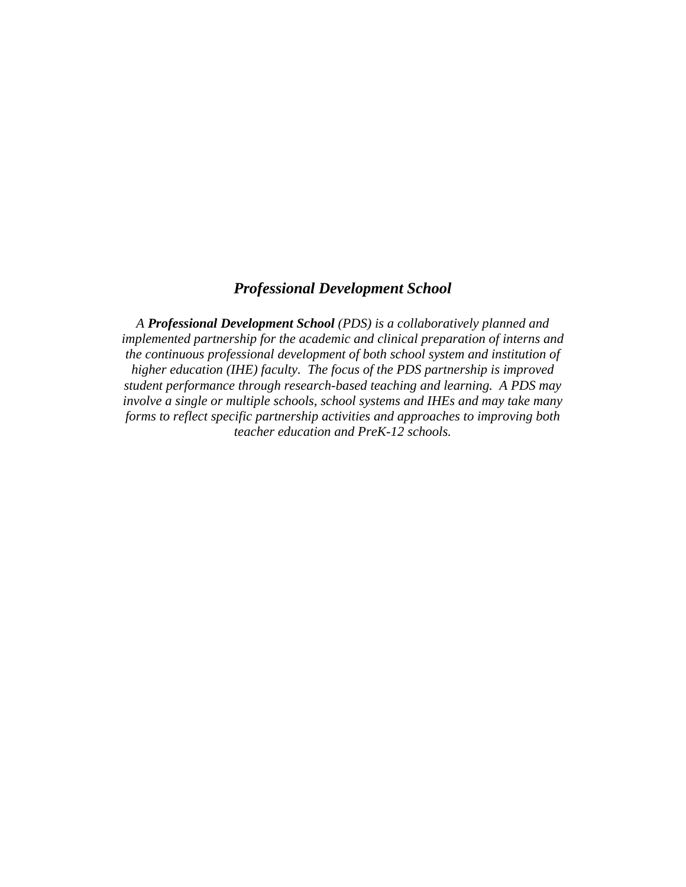# *Professional Development School*

*A Professional Development School (PDS) is a collaboratively planned and implemented partnership for the academic and clinical preparation of interns and the continuous professional development of both school system and institution of higher education (IHE) faculty. The focus of the PDS partnership is improved student performance through research-based teaching and learning. A PDS may involve a single or multiple schools, school systems and IHEs and may take many forms to reflect specific partnership activities and approaches to improving both teacher education and PreK-12 schools.*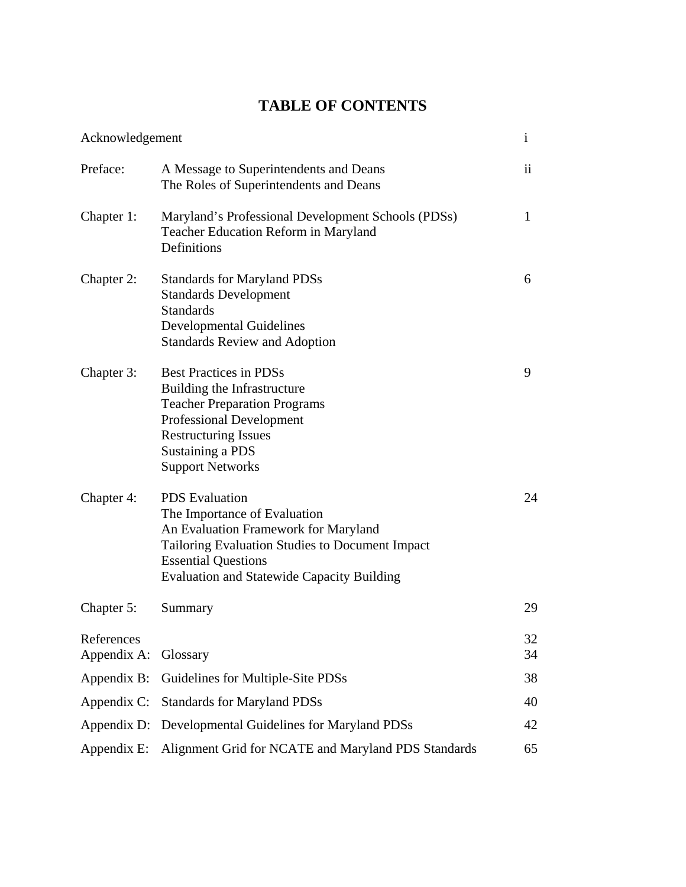# **TABLE OF CONTENTS**

| Acknowledgement           |                                                                                                                                                                                                                                            | $\mathbf{i}$ |
|---------------------------|--------------------------------------------------------------------------------------------------------------------------------------------------------------------------------------------------------------------------------------------|--------------|
| Preface:                  | A Message to Superintendents and Deans<br>The Roles of Superintendents and Deans                                                                                                                                                           | ii           |
| Chapter 1:                | Maryland's Professional Development Schools (PDSs)<br>Teacher Education Reform in Maryland<br>Definitions                                                                                                                                  | 1            |
| Chapter 2:                | <b>Standards for Maryland PDSs</b><br><b>Standards Development</b><br><b>Standards</b><br><b>Developmental Guidelines</b><br><b>Standards Review and Adoption</b>                                                                          | 6            |
| Chapter 3:                | <b>Best Practices in PDSs</b><br>Building the Infrastructure<br><b>Teacher Preparation Programs</b><br><b>Professional Development</b><br><b>Restructuring Issues</b><br>Sustaining a PDS<br><b>Support Networks</b>                       | 9            |
| Chapter 4:                | <b>PDS</b> Evaluation<br>The Importance of Evaluation<br>An Evaluation Framework for Maryland<br><b>Tailoring Evaluation Studies to Document Impact</b><br><b>Essential Questions</b><br><b>Evaluation and Statewide Capacity Building</b> | 24           |
| Chapter 5:                | Summary                                                                                                                                                                                                                                    | 29           |
| References<br>Appendix A: | Glossary                                                                                                                                                                                                                                   | 32<br>34     |
| Appendix B:               | Guidelines for Multiple-Site PDSs                                                                                                                                                                                                          | 38           |
| Appendix C:               | <b>Standards for Maryland PDSs</b>                                                                                                                                                                                                         | 40           |
| Appendix D:               | Developmental Guidelines for Maryland PDSs                                                                                                                                                                                                 | 42           |
| Appendix E:               | Alignment Grid for NCATE and Maryland PDS Standards                                                                                                                                                                                        | 65           |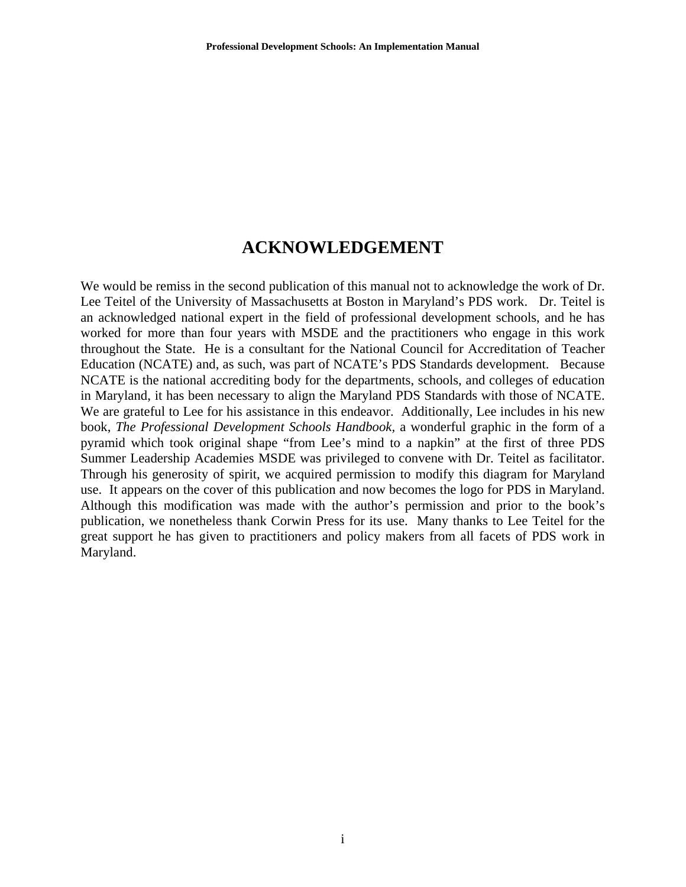# **ACKNOWLEDGEMENT**

We would be remiss in the second publication of this manual not to acknowledge the work of Dr. Lee Teitel of the University of Massachusetts at Boston in Maryland's PDS work. Dr. Teitel is an acknowledged national expert in the field of professional development schools, and he has worked for more than four years with MSDE and the practitioners who engage in this work throughout the State. He is a consultant for the National Council for Accreditation of Teacher Education (NCATE) and, as such, was part of NCATE's PDS Standards development. Because NCATE is the national accrediting body for the departments, schools, and colleges of education in Maryland, it has been necessary to align the Maryland PDS Standards with those of NCATE. We are grateful to Lee for his assistance in this endeavor. Additionally, Lee includes in his new book, *The Professional Development Schools Handbook,* a wonderful graphic in the form of a pyramid which took original shape "from Lee's mind to a napkin" at the first of three PDS Summer Leadership Academies MSDE was privileged to convene with Dr. Teitel as facilitator. Through his generosity of spirit, we acquired permission to modify this diagram for Maryland use. It appears on the cover of this publication and now becomes the logo for PDS in Maryland. Although this modification was made with the author's permission and prior to the book's publication, we nonetheless thank Corwin Press for its use. Many thanks to Lee Teitel for the great support he has given to practitioners and policy makers from all facets of PDS work in Maryland.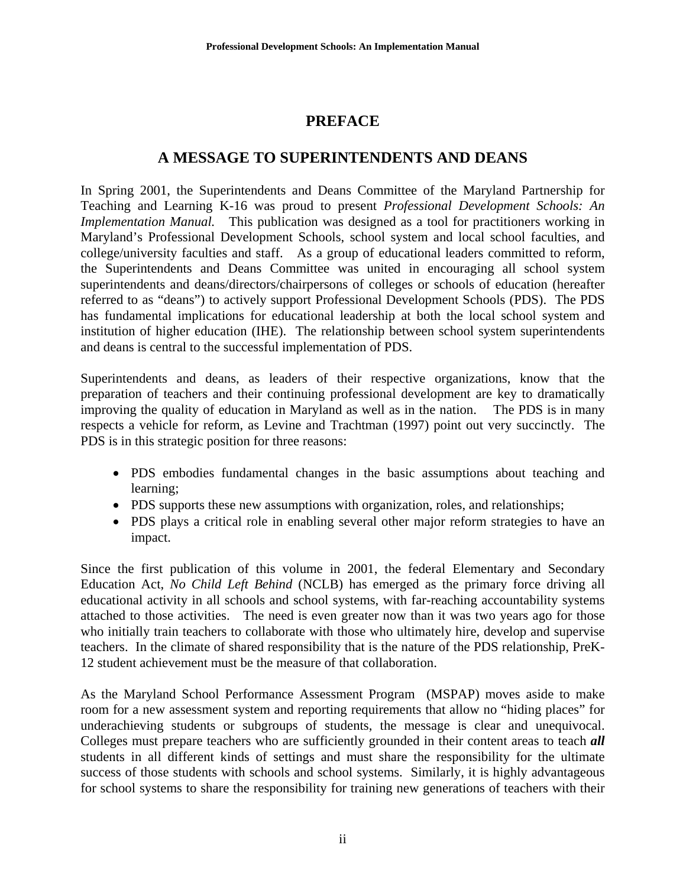# **PREFACE**

# **A MESSAGE TO SUPERINTENDENTS AND DEANS**

In Spring 2001, the Superintendents and Deans Committee of the Maryland Partnership for Teaching and Learning K-16 was proud to present *Professional Development Schools: An Implementation Manual.* This publication was designed as a tool for practitioners working in Maryland's Professional Development Schools, school system and local school faculties, and college/university faculties and staff. As a group of educational leaders committed to reform, the Superintendents and Deans Committee was united in encouraging all school system superintendents and deans/directors/chairpersons of colleges or schools of education (hereafter referred to as "deans") to actively support Professional Development Schools (PDS). The PDS has fundamental implications for educational leadership at both the local school system and institution of higher education (IHE). The relationship between school system superintendents and deans is central to the successful implementation of PDS.

Superintendents and deans, as leaders of their respective organizations, know that the preparation of teachers and their continuing professional development are key to dramatically improving the quality of education in Maryland as well as in the nation. The PDS is in many respects a vehicle for reform, as Levine and Trachtman (1997) point out very succinctly. The PDS is in this strategic position for three reasons:

- PDS embodies fundamental changes in the basic assumptions about teaching and learning;
- PDS supports these new assumptions with organization, roles, and relationships;
- PDS plays a critical role in enabling several other major reform strategies to have an impact.

Since the first publication of this volume in 2001, the federal Elementary and Secondary Education Act, *No Child Left Behind* (NCLB) has emerged as the primary force driving all educational activity in all schools and school systems, with far-reaching accountability systems attached to those activities. The need is even greater now than it was two years ago for those who initially train teachers to collaborate with those who ultimately hire, develop and supervise teachers. In the climate of shared responsibility that is the nature of the PDS relationship, PreK-12 student achievement must be the measure of that collaboration.

As the Maryland School Performance Assessment Program (MSPAP) moves aside to make room for a new assessment system and reporting requirements that allow no "hiding places" for underachieving students or subgroups of students, the message is clear and unequivocal. Colleges must prepare teachers who are sufficiently grounded in their content areas to teach *all* students in all different kinds of settings and must share the responsibility for the ultimate success of those students with schools and school systems. Similarly, it is highly advantageous for school systems to share the responsibility for training new generations of teachers with their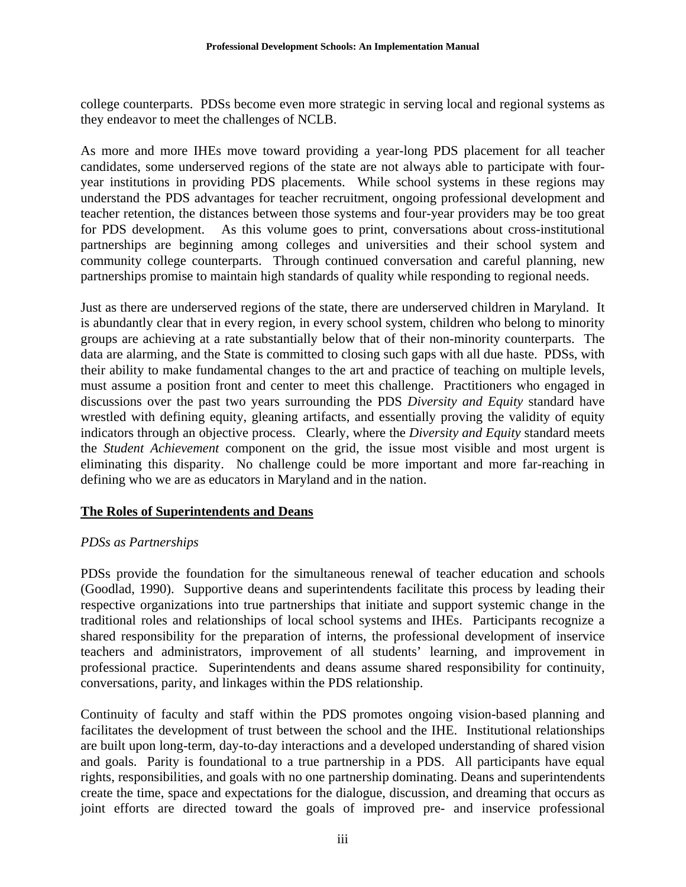college counterparts. PDSs become even more strategic in serving local and regional systems as they endeavor to meet the challenges of NCLB.

As more and more IHEs move toward providing a year-long PDS placement for all teacher candidates, some underserved regions of the state are not always able to participate with fouryear institutions in providing PDS placements. While school systems in these regions may understand the PDS advantages for teacher recruitment, ongoing professional development and teacher retention, the distances between those systems and four-year providers may be too great for PDS development. As this volume goes to print, conversations about cross-institutional partnerships are beginning among colleges and universities and their school system and community college counterparts. Through continued conversation and careful planning, new partnerships promise to maintain high standards of quality while responding to regional needs.

Just as there are underserved regions of the state, there are underserved children in Maryland. It is abundantly clear that in every region, in every school system, children who belong to minority groups are achieving at a rate substantially below that of their non-minority counterparts. The data are alarming, and the State is committed to closing such gaps with all due haste. PDSs, with their ability to make fundamental changes to the art and practice of teaching on multiple levels, must assume a position front and center to meet this challenge. Practitioners who engaged in discussions over the past two years surrounding the PDS *Diversity and Equity* standard have wrestled with defining equity, gleaning artifacts, and essentially proving the validity of equity indicators through an objective process. Clearly, where the *Diversity and Equity* standard meets the *Student Achievement* component on the grid, the issue most visible and most urgent is eliminating this disparity. No challenge could be more important and more far-reaching in defining who we are as educators in Maryland and in the nation.

# **The Roles of Superintendents and Deans**

## *PDSs as Partnerships*

PDSs provide the foundation for the simultaneous renewal of teacher education and schools (Goodlad, 1990). Supportive deans and superintendents facilitate this process by leading their respective organizations into true partnerships that initiate and support systemic change in the traditional roles and relationships of local school systems and IHEs. Participants recognize a shared responsibility for the preparation of interns, the professional development of inservice teachers and administrators, improvement of all students' learning, and improvement in professional practice. Superintendents and deans assume shared responsibility for continuity, conversations, parity, and linkages within the PDS relationship.

Continuity of faculty and staff within the PDS promotes ongoing vision-based planning and facilitates the development of trust between the school and the IHE. Institutional relationships are built upon long-term, day-to-day interactions and a developed understanding of shared vision and goals. Parity is foundational to a true partnership in a PDS. All participants have equal rights, responsibilities, and goals with no one partnership dominating. Deans and superintendents create the time, space and expectations for the dialogue, discussion, and dreaming that occurs as joint efforts are directed toward the goals of improved pre- and inservice professional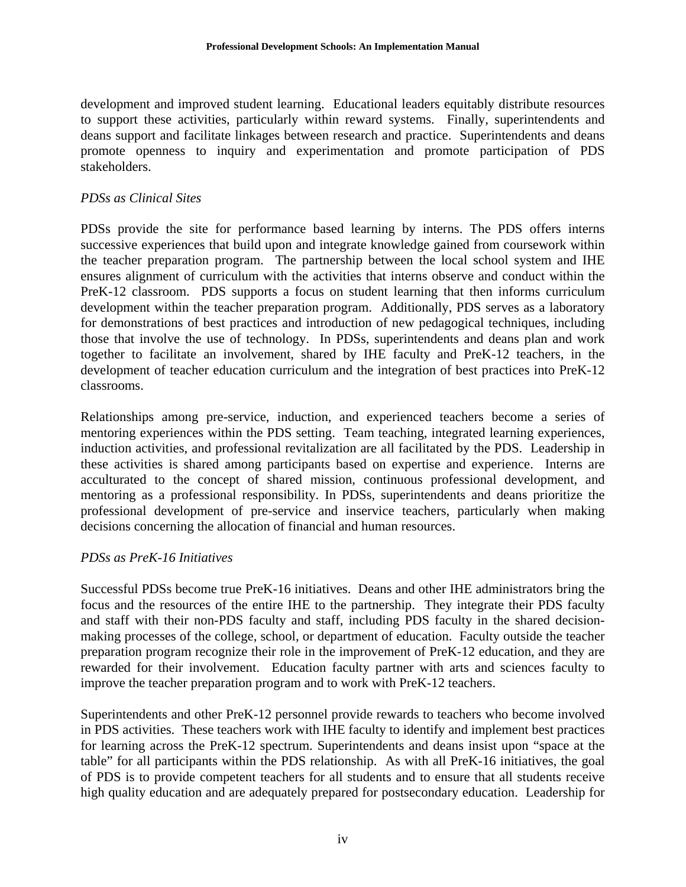development and improved student learning. Educational leaders equitably distribute resources to support these activities, particularly within reward systems. Finally, superintendents and deans support and facilitate linkages between research and practice. Superintendents and deans promote openness to inquiry and experimentation and promote participation of PDS stakeholders.

# *PDSs as Clinical Sites*

PDSs provide the site for performance based learning by interns. The PDS offers interns successive experiences that build upon and integrate knowledge gained from coursework within the teacher preparation program. The partnership between the local school system and IHE ensures alignment of curriculum with the activities that interns observe and conduct within the PreK-12 classroom. PDS supports a focus on student learning that then informs curriculum development within the teacher preparation program. Additionally, PDS serves as a laboratory for demonstrations of best practices and introduction of new pedagogical techniques, including those that involve the use of technology. In PDSs, superintendents and deans plan and work together to facilitate an involvement, shared by IHE faculty and PreK-12 teachers, in the development of teacher education curriculum and the integration of best practices into PreK-12 classrooms.

Relationships among pre-service, induction, and experienced teachers become a series of mentoring experiences within the PDS setting. Team teaching, integrated learning experiences, induction activities, and professional revitalization are all facilitated by the PDS. Leadership in these activities is shared among participants based on expertise and experience. Interns are acculturated to the concept of shared mission, continuous professional development, and mentoring as a professional responsibility. In PDSs, superintendents and deans prioritize the professional development of pre-service and inservice teachers, particularly when making decisions concerning the allocation of financial and human resources.

# *PDSs as PreK-16 Initiatives*

Successful PDSs become true PreK-16 initiatives. Deans and other IHE administrators bring the focus and the resources of the entire IHE to the partnership. They integrate their PDS faculty and staff with their non-PDS faculty and staff, including PDS faculty in the shared decisionmaking processes of the college, school, or department of education. Faculty outside the teacher preparation program recognize their role in the improvement of PreK-12 education, and they are rewarded for their involvement. Education faculty partner with arts and sciences faculty to improve the teacher preparation program and to work with PreK-12 teachers.

Superintendents and other PreK-12 personnel provide rewards to teachers who become involved in PDS activities. These teachers work with IHE faculty to identify and implement best practices for learning across the PreK-12 spectrum. Superintendents and deans insist upon "space at the table" for all participants within the PDS relationship. As with all PreK-16 initiatives, the goal of PDS is to provide competent teachers for all students and to ensure that all students receive high quality education and are adequately prepared for postsecondary education. Leadership for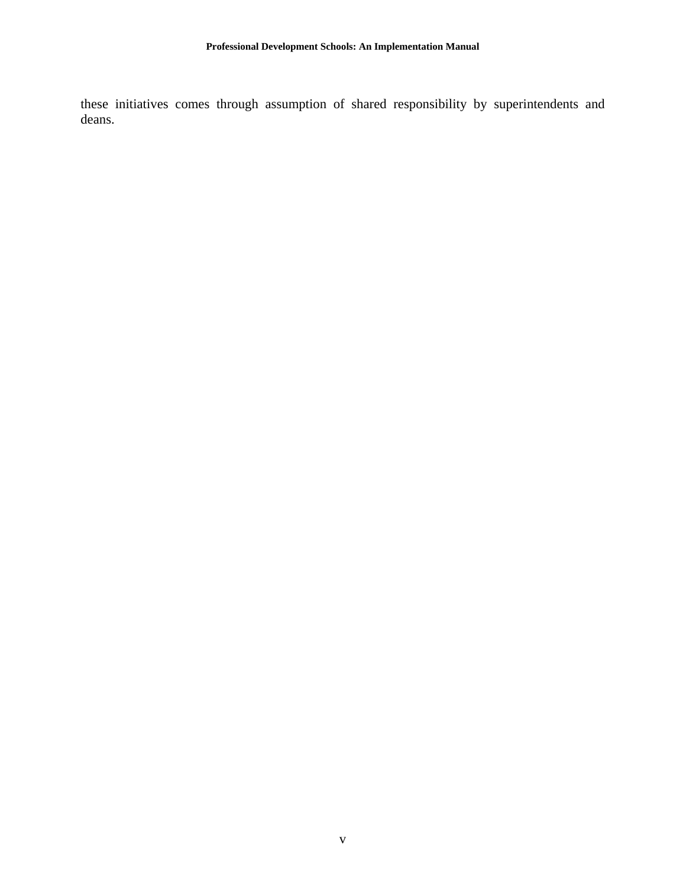these initiatives comes through assumption of shared responsibility by superintendents and deans.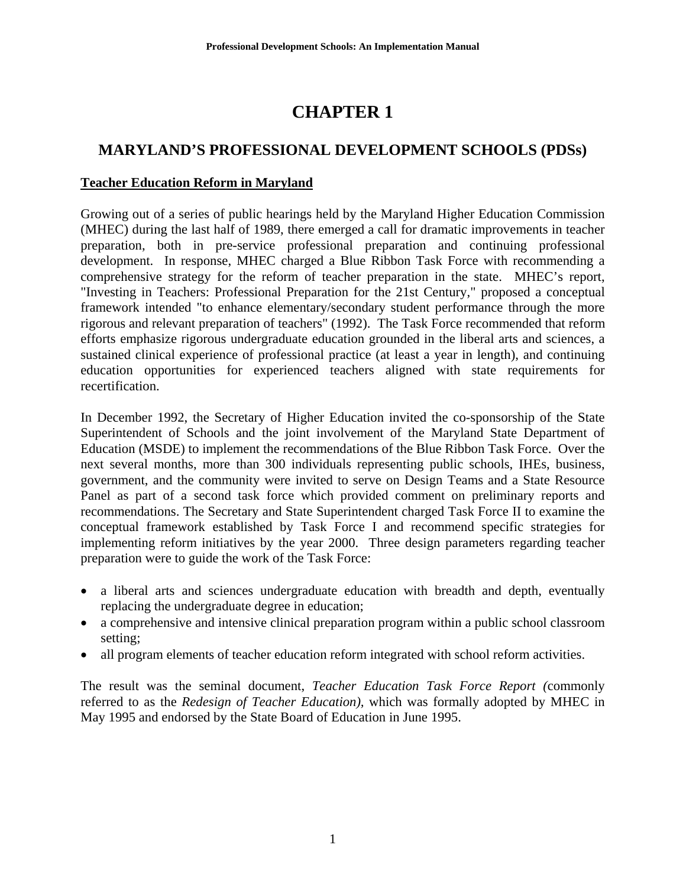# **CHAPTER 1**

# **MARYLAND'S PROFESSIONAL DEVELOPMENT SCHOOLS (PDSs)**

# **Teacher Education Reform in Maryland**

Growing out of a series of public hearings held by the Maryland Higher Education Commission (MHEC) during the last half of 1989, there emerged a call for dramatic improvements in teacher preparation, both in pre-service professional preparation and continuing professional development. In response, MHEC charged a Blue Ribbon Task Force with recommending a comprehensive strategy for the reform of teacher preparation in the state. MHEC's report, "Investing in Teachers: Professional Preparation for the 21st Century," proposed a conceptual framework intended "to enhance elementary/secondary student performance through the more rigorous and relevant preparation of teachers" (1992). The Task Force recommended that reform efforts emphasize rigorous undergraduate education grounded in the liberal arts and sciences, a sustained clinical experience of professional practice (at least a year in length), and continuing education opportunities for experienced teachers aligned with state requirements for recertification.

In December 1992, the Secretary of Higher Education invited the co-sponsorship of the State Superintendent of Schools and the joint involvement of the Maryland State Department of Education (MSDE) to implement the recommendations of the Blue Ribbon Task Force. Over the next several months, more than 300 individuals representing public schools, IHEs, business, government, and the community were invited to serve on Design Teams and a State Resource Panel as part of a second task force which provided comment on preliminary reports and recommendations. The Secretary and State Superintendent charged Task Force II to examine the conceptual framework established by Task Force I and recommend specific strategies for implementing reform initiatives by the year 2000. Three design parameters regarding teacher preparation were to guide the work of the Task Force:

- a liberal arts and sciences undergraduate education with breadth and depth, eventually replacing the undergraduate degree in education;
- a comprehensive and intensive clinical preparation program within a public school classroom setting;
- all program elements of teacher education reform integrated with school reform activities.

The result was the seminal document, *Teacher Education Task Force Report (*commonly referred to as the *Redesign of Teacher Education),* which was formally adopted by MHEC in May 1995 and endorsed by the State Board of Education in June 1995.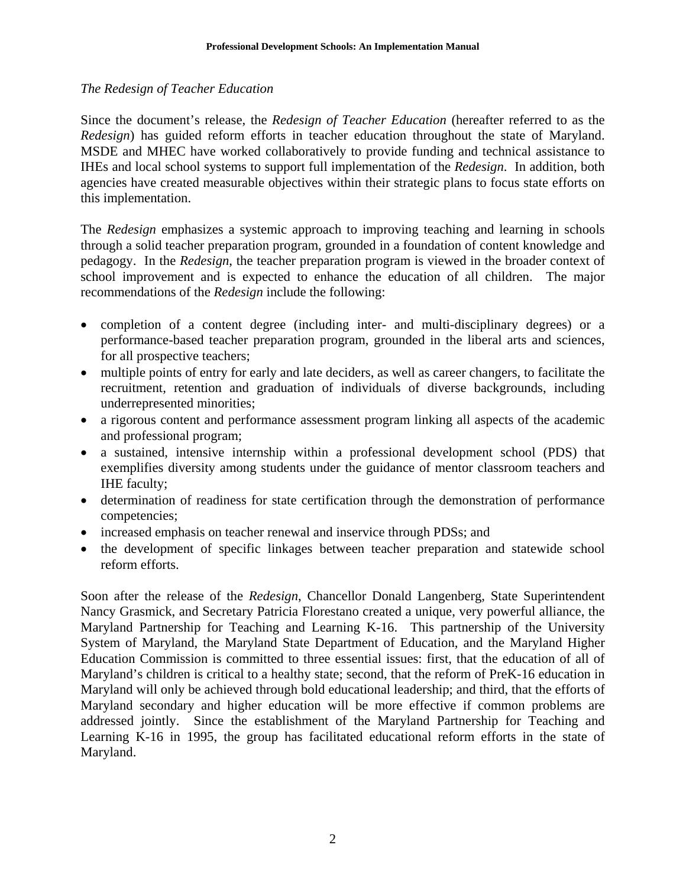## *The Redesign of Teacher Education*

Since the document's release, the *Redesign of Teacher Education* (hereafter referred to as the *Redesign*) has guided reform efforts in teacher education throughout the state of Maryland. MSDE and MHEC have worked collaboratively to provide funding and technical assistance to IHEs and local school systems to support full implementation of the *Redesign*. In addition, both agencies have created measurable objectives within their strategic plans to focus state efforts on this implementation.

The *Redesign* emphasizes a systemic approach to improving teaching and learning in schools through a solid teacher preparation program, grounded in a foundation of content knowledge and pedagogy. In the *Redesign*, the teacher preparation program is viewed in the broader context of school improvement and is expected to enhance the education of all children. The major recommendations of the *Redesign* include the following:

- completion of a content degree (including inter- and multi-disciplinary degrees) or a performance-based teacher preparation program, grounded in the liberal arts and sciences, for all prospective teachers;
- multiple points of entry for early and late deciders, as well as career changers, to facilitate the recruitment, retention and graduation of individuals of diverse backgrounds, including underrepresented minorities;
- a rigorous content and performance assessment program linking all aspects of the academic and professional program;
- a sustained, intensive internship within a professional development school (PDS) that exemplifies diversity among students under the guidance of mentor classroom teachers and IHE faculty;
- determination of readiness for state certification through the demonstration of performance competencies;
- increased emphasis on teacher renewal and inservice through PDSs; and
- the development of specific linkages between teacher preparation and statewide school reform efforts.

Soon after the release of the *Redesign*, Chancellor Donald Langenberg, State Superintendent Nancy Grasmick, and Secretary Patricia Florestano created a unique, very powerful alliance, the Maryland Partnership for Teaching and Learning K-16. This partnership of the University System of Maryland, the Maryland State Department of Education, and the Maryland Higher Education Commission is committed to three essential issues: first, that the education of all of Maryland's children is critical to a healthy state; second, that the reform of PreK-16 education in Maryland will only be achieved through bold educational leadership; and third, that the efforts of Maryland secondary and higher education will be more effective if common problems are addressed jointly. Since the establishment of the Maryland Partnership for Teaching and Learning K-16 in 1995, the group has facilitated educational reform efforts in the state of Maryland.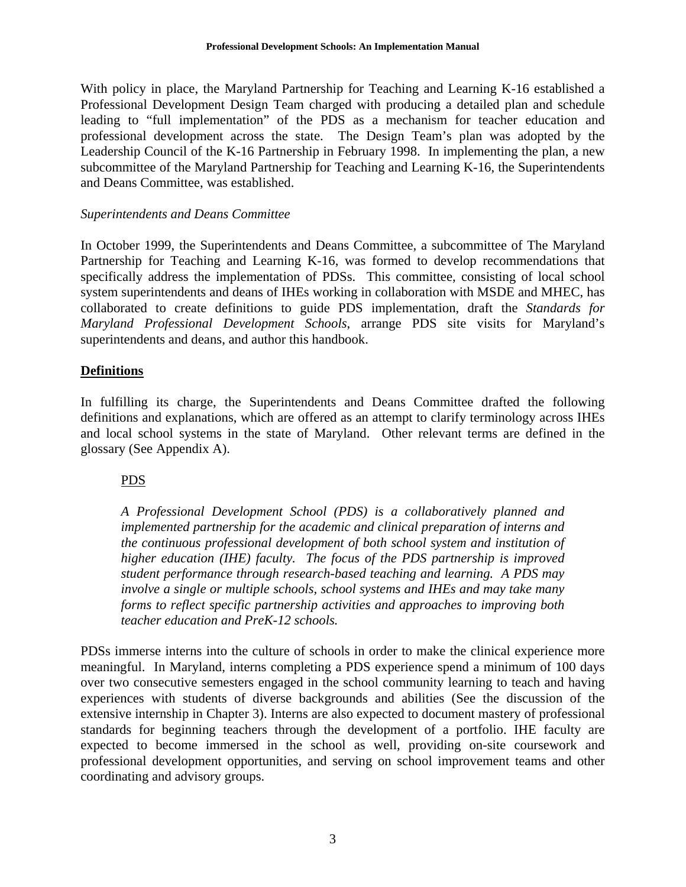With policy in place, the Maryland Partnership for Teaching and Learning K-16 established a Professional Development Design Team charged with producing a detailed plan and schedule leading to "full implementation" of the PDS as a mechanism for teacher education and professional development across the state. The Design Team's plan was adopted by the Leadership Council of the K-16 Partnership in February 1998. In implementing the plan, a new subcommittee of the Maryland Partnership for Teaching and Learning K-16, the Superintendents and Deans Committee, was established.

## *Superintendents and Deans Committee*

In October 1999, the Superintendents and Deans Committee, a subcommittee of The Maryland Partnership for Teaching and Learning K-16, was formed to develop recommendations that specifically address the implementation of PDSs. This committee, consisting of local school system superintendents and deans of IHEs working in collaboration with MSDE and MHEC, has collaborated to create definitions to guide PDS implementation, draft the *Standards for Maryland Professional Development Schools*, arrange PDS site visits for Maryland's superintendents and deans, and author this handbook.

## **Definitions**

In fulfilling its charge, the Superintendents and Deans Committee drafted the following definitions and explanations, which are offered as an attempt to clarify terminology across IHEs and local school systems in the state of Maryland. Other relevant terms are defined in the glossary (See Appendix A).

# PDS

*A Professional Development School (PDS) is a collaboratively planned and implemented partnership for the academic and clinical preparation of interns and the continuous professional development of both school system and institution of higher education (IHE) faculty. The focus of the PDS partnership is improved student performance through research-based teaching and learning. A PDS may involve a single or multiple schools, school systems and IHEs and may take many forms to reflect specific partnership activities and approaches to improving both teacher education and PreK-12 schools.* 

PDSs immerse interns into the culture of schools in order to make the clinical experience more meaningful. In Maryland, interns completing a PDS experience spend a minimum of 100 days over two consecutive semesters engaged in the school community learning to teach and having experiences with students of diverse backgrounds and abilities (See the discussion of the extensive internship in Chapter 3). Interns are also expected to document mastery of professional standards for beginning teachers through the development of a portfolio. IHE faculty are expected to become immersed in the school as well, providing on-site coursework and professional development opportunities, and serving on school improvement teams and other coordinating and advisory groups.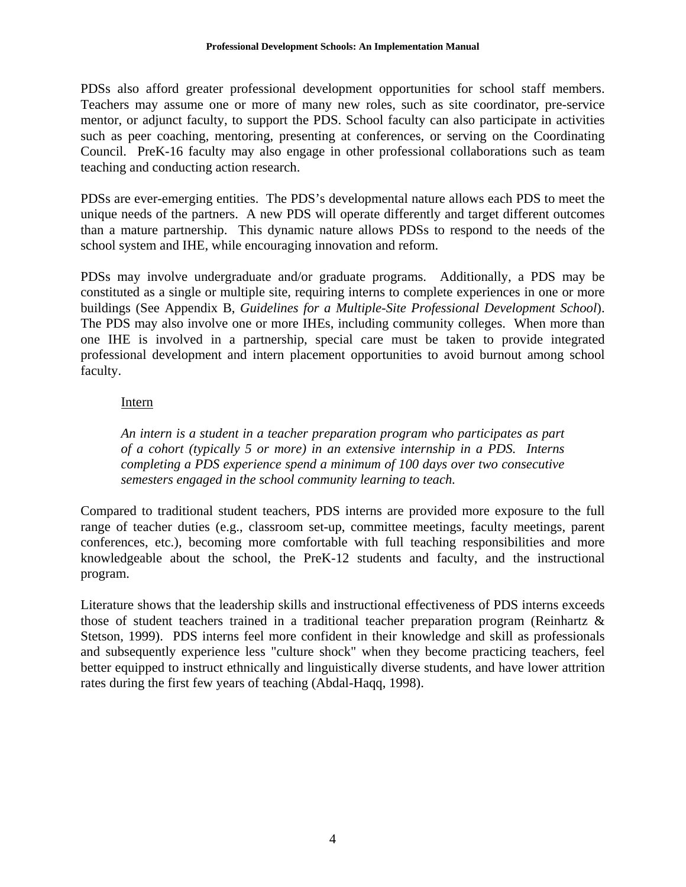PDSs also afford greater professional development opportunities for school staff members. Teachers may assume one or more of many new roles, such as site coordinator, pre-service mentor, or adjunct faculty, to support the PDS. School faculty can also participate in activities such as peer coaching, mentoring, presenting at conferences, or serving on the Coordinating Council. PreK-16 faculty may also engage in other professional collaborations such as team teaching and conducting action research.

PDSs are ever-emerging entities. The PDS's developmental nature allows each PDS to meet the unique needs of the partners. A new PDS will operate differently and target different outcomes than a mature partnership. This dynamic nature allows PDSs to respond to the needs of the school system and IHE, while encouraging innovation and reform.

PDSs may involve undergraduate and/or graduate programs. Additionally, a PDS may be constituted as a single or multiple site, requiring interns to complete experiences in one or more buildings (See Appendix B, *Guidelines for a Multiple-Site Professional Development School*). The PDS may also involve one or more IHEs, including community colleges. When more than one IHE is involved in a partnership, special care must be taken to provide integrated professional development and intern placement opportunities to avoid burnout among school faculty.

# Intern

*An intern is a student in a teacher preparation program who participates as part of a cohort (typically 5 or more) in an extensive internship in a PDS. Interns completing a PDS experience spend a minimum of 100 days over two consecutive semesters engaged in the school community learning to teach.* 

Compared to traditional student teachers, PDS interns are provided more exposure to the full range of teacher duties (e.g., classroom set-up, committee meetings, faculty meetings, parent conferences, etc.), becoming more comfortable with full teaching responsibilities and more knowledgeable about the school, the PreK-12 students and faculty, and the instructional program.

Literature shows that the leadership skills and instructional effectiveness of PDS interns exceeds those of student teachers trained in a traditional teacher preparation program (Reinhartz & Stetson, 1999). PDS interns feel more confident in their knowledge and skill as professionals and subsequently experience less "culture shock" when they become practicing teachers, feel better equipped to instruct ethnically and linguistically diverse students, and have lower attrition rates during the first few years of teaching (Abdal-Haqq, 1998).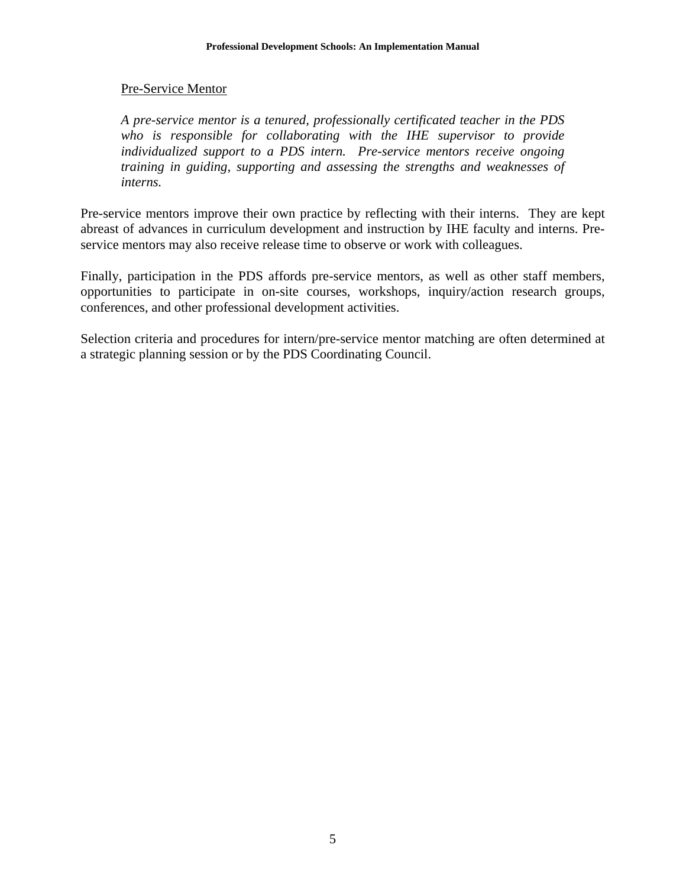## Pre-Service Mentor

*A pre-service mentor is a tenured, professionally certificated teacher in the PDS who is responsible for collaborating with the IHE supervisor to provide individualized support to a PDS intern. Pre-service mentors receive ongoing training in guiding, supporting and assessing the strengths and weaknesses of interns.* 

Pre-service mentors improve their own practice by reflecting with their interns. They are kept abreast of advances in curriculum development and instruction by IHE faculty and interns. Preservice mentors may also receive release time to observe or work with colleagues.

Finally, participation in the PDS affords pre-service mentors, as well as other staff members, opportunities to participate in on-site courses, workshops, inquiry/action research groups, conferences, and other professional development activities.

Selection criteria and procedures for intern/pre-service mentor matching are often determined at a strategic planning session or by the PDS Coordinating Council.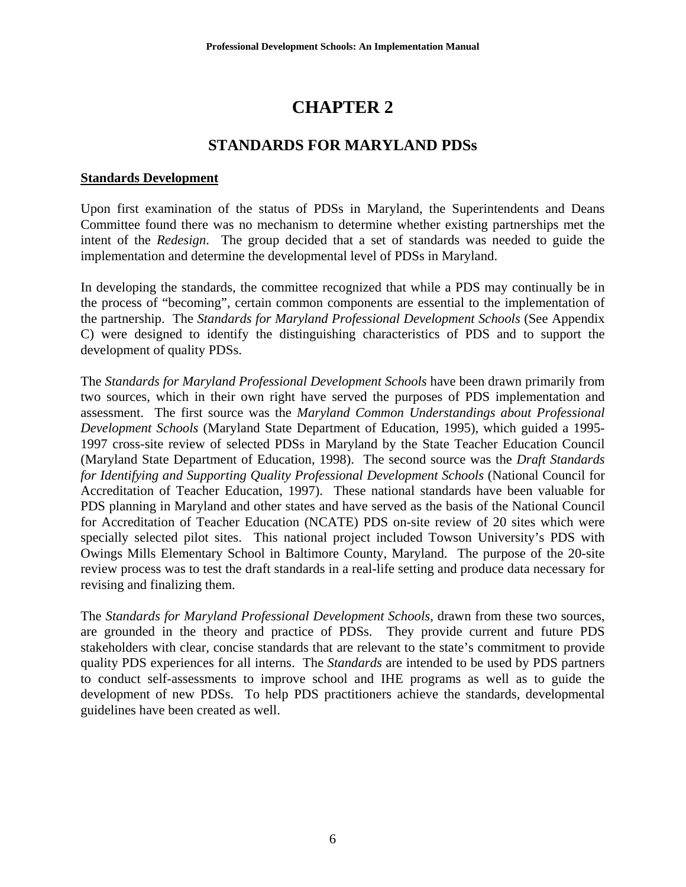# **CHAPTER 2**

# **STANDARDS FOR MARYLAND PDSs**

#### **Standards Development**

Upon first examination of the status of PDSs in Maryland, the Superintendents and Deans Committee found there was no mechanism to determine whether existing partnerships met the intent of the *Redesign*. The group decided that a set of standards was needed to guide the implementation and determine the developmental level of PDSs in Maryland.

In developing the standards, the committee recognized that while a PDS may continually be in the process of "becoming", certain common components are essential to the implementation of the partnership. The *Standards for Maryland Professional Development Schools* (See Appendix C) were designed to identify the distinguishing characteristics of PDS and to support the development of quality PDSs.

The *Standards for Maryland Professional Development Schools* have been drawn primarily from two sources, which in their own right have served the purposes of PDS implementation and assessment. The first source was the *Maryland Common Understandings about Professional Development Schools* (Maryland State Department of Education, 1995), which guided a 1995- 1997 cross-site review of selected PDSs in Maryland by the State Teacher Education Council (Maryland State Department of Education, 1998). The second source was the *Draft Standards for Identifying and Supporting Quality Professional Development Schools* (National Council for Accreditation of Teacher Education, 1997). These national standards have been valuable for PDS planning in Maryland and other states and have served as the basis of the National Council for Accreditation of Teacher Education (NCATE) PDS on-site review of 20 sites which were specially selected pilot sites. This national project included Towson University's PDS with Owings Mills Elementary School in Baltimore County, Maryland. The purpose of the 20-site review process was to test the draft standards in a real-life setting and produce data necessary for revising and finalizing them.

The *Standards for Maryland Professional Development Schools*, drawn from these two sources, are grounded in the theory and practice of PDSs. They provide current and future PDS stakeholders with clear, concise standards that are relevant to the state's commitment to provide quality PDS experiences for all interns. The *Standards* are intended to be used by PDS partners to conduct self-assessments to improve school and IHE programs as well as to guide the development of new PDSs. To help PDS practitioners achieve the standards, developmental guidelines have been created as well.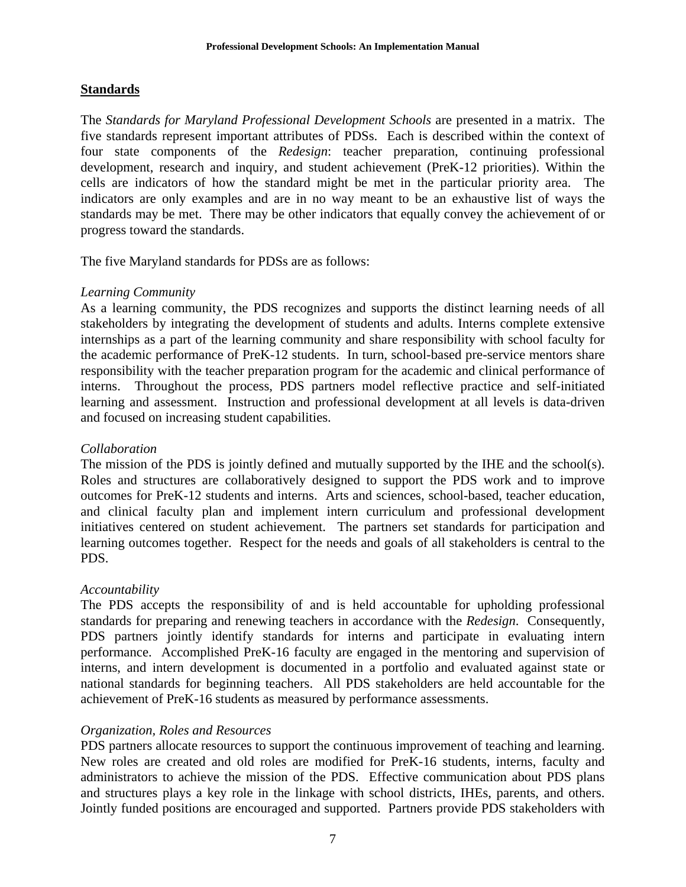## **Standards**

The *Standards for Maryland Professional Development Schools* are presented in a matrix. The five standards represent important attributes of PDSs. Each is described within the context of four state components of the *Redesign*: teacher preparation, continuing professional development, research and inquiry, and student achievement (PreK-12 priorities). Within the cells are indicators of how the standard might be met in the particular priority area. The indicators are only examples and are in no way meant to be an exhaustive list of ways the standards may be met. There may be other indicators that equally convey the achievement of or progress toward the standards.

The five Maryland standards for PDSs are as follows:

## *Learning Community*

As a learning community, the PDS recognizes and supports the distinct learning needs of all stakeholders by integrating the development of students and adults. Interns complete extensive internships as a part of the learning community and share responsibility with school faculty for the academic performance of PreK-12 students. In turn, school-based pre-service mentors share responsibility with the teacher preparation program for the academic and clinical performance of interns. Throughout the process, PDS partners model reflective practice and self-initiated learning and assessment. Instruction and professional development at all levels is data-driven and focused on increasing student capabilities.

## *Collaboration*

The mission of the PDS is jointly defined and mutually supported by the IHE and the school(s). Roles and structures are collaboratively designed to support the PDS work and to improve outcomes for PreK-12 students and interns. Arts and sciences, school-based, teacher education, and clinical faculty plan and implement intern curriculum and professional development initiatives centered on student achievement. The partners set standards for participation and learning outcomes together. Respect for the needs and goals of all stakeholders is central to the PDS.

## *Accountability*

The PDS accepts the responsibility of and is held accountable for upholding professional standards for preparing and renewing teachers in accordance with the *Redesign*. Consequently, PDS partners jointly identify standards for interns and participate in evaluating intern performance. Accomplished PreK-16 faculty are engaged in the mentoring and supervision of interns, and intern development is documented in a portfolio and evaluated against state or national standards for beginning teachers. All PDS stakeholders are held accountable for the achievement of PreK-16 students as measured by performance assessments.

## *Organization, Roles and Resources*

PDS partners allocate resources to support the continuous improvement of teaching and learning. New roles are created and old roles are modified for PreK-16 students, interns, faculty and administrators to achieve the mission of the PDS. Effective communication about PDS plans and structures plays a key role in the linkage with school districts, IHEs, parents, and others. Jointly funded positions are encouraged and supported. Partners provide PDS stakeholders with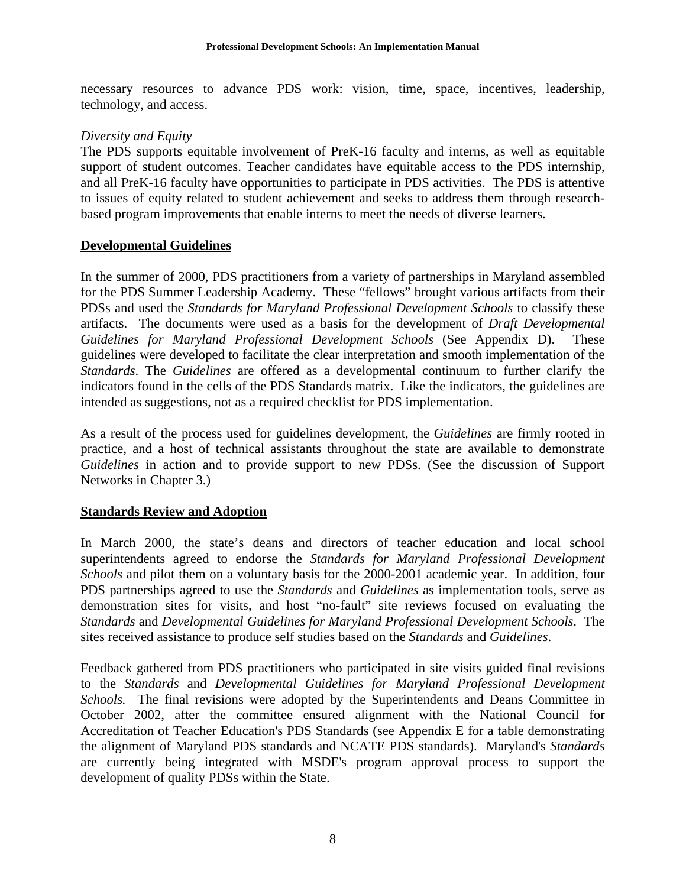necessary resources to advance PDS work: vision, time, space, incentives, leadership, technology, and access.

## *Diversity and Equity*

The PDS supports equitable involvement of PreK-16 faculty and interns, as well as equitable support of student outcomes. Teacher candidates have equitable access to the PDS internship, and all PreK-16 faculty have opportunities to participate in PDS activities. The PDS is attentive to issues of equity related to student achievement and seeks to address them through researchbased program improvements that enable interns to meet the needs of diverse learners.

## **Developmental Guidelines**

In the summer of 2000, PDS practitioners from a variety of partnerships in Maryland assembled for the PDS Summer Leadership Academy. These "fellows" brought various artifacts from their PDSs and used the *Standards for Maryland Professional Development Schools* to classify these artifacts. The documents were used as a basis for the development of *Draft Developmental Guidelines for Maryland Professional Development Schools* (See Appendix D). These guidelines were developed to facilitate the clear interpretation and smooth implementation of the *Standards*. The *Guidelines* are offered as a developmental continuum to further clarify the indicators found in the cells of the PDS Standards matrix. Like the indicators, the guidelines are intended as suggestions, not as a required checklist for PDS implementation.

As a result of the process used for guidelines development, the *Guidelines* are firmly rooted in practice, and a host of technical assistants throughout the state are available to demonstrate *Guidelines* in action and to provide support to new PDSs. (See the discussion of Support Networks in Chapter 3.)

# **Standards Review and Adoption**

In March 2000, the state's deans and directors of teacher education and local school superintendents agreed to endorse the *Standards for Maryland Professional Development Schools* and pilot them on a voluntary basis for the 2000-2001 academic year. In addition, four PDS partnerships agreed to use the *Standards* and *Guidelines* as implementation tools, serve as demonstration sites for visits, and host "no-fault" site reviews focused on evaluating the *Standards* and *Developmental Guidelines for Maryland Professional Development Schools*. The sites received assistance to produce self studies based on the *Standards* and *Guidelines*.

Feedback gathered from PDS practitioners who participated in site visits guided final revisions to the *Standards* and *Developmental Guidelines for Maryland Professional Development Schools.* The final revisions were adopted by the Superintendents and Deans Committee in October 2002, after the committee ensured alignment with the National Council for Accreditation of Teacher Education's PDS Standards (see Appendix E for a table demonstrating the alignment of Maryland PDS standards and NCATE PDS standards). Maryland's *Standards* are currently being integrated with MSDE's program approval process to support the development of quality PDSs within the State.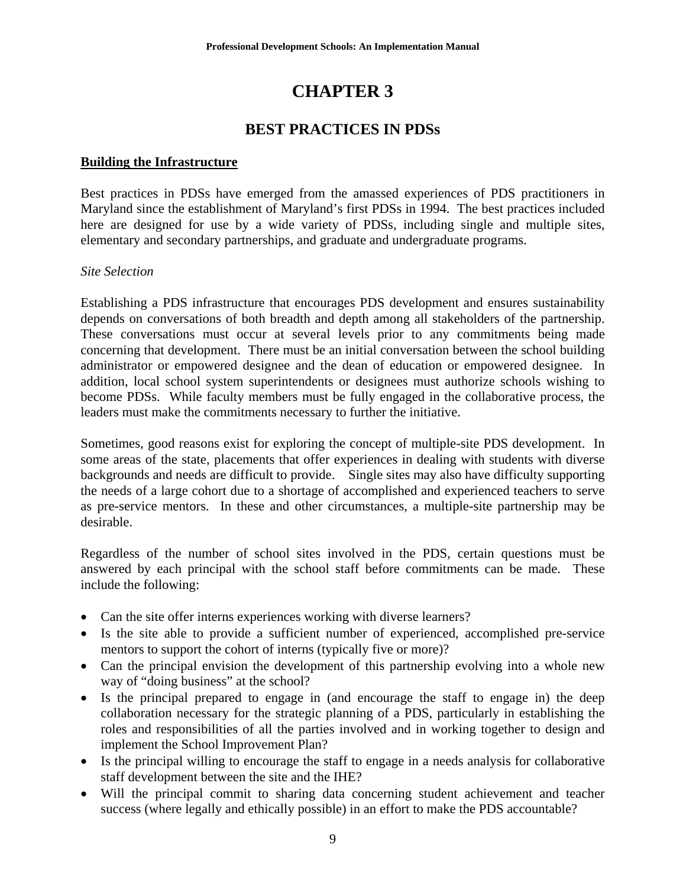# **CHAPTER 3**

# **BEST PRACTICES IN PDSs**

## **Building the Infrastructure**

Best practices in PDSs have emerged from the amassed experiences of PDS practitioners in Maryland since the establishment of Maryland's first PDSs in 1994. The best practices included here are designed for use by a wide variety of PDSs, including single and multiple sites, elementary and secondary partnerships, and graduate and undergraduate programs.

## *Site Selection*

Establishing a PDS infrastructure that encourages PDS development and ensures sustainability depends on conversations of both breadth and depth among all stakeholders of the partnership. These conversations must occur at several levels prior to any commitments being made concerning that development. There must be an initial conversation between the school building administrator or empowered designee and the dean of education or empowered designee. In addition, local school system superintendents or designees must authorize schools wishing to become PDSs. While faculty members must be fully engaged in the collaborative process, the leaders must make the commitments necessary to further the initiative.

Sometimes, good reasons exist for exploring the concept of multiple-site PDS development. In some areas of the state, placements that offer experiences in dealing with students with diverse backgrounds and needs are difficult to provide. Single sites may also have difficulty supporting the needs of a large cohort due to a shortage of accomplished and experienced teachers to serve as pre-service mentors. In these and other circumstances, a multiple-site partnership may be desirable.

Regardless of the number of school sites involved in the PDS, certain questions must be answered by each principal with the school staff before commitments can be made. These include the following:

- Can the site offer interns experiences working with diverse learners?
- Is the site able to provide a sufficient number of experienced, accomplished pre-service mentors to support the cohort of interns (typically five or more)?
- Can the principal envision the development of this partnership evolving into a whole new way of "doing business" at the school?
- Is the principal prepared to engage in (and encourage the staff to engage in) the deep collaboration necessary for the strategic planning of a PDS, particularly in establishing the roles and responsibilities of all the parties involved and in working together to design and implement the School Improvement Plan?
- Is the principal willing to encourage the staff to engage in a needs analysis for collaborative staff development between the site and the IHE?
- Will the principal commit to sharing data concerning student achievement and teacher success (where legally and ethically possible) in an effort to make the PDS accountable?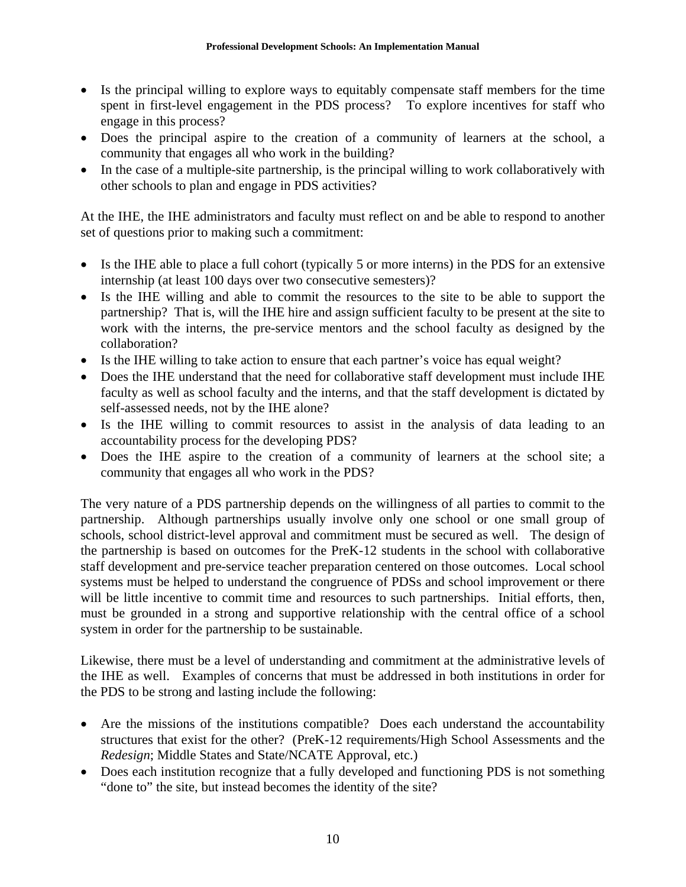- Is the principal willing to explore ways to equitably compensate staff members for the time spent in first-level engagement in the PDS process? To explore incentives for staff who engage in this process?
- Does the principal aspire to the creation of a community of learners at the school, a community that engages all who work in the building?
- In the case of a multiple-site partnership, is the principal willing to work collaboratively with other schools to plan and engage in PDS activities?

At the IHE, the IHE administrators and faculty must reflect on and be able to respond to another set of questions prior to making such a commitment:

- Is the IHE able to place a full cohort (typically 5 or more interns) in the PDS for an extensive internship (at least 100 days over two consecutive semesters)?
- Is the IHE willing and able to commit the resources to the site to be able to support the partnership? That is, will the IHE hire and assign sufficient faculty to be present at the site to work with the interns, the pre-service mentors and the school faculty as designed by the collaboration?
- Is the IHE willing to take action to ensure that each partner's voice has equal weight?
- Does the IHE understand that the need for collaborative staff development must include IHE faculty as well as school faculty and the interns, and that the staff development is dictated by self-assessed needs, not by the IHE alone?
- Is the IHE willing to commit resources to assist in the analysis of data leading to an accountability process for the developing PDS?
- Does the IHE aspire to the creation of a community of learners at the school site; a community that engages all who work in the PDS?

The very nature of a PDS partnership depends on the willingness of all parties to commit to the partnership. Although partnerships usually involve only one school or one small group of schools, school district-level approval and commitment must be secured as well. The design of the partnership is based on outcomes for the PreK-12 students in the school with collaborative staff development and pre-service teacher preparation centered on those outcomes. Local school systems must be helped to understand the congruence of PDSs and school improvement or there will be little incentive to commit time and resources to such partnerships. Initial efforts, then, must be grounded in a strong and supportive relationship with the central office of a school system in order for the partnership to be sustainable.

Likewise, there must be a level of understanding and commitment at the administrative levels of the IHE as well. Examples of concerns that must be addressed in both institutions in order for the PDS to be strong and lasting include the following:

- Are the missions of the institutions compatible? Does each understand the accountability structures that exist for the other? (PreK-12 requirements/High School Assessments and the *Redesign*; Middle States and State/NCATE Approval, etc.)
- Does each institution recognize that a fully developed and functioning PDS is not something "done to" the site, but instead becomes the identity of the site?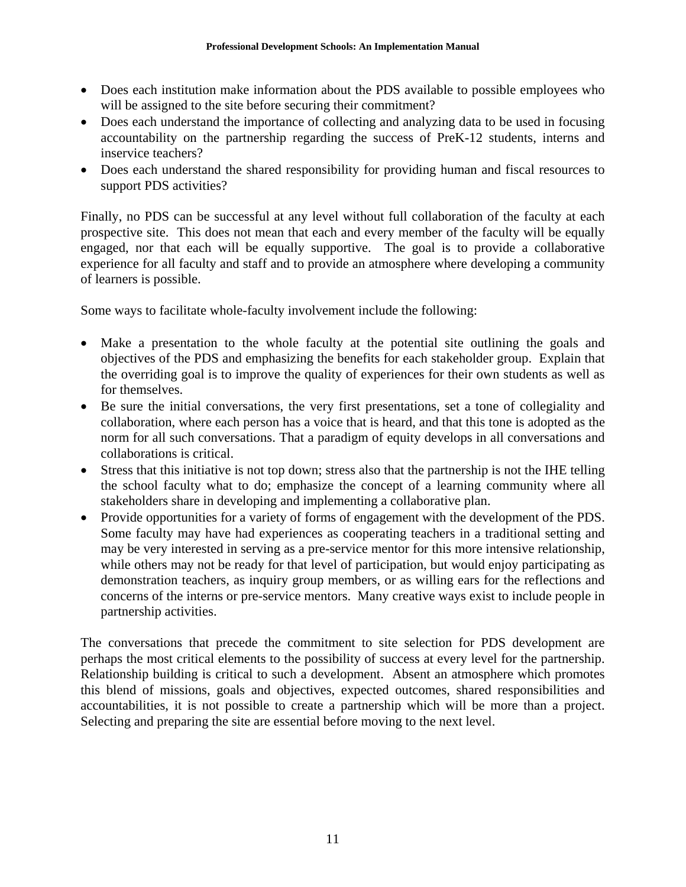- Does each institution make information about the PDS available to possible employees who will be assigned to the site before securing their commitment?
- Does each understand the importance of collecting and analyzing data to be used in focusing accountability on the partnership regarding the success of PreK-12 students, interns and inservice teachers?
- Does each understand the shared responsibility for providing human and fiscal resources to support PDS activities?

Finally, no PDS can be successful at any level without full collaboration of the faculty at each prospective site. This does not mean that each and every member of the faculty will be equally engaged, nor that each will be equally supportive. The goal is to provide a collaborative experience for all faculty and staff and to provide an atmosphere where developing a community of learners is possible.

Some ways to facilitate whole-faculty involvement include the following:

- Make a presentation to the whole faculty at the potential site outlining the goals and objectives of the PDS and emphasizing the benefits for each stakeholder group. Explain that the overriding goal is to improve the quality of experiences for their own students as well as for themselves.
- Be sure the initial conversations, the very first presentations, set a tone of collegiality and collaboration, where each person has a voice that is heard, and that this tone is adopted as the norm for all such conversations. That a paradigm of equity develops in all conversations and collaborations is critical.
- Stress that this initiative is not top down; stress also that the partnership is not the IHE telling the school faculty what to do; emphasize the concept of a learning community where all stakeholders share in developing and implementing a collaborative plan.
- Provide opportunities for a variety of forms of engagement with the development of the PDS. Some faculty may have had experiences as cooperating teachers in a traditional setting and may be very interested in serving as a pre-service mentor for this more intensive relationship, while others may not be ready for that level of participation, but would enjoy participating as demonstration teachers, as inquiry group members, or as willing ears for the reflections and concerns of the interns or pre-service mentors. Many creative ways exist to include people in partnership activities.

The conversations that precede the commitment to site selection for PDS development are perhaps the most critical elements to the possibility of success at every level for the partnership. Relationship building is critical to such a development. Absent an atmosphere which promotes this blend of missions, goals and objectives, expected outcomes, shared responsibilities and accountabilities, it is not possible to create a partnership which will be more than a project. Selecting and preparing the site are essential before moving to the next level.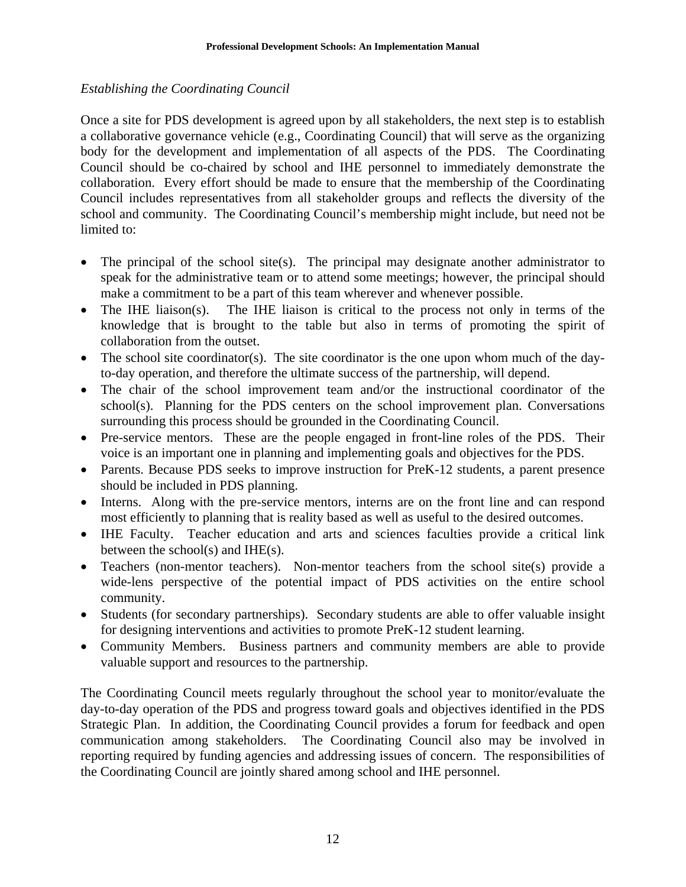# *Establishing the Coordinating Council*

Once a site for PDS development is agreed upon by all stakeholders, the next step is to establish a collaborative governance vehicle (e.g., Coordinating Council) that will serve as the organizing body for the development and implementation of all aspects of the PDS. The Coordinating Council should be co-chaired by school and IHE personnel to immediately demonstrate the collaboration. Every effort should be made to ensure that the membership of the Coordinating Council includes representatives from all stakeholder groups and reflects the diversity of the school and community. The Coordinating Council's membership might include, but need not be limited to:

- The principal of the school site(s). The principal may designate another administrator to speak for the administrative team or to attend some meetings; however, the principal should make a commitment to be a part of this team wherever and whenever possible.
- The IHE liaison(s). The IHE liaison is critical to the process not only in terms of the knowledge that is brought to the table but also in terms of promoting the spirit of collaboration from the outset.
- The school site coordinator(s). The site coordinator is the one upon whom much of the dayto-day operation, and therefore the ultimate success of the partnership, will depend.
- The chair of the school improvement team and/or the instructional coordinator of the school(s). Planning for the PDS centers on the school improvement plan. Conversations surrounding this process should be grounded in the Coordinating Council.
- Pre-service mentors. These are the people engaged in front-line roles of the PDS. Their voice is an important one in planning and implementing goals and objectives for the PDS.
- Parents. Because PDS seeks to improve instruction for PreK-12 students, a parent presence should be included in PDS planning.
- Interns. Along with the pre-service mentors, interns are on the front line and can respond most efficiently to planning that is reality based as well as useful to the desired outcomes.
- IHE Faculty. Teacher education and arts and sciences faculties provide a critical link between the school(s) and IHE(s).
- Teachers (non-mentor teachers). Non-mentor teachers from the school site(s) provide a wide-lens perspective of the potential impact of PDS activities on the entire school community.
- Students (for secondary partnerships). Secondary students are able to offer valuable insight for designing interventions and activities to promote PreK-12 student learning.
- Community Members. Business partners and community members are able to provide valuable support and resources to the partnership.

The Coordinating Council meets regularly throughout the school year to monitor/evaluate the day-to-day operation of the PDS and progress toward goals and objectives identified in the PDS Strategic Plan. In addition, the Coordinating Council provides a forum for feedback and open communication among stakeholders. The Coordinating Council also may be involved in reporting required by funding agencies and addressing issues of concern. The responsibilities of the Coordinating Council are jointly shared among school and IHE personnel.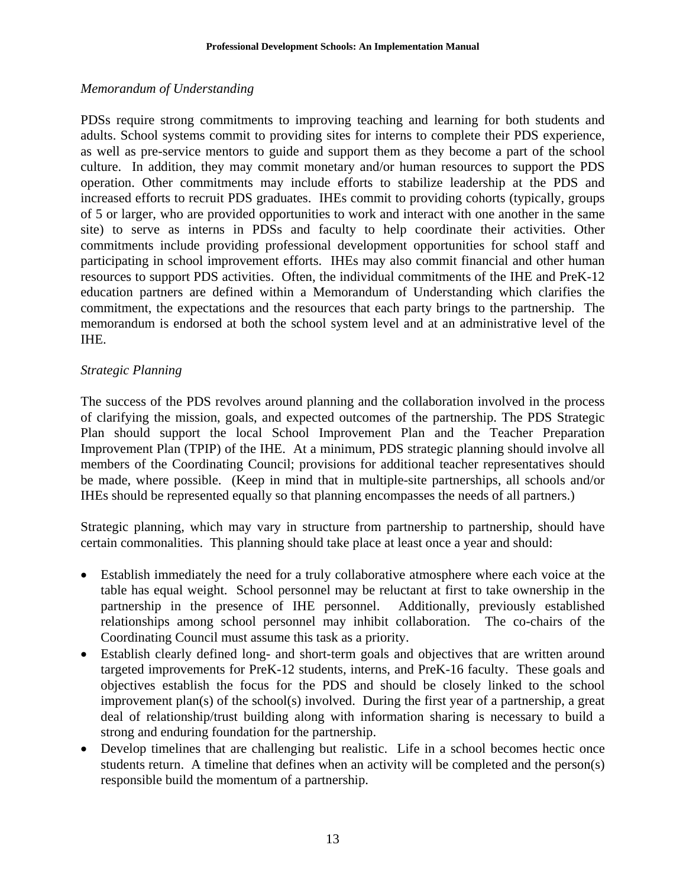## *Memorandum of Understanding*

PDSs require strong commitments to improving teaching and learning for both students and adults. School systems commit to providing sites for interns to complete their PDS experience, as well as pre-service mentors to guide and support them as they become a part of the school culture. In addition, they may commit monetary and/or human resources to support the PDS operation. Other commitments may include efforts to stabilize leadership at the PDS and increased efforts to recruit PDS graduates. IHEs commit to providing cohorts (typically, groups of 5 or larger, who are provided opportunities to work and interact with one another in the same site) to serve as interns in PDSs and faculty to help coordinate their activities. Other commitments include providing professional development opportunities for school staff and participating in school improvement efforts. IHEs may also commit financial and other human resources to support PDS activities. Often, the individual commitments of the IHE and PreK-12 education partners are defined within a Memorandum of Understanding which clarifies the commitment, the expectations and the resources that each party brings to the partnership. The memorandum is endorsed at both the school system level and at an administrative level of the IHE.

## *Strategic Planning*

The success of the PDS revolves around planning and the collaboration involved in the process of clarifying the mission, goals, and expected outcomes of the partnership. The PDS Strategic Plan should support the local School Improvement Plan and the Teacher Preparation Improvement Plan (TPIP) of the IHE. At a minimum, PDS strategic planning should involve all members of the Coordinating Council; provisions for additional teacher representatives should be made, where possible. (Keep in mind that in multiple-site partnerships, all schools and/or IHEs should be represented equally so that planning encompasses the needs of all partners.)

Strategic planning, which may vary in structure from partnership to partnership, should have certain commonalities. This planning should take place at least once a year and should:

- Establish immediately the need for a truly collaborative atmosphere where each voice at the table has equal weight. School personnel may be reluctant at first to take ownership in the partnership in the presence of IHE personnel. Additionally, previously established relationships among school personnel may inhibit collaboration. The co-chairs of the Coordinating Council must assume this task as a priority.
- Establish clearly defined long- and short-term goals and objectives that are written around targeted improvements for PreK-12 students, interns, and PreK-16 faculty. These goals and objectives establish the focus for the PDS and should be closely linked to the school improvement plan(s) of the school(s) involved. During the first year of a partnership, a great deal of relationship/trust building along with information sharing is necessary to build a strong and enduring foundation for the partnership.
- Develop timelines that are challenging but realistic. Life in a school becomes hectic once students return. A timeline that defines when an activity will be completed and the person(s) responsible build the momentum of a partnership.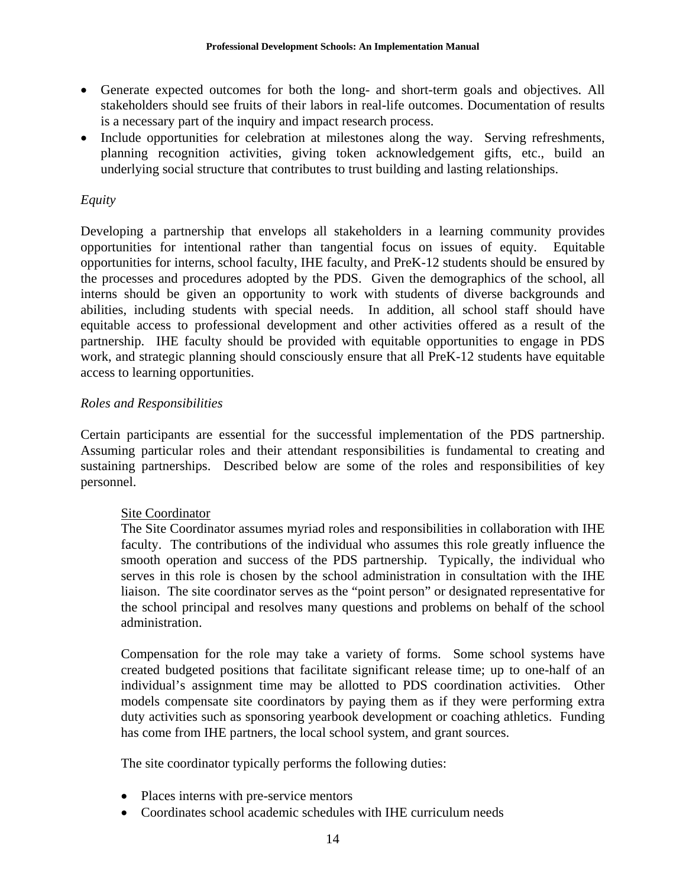- Generate expected outcomes for both the long- and short-term goals and objectives. All stakeholders should see fruits of their labors in real-life outcomes. Documentation of results is a necessary part of the inquiry and impact research process.
- Include opportunities for celebration at milestones along the way. Serving refreshments, planning recognition activities, giving token acknowledgement gifts, etc., build an underlying social structure that contributes to trust building and lasting relationships.

# *Equity*

Developing a partnership that envelops all stakeholders in a learning community provides opportunities for intentional rather than tangential focus on issues of equity. Equitable opportunities for interns, school faculty, IHE faculty, and PreK-12 students should be ensured by the processes and procedures adopted by the PDS. Given the demographics of the school, all interns should be given an opportunity to work with students of diverse backgrounds and abilities, including students with special needs. In addition, all school staff should have equitable access to professional development and other activities offered as a result of the partnership. IHE faculty should be provided with equitable opportunities to engage in PDS work, and strategic planning should consciously ensure that all PreK-12 students have equitable access to learning opportunities.

# *Roles and Responsibilities*

Certain participants are essential for the successful implementation of the PDS partnership. Assuming particular roles and their attendant responsibilities is fundamental to creating and sustaining partnerships. Described below are some of the roles and responsibilities of key personnel.

# Site Coordinator

The Site Coordinator assumes myriad roles and responsibilities in collaboration with IHE faculty. The contributions of the individual who assumes this role greatly influence the smooth operation and success of the PDS partnership. Typically, the individual who serves in this role is chosen by the school administration in consultation with the IHE liaison. The site coordinator serves as the "point person" or designated representative for the school principal and resolves many questions and problems on behalf of the school administration.

Compensation for the role may take a variety of forms. Some school systems have created budgeted positions that facilitate significant release time; up to one-half of an individual's assignment time may be allotted to PDS coordination activities. Other models compensate site coordinators by paying them as if they were performing extra duty activities such as sponsoring yearbook development or coaching athletics. Funding has come from IHE partners, the local school system, and grant sources.

The site coordinator typically performs the following duties:

- Places interns with pre-service mentors
- Coordinates school academic schedules with IHE curriculum needs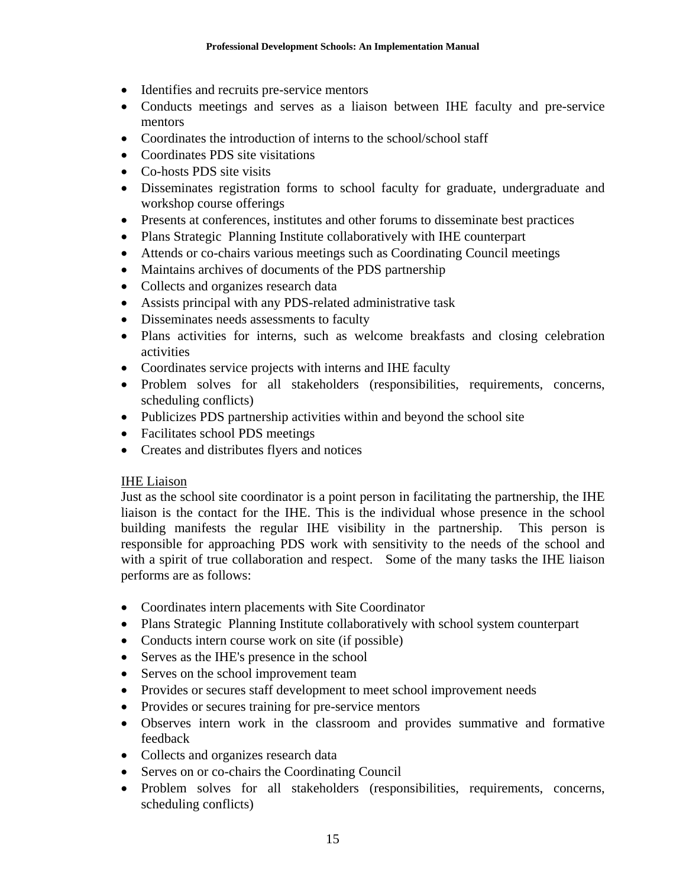- Identifies and recruits pre-service mentors
- Conducts meetings and serves as a liaison between IHE faculty and pre-service mentors
- Coordinates the introduction of interns to the school/school staff
- Coordinates PDS site visitations
- Co-hosts PDS site visits
- Disseminates registration forms to school faculty for graduate, undergraduate and workshop course offerings
- Presents at conferences, institutes and other forums to disseminate best practices
- Plans Strategic Planning Institute collaboratively with IHE counterpart
- Attends or co-chairs various meetings such as Coordinating Council meetings
- Maintains archives of documents of the PDS partnership
- Collects and organizes research data
- Assists principal with any PDS-related administrative task
- Disseminates needs assessments to faculty
- Plans activities for interns, such as welcome breakfasts and closing celebration activities
- Coordinates service projects with interns and IHE faculty
- Problem solves for all stakeholders (responsibilities, requirements, concerns, scheduling conflicts)
- Publicizes PDS partnership activities within and beyond the school site
- Facilitates school PDS meetings
- Creates and distributes flyers and notices

# IHE Liaison

Just as the school site coordinator is a point person in facilitating the partnership, the IHE liaison is the contact for the IHE. This is the individual whose presence in the school building manifests the regular IHE visibility in the partnership.This person is responsible for approaching PDS work with sensitivity to the needs of the school and with a spirit of true collaboration and respect. Some of the many tasks the IHE liaison performs are as follows:

- Coordinates intern placements with Site Coordinator
- Plans Strategic Planning Institute collaboratively with school system counterpart
- Conducts intern course work on site (if possible)
- Serves as the IHE's presence in the school
- Serves on the school improvement team
- Provides or secures staff development to meet school improvement needs
- Provides or secures training for pre-service mentors
- Observes intern work in the classroom and provides summative and formative feedback
- Collects and organizes research data
- Serves on or co-chairs the Coordinating Council
- Problem solves for all stakeholders (responsibilities, requirements, concerns, scheduling conflicts)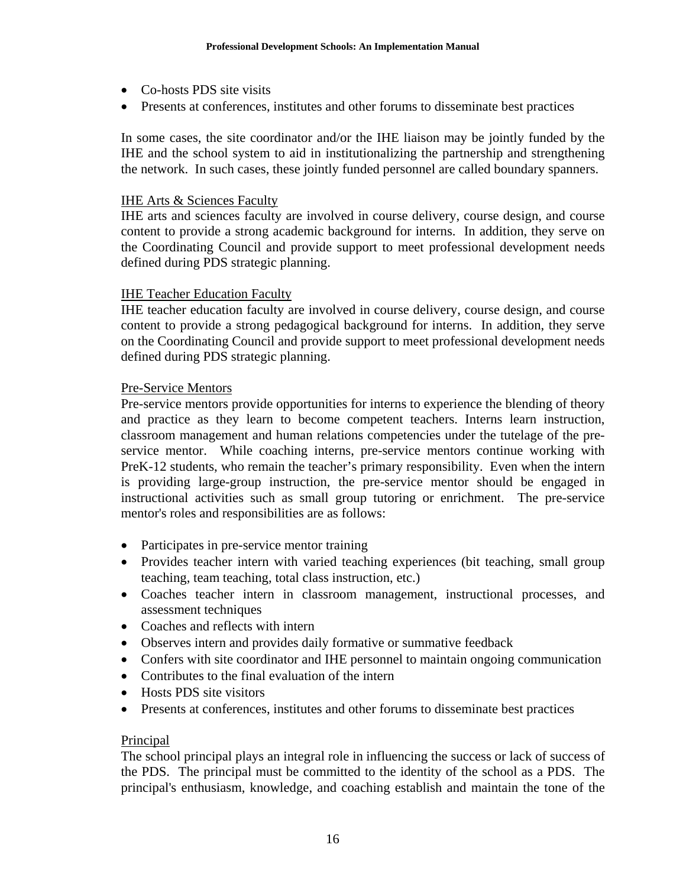- Co-hosts PDS site visits
- Presents at conferences, institutes and other forums to disseminate best practices

In some cases, the site coordinator and/or the IHE liaison may be jointly funded by the IHE and the school system to aid in institutionalizing the partnership and strengthening the network. In such cases, these jointly funded personnel are called boundary spanners.

## IHE Arts & Sciences Faculty

IHE arts and sciences faculty are involved in course delivery, course design, and course content to provide a strong academic background for interns. In addition, they serve on the Coordinating Council and provide support to meet professional development needs defined during PDS strategic planning.

## IHE Teacher Education Faculty

IHE teacher education faculty are involved in course delivery, course design, and course content to provide a strong pedagogical background for interns. In addition, they serve on the Coordinating Council and provide support to meet professional development needs defined during PDS strategic planning.

## Pre-Service Mentors

Pre-service mentors provide opportunities for interns to experience the blending of theory and practice as they learn to become competent teachers. Interns learn instruction, classroom management and human relations competencies under the tutelage of the preservice mentor. While coaching interns, pre-service mentors continue working with PreK-12 students, who remain the teacher's primary responsibility. Even when the intern is providing large-group instruction, the pre-service mentor should be engaged in instructional activities such as small group tutoring or enrichment. The pre-service mentor's roles and responsibilities are as follows:

- Participates in pre-service mentor training
- Provides teacher intern with varied teaching experiences (bit teaching, small group teaching, team teaching, total class instruction, etc.)
- Coaches teacher intern in classroom management, instructional processes, and assessment techniques
- Coaches and reflects with intern
- Observes intern and provides daily formative or summative feedback
- Confers with site coordinator and IHE personnel to maintain ongoing communication
- Contributes to the final evaluation of the intern
- Hosts PDS site visitors
- Presents at conferences, institutes and other forums to disseminate best practices

## Principal

The school principal plays an integral role in influencing the success or lack of success of the PDS. The principal must be committed to the identity of the school as a PDS. The principal's enthusiasm, knowledge, and coaching establish and maintain the tone of the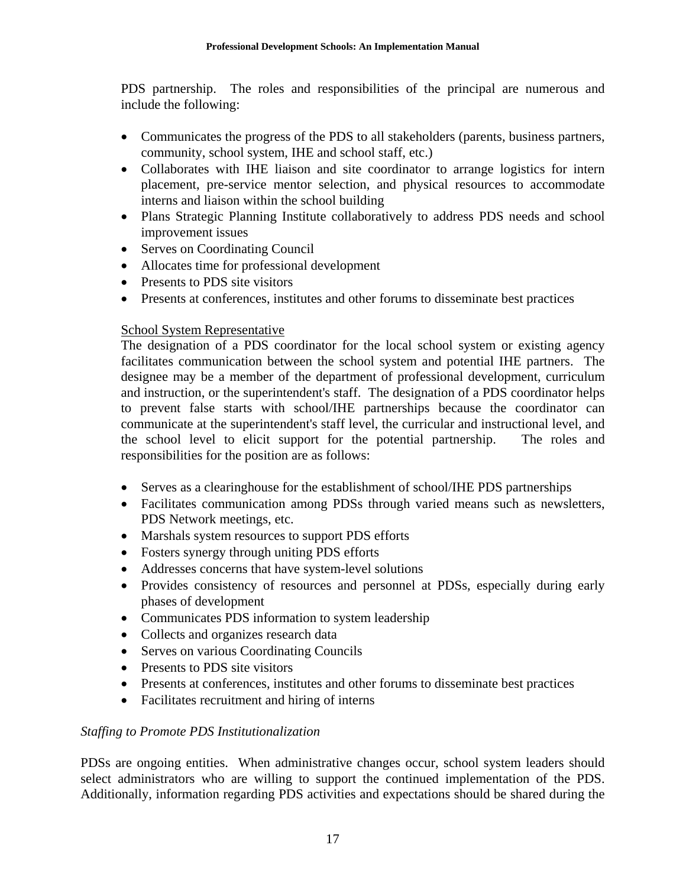PDS partnership. The roles and responsibilities of the principal are numerous and include the following:

- Communicates the progress of the PDS to all stakeholders (parents, business partners, community, school system, IHE and school staff, etc.)
- Collaborates with IHE liaison and site coordinator to arrange logistics for intern placement, pre-service mentor selection, and physical resources to accommodate interns and liaison within the school building
- Plans Strategic Planning Institute collaboratively to address PDS needs and school improvement issues
- Serves on Coordinating Council
- Allocates time for professional development
- Presents to PDS site visitors
- Presents at conferences, institutes and other forums to disseminate best practices

## School System Representative

The designation of a PDS coordinator for the local school system or existing agency facilitates communication between the school system and potential IHE partners. The designee may be a member of the department of professional development, curriculum and instruction, or the superintendent's staff. The designation of a PDS coordinator helps to prevent false starts with school/IHE partnerships because the coordinator can communicate at the superintendent's staff level, the curricular and instructional level, and the school level to elicit support for the potential partnership. The roles and responsibilities for the position are as follows:

- Serves as a clearinghouse for the establishment of school/IHE PDS partnerships
- Facilitates communication among PDSs through varied means such as newsletters, PDS Network meetings, etc.
- Marshals system resources to support PDS efforts
- Fosters synergy through uniting PDS efforts
- Addresses concerns that have system-level solutions
- Provides consistency of resources and personnel at PDSs, especially during early phases of development
- Communicates PDS information to system leadership
- Collects and organizes research data
- Serves on various Coordinating Councils
- Presents to PDS site visitors
- Presents at conferences, institutes and other forums to disseminate best practices
- Facilitates recruitment and hiring of interns

# *Staffing to Promote PDS Institutionalization*

PDSs are ongoing entities. When administrative changes occur, school system leaders should select administrators who are willing to support the continued implementation of the PDS. Additionally, information regarding PDS activities and expectations should be shared during the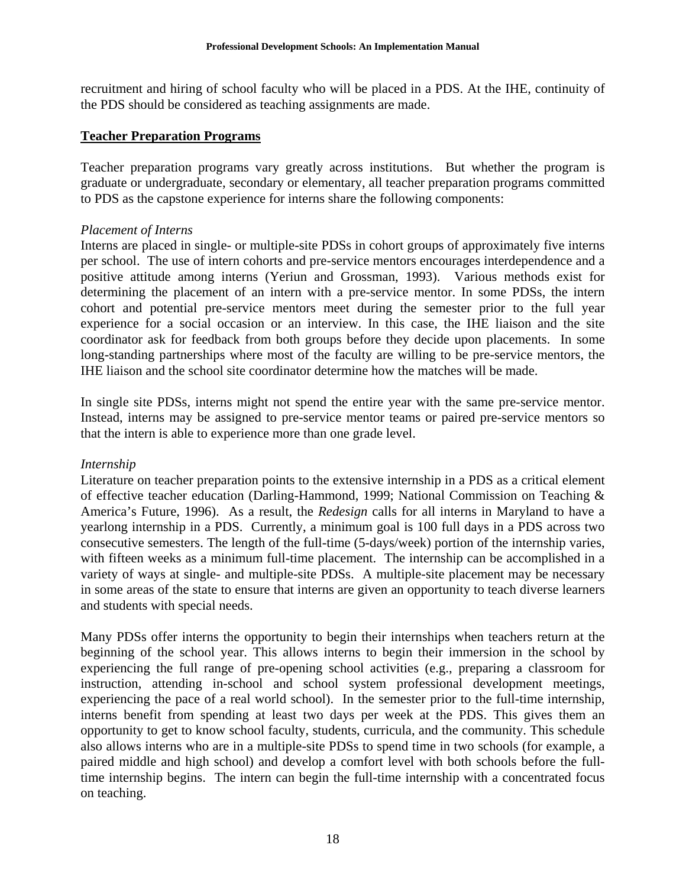recruitment and hiring of school faculty who will be placed in a PDS. At the IHE, continuity of the PDS should be considered as teaching assignments are made.

## **Teacher Preparation Programs**

Teacher preparation programs vary greatly across institutions. But whether the program is graduate or undergraduate, secondary or elementary, all teacher preparation programs committed to PDS as the capstone experience for interns share the following components:

## *Placement of Interns*

Interns are placed in single- or multiple-site PDSs in cohort groups of approximately five interns per school. The use of intern cohorts and pre-service mentors encourages interdependence and a positive attitude among interns (Yeriun and Grossman, 1993). Various methods exist for determining the placement of an intern with a pre-service mentor. In some PDSs, the intern cohort and potential pre-service mentors meet during the semester prior to the full year experience for a social occasion or an interview. In this case, the IHE liaison and the site coordinator ask for feedback from both groups before they decide upon placements. In some long-standing partnerships where most of the faculty are willing to be pre-service mentors, the IHE liaison and the school site coordinator determine how the matches will be made.

In single site PDSs, interns might not spend the entire year with the same pre-service mentor. Instead, interns may be assigned to pre-service mentor teams or paired pre-service mentors so that the intern is able to experience more than one grade level.

## *Internship*

Literature on teacher preparation points to the extensive internship in a PDS as a critical element of effective teacher education (Darling-Hammond, 1999; National Commission on Teaching & America's Future, 1996). As a result, the *Redesign* calls for all interns in Maryland to have a yearlong internship in a PDS. Currently, a minimum goal is 100 full days in a PDS across two consecutive semesters. The length of the full-time (5-days/week) portion of the internship varies, with fifteen weeks as a minimum full-time placement. The internship can be accomplished in a variety of ways at single- and multiple-site PDSs. A multiple-site placement may be necessary in some areas of the state to ensure that interns are given an opportunity to teach diverse learners and students with special needs.

Many PDSs offer interns the opportunity to begin their internships when teachers return at the beginning of the school year. This allows interns to begin their immersion in the school by experiencing the full range of pre-opening school activities (e.g., preparing a classroom for instruction, attending in-school and school system professional development meetings, experiencing the pace of a real world school). In the semester prior to the full-time internship, interns benefit from spending at least two days per week at the PDS. This gives them an opportunity to get to know school faculty, students, curricula, and the community. This schedule also allows interns who are in a multiple-site PDSs to spend time in two schools (for example, a paired middle and high school) and develop a comfort level with both schools before the fulltime internship begins. The intern can begin the full-time internship with a concentrated focus on teaching.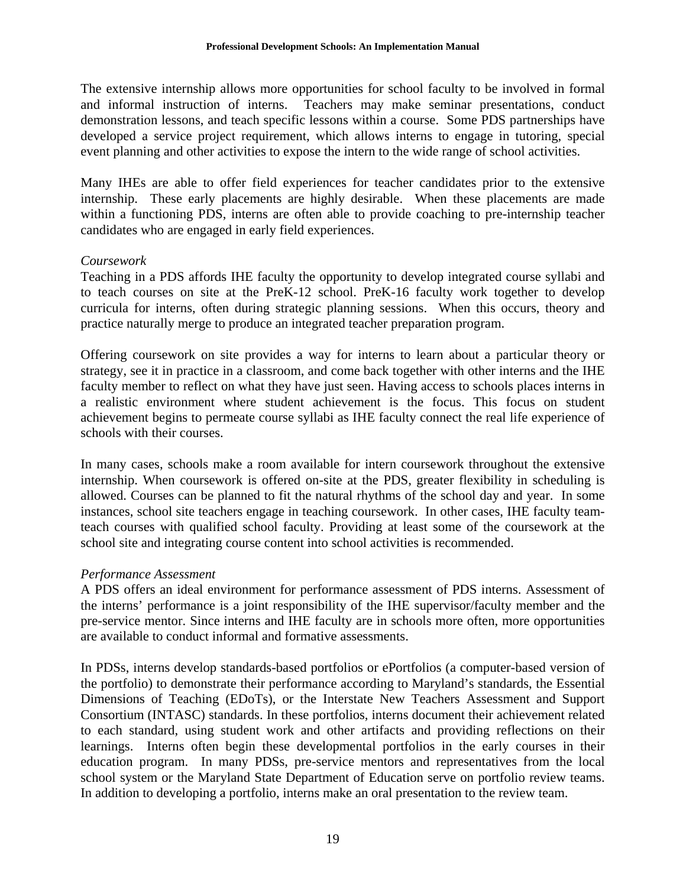The extensive internship allows more opportunities for school faculty to be involved in formal and informal instruction of interns. Teachers may make seminar presentations, conduct demonstration lessons, and teach specific lessons within a course. Some PDS partnerships have developed a service project requirement, which allows interns to engage in tutoring, special event planning and other activities to expose the intern to the wide range of school activities.

Many IHEs are able to offer field experiences for teacher candidates prior to the extensive internship. These early placements are highly desirable. When these placements are made within a functioning PDS, interns are often able to provide coaching to pre-internship teacher candidates who are engaged in early field experiences.

## *Coursework*

Teaching in a PDS affords IHE faculty the opportunity to develop integrated course syllabi and to teach courses on site at the PreK-12 school. PreK-16 faculty work together to develop curricula for interns, often during strategic planning sessions. When this occurs, theory and practice naturally merge to produce an integrated teacher preparation program.

Offering coursework on site provides a way for interns to learn about a particular theory or strategy, see it in practice in a classroom, and come back together with other interns and the IHE faculty member to reflect on what they have just seen. Having access to schools places interns in a realistic environment where student achievement is the focus. This focus on student achievement begins to permeate course syllabi as IHE faculty connect the real life experience of schools with their courses.

In many cases, schools make a room available for intern coursework throughout the extensive internship. When coursework is offered on-site at the PDS, greater flexibility in scheduling is allowed. Courses can be planned to fit the natural rhythms of the school day and year. In some instances, school site teachers engage in teaching coursework. In other cases, IHE faculty teamteach courses with qualified school faculty. Providing at least some of the coursework at the school site and integrating course content into school activities is recommended.

## *Performance Assessment*

A PDS offers an ideal environment for performance assessment of PDS interns. Assessment of the interns' performance is a joint responsibility of the IHE supervisor/faculty member and the pre-service mentor. Since interns and IHE faculty are in schools more often, more opportunities are available to conduct informal and formative assessments.

In PDSs, interns develop standards-based portfolios or ePortfolios (a computer-based version of the portfolio) to demonstrate their performance according to Maryland's standards, the Essential Dimensions of Teaching (EDoTs), or the Interstate New Teachers Assessment and Support Consortium (INTASC) standards. In these portfolios, interns document their achievement related to each standard, using student work and other artifacts and providing reflections on their learnings. Interns often begin these developmental portfolios in the early courses in their education program. In many PDSs, pre-service mentors and representatives from the local school system or the Maryland State Department of Education serve on portfolio review teams. In addition to developing a portfolio, interns make an oral presentation to the review team.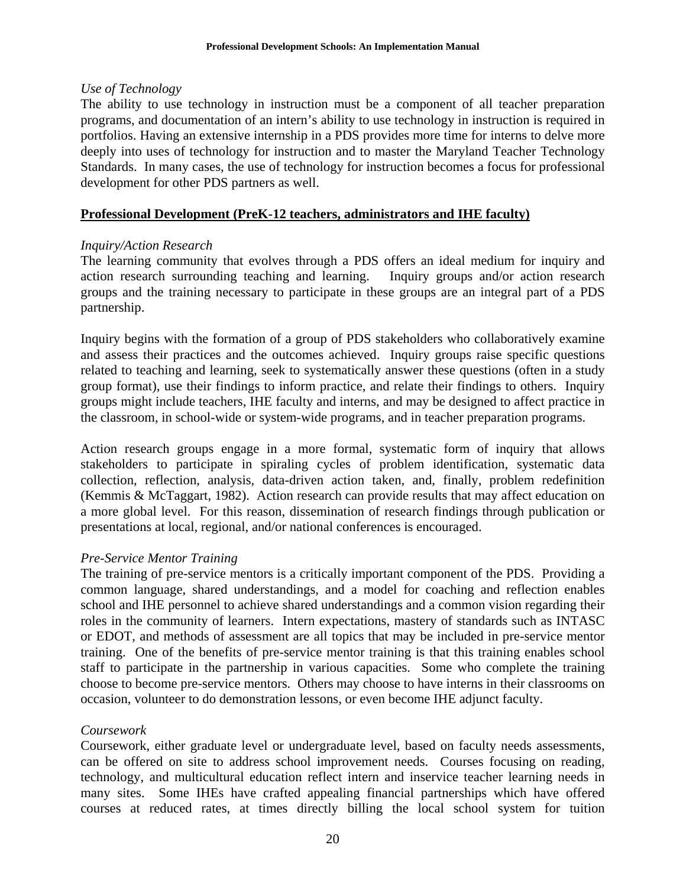## *Use of Technology*

The ability to use technology in instruction must be a component of all teacher preparation programs, and documentation of an intern's ability to use technology in instruction is required in portfolios. Having an extensive internship in a PDS provides more time for interns to delve more deeply into uses of technology for instruction and to master the Maryland Teacher Technology Standards. In many cases, the use of technology for instruction becomes a focus for professional development for other PDS partners as well.

## **Professional Development (PreK-12 teachers, administrators and IHE faculty)**

## *Inquiry/Action Research*

The learning community that evolves through a PDS offers an ideal medium for inquiry and action research surrounding teaching and learning. Inquiry groups and/or action research groups and the training necessary to participate in these groups are an integral part of a PDS partnership.

Inquiry begins with the formation of a group of PDS stakeholders who collaboratively examine and assess their practices and the outcomes achieved. Inquiry groups raise specific questions related to teaching and learning, seek to systematically answer these questions (often in a study group format), use their findings to inform practice, and relate their findings to others. Inquiry groups might include teachers, IHE faculty and interns, and may be designed to affect practice in the classroom, in school-wide or system-wide programs, and in teacher preparation programs.

Action research groups engage in a more formal, systematic form of inquiry that allows stakeholders to participate in spiraling cycles of problem identification, systematic data collection, reflection, analysis, data-driven action taken, and, finally, problem redefinition (Kemmis & McTaggart, 1982). Action research can provide results that may affect education on a more global level. For this reason, dissemination of research findings through publication or presentations at local, regional, and/or national conferences is encouraged.

## *Pre-Service Mentor Training*

The training of pre-service mentors is a critically important component of the PDS. Providing a common language, shared understandings, and a model for coaching and reflection enables school and IHE personnel to achieve shared understandings and a common vision regarding their roles in the community of learners. Intern expectations, mastery of standards such as INTASC or EDOT, and methods of assessment are all topics that may be included in pre-service mentor training. One of the benefits of pre-service mentor training is that this training enables school staff to participate in the partnership in various capacities. Some who complete the training choose to become pre-service mentors. Others may choose to have interns in their classrooms on occasion, volunteer to do demonstration lessons, or even become IHE adjunct faculty.

## *Coursework*

Coursework, either graduate level or undergraduate level, based on faculty needs assessments, can be offered on site to address school improvement needs. Courses focusing on reading, technology, and multicultural education reflect intern and inservice teacher learning needs in many sites. Some IHEs have crafted appealing financial partnerships which have offered courses at reduced rates, at times directly billing the local school system for tuition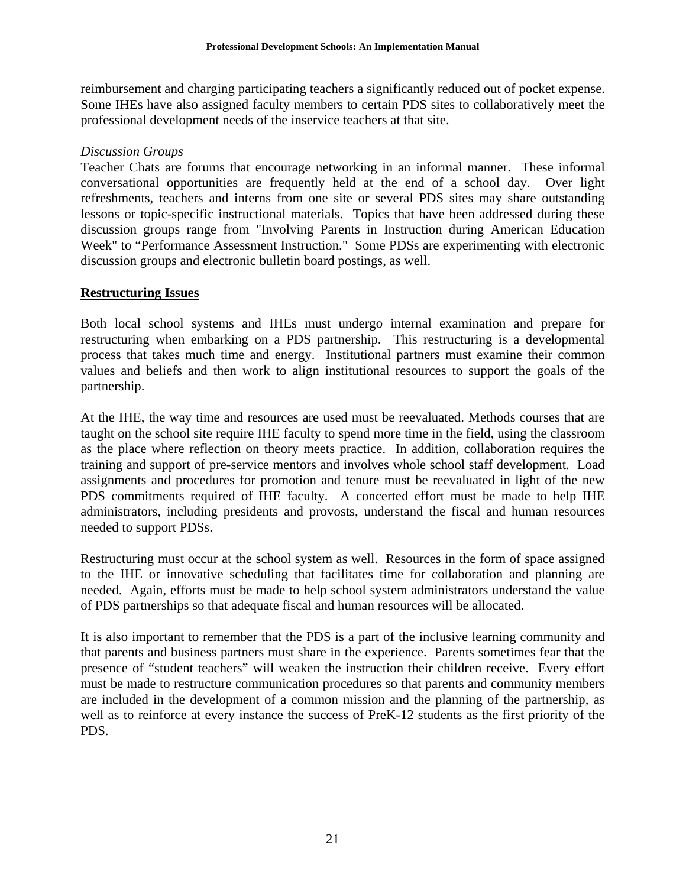reimbursement and charging participating teachers a significantly reduced out of pocket expense. Some IHEs have also assigned faculty members to certain PDS sites to collaboratively meet the professional development needs of the inservice teachers at that site.

## *Discussion Groups*

Teacher Chats are forums that encourage networking in an informal manner. These informal conversational opportunities are frequently held at the end of a school day. Over light refreshments, teachers and interns from one site or several PDS sites may share outstanding lessons or topic-specific instructional materials. Topics that have been addressed during these discussion groups range from "Involving Parents in Instruction during American Education Week" to "Performance Assessment Instruction." Some PDSs are experimenting with electronic discussion groups and electronic bulletin board postings, as well.

## **Restructuring Issues**

Both local school systems and IHEs must undergo internal examination and prepare for restructuring when embarking on a PDS partnership. This restructuring is a developmental process that takes much time and energy. Institutional partners must examine their common values and beliefs and then work to align institutional resources to support the goals of the partnership.

At the IHE, the way time and resources are used must be reevaluated. Methods courses that are taught on the school site require IHE faculty to spend more time in the field, using the classroom as the place where reflection on theory meets practice. In addition, collaboration requires the training and support of pre-service mentors and involves whole school staff development. Load assignments and procedures for promotion and tenure must be reevaluated in light of the new PDS commitments required of IHE faculty. A concerted effort must be made to help IHE administrators, including presidents and provosts, understand the fiscal and human resources needed to support PDSs.

Restructuring must occur at the school system as well. Resources in the form of space assigned to the IHE or innovative scheduling that facilitates time for collaboration and planning are needed. Again, efforts must be made to help school system administrators understand the value of PDS partnerships so that adequate fiscal and human resources will be allocated.

It is also important to remember that the PDS is a part of the inclusive learning community and that parents and business partners must share in the experience. Parents sometimes fear that the presence of "student teachers" will weaken the instruction their children receive. Every effort must be made to restructure communication procedures so that parents and community members are included in the development of a common mission and the planning of the partnership, as well as to reinforce at every instance the success of PreK-12 students as the first priority of the PDS.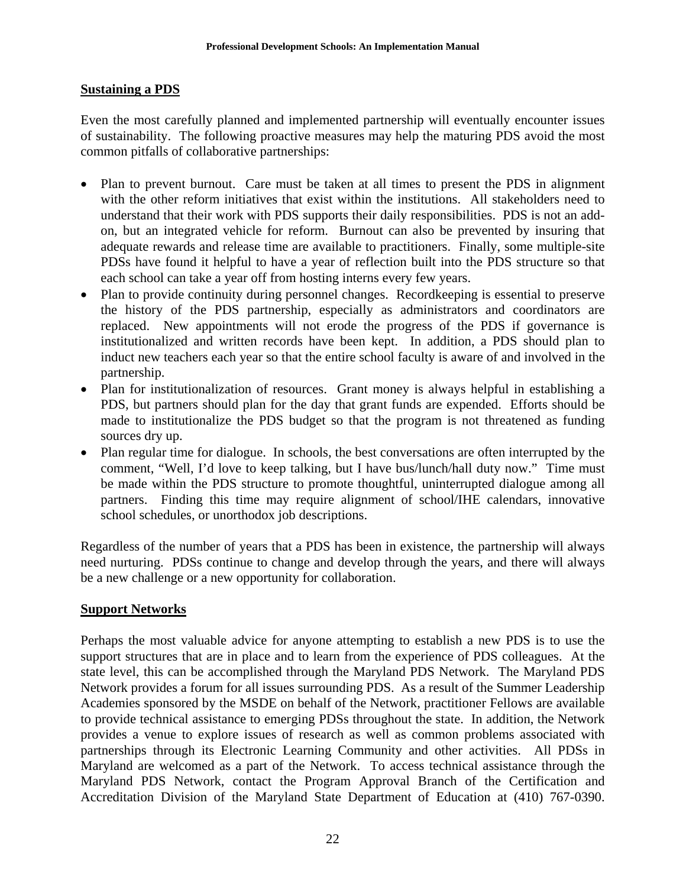## **Sustaining a PDS**

Even the most carefully planned and implemented partnership will eventually encounter issues of sustainability. The following proactive measures may help the maturing PDS avoid the most common pitfalls of collaborative partnerships:

- Plan to prevent burnout. Care must be taken at all times to present the PDS in alignment with the other reform initiatives that exist within the institutions. All stakeholders need to understand that their work with PDS supports their daily responsibilities. PDS is not an addon, but an integrated vehicle for reform. Burnout can also be prevented by insuring that adequate rewards and release time are available to practitioners. Finally, some multiple-site PDSs have found it helpful to have a year of reflection built into the PDS structure so that each school can take a year off from hosting interns every few years.
- Plan to provide continuity during personnel changes. Recordkeeping is essential to preserve the history of the PDS partnership, especially as administrators and coordinators are replaced. New appointments will not erode the progress of the PDS if governance is institutionalized and written records have been kept. In addition, a PDS should plan to induct new teachers each year so that the entire school faculty is aware of and involved in the partnership.
- Plan for institutionalization of resources. Grant money is always helpful in establishing a PDS, but partners should plan for the day that grant funds are expended. Efforts should be made to institutionalize the PDS budget so that the program is not threatened as funding sources dry up.
- Plan regular time for dialogue. In schools, the best conversations are often interrupted by the comment, "Well, I'd love to keep talking, but I have bus/lunch/hall duty now." Time must be made within the PDS structure to promote thoughtful, uninterrupted dialogue among all partners. Finding this time may require alignment of school/IHE calendars, innovative school schedules, or unorthodox job descriptions.

Regardless of the number of years that a PDS has been in existence, the partnership will always need nurturing. PDSs continue to change and develop through the years, and there will always be a new challenge or a new opportunity for collaboration.

# **Support Networks**

Perhaps the most valuable advice for anyone attempting to establish a new PDS is to use the support structures that are in place and to learn from the experience of PDS colleagues. At the state level, this can be accomplished through the Maryland PDS Network. The Maryland PDS Network provides a forum for all issues surrounding PDS. As a result of the Summer Leadership Academies sponsored by the MSDE on behalf of the Network, practitioner Fellows are available to provide technical assistance to emerging PDSs throughout the state. In addition, the Network provides a venue to explore issues of research as well as common problems associated with partnerships through its Electronic Learning Community and other activities. All PDSs in Maryland are welcomed as a part of the Network. To access technical assistance through the Maryland PDS Network, contact the Program Approval Branch of the Certification and Accreditation Division of the Maryland State Department of Education at (410) 767-0390.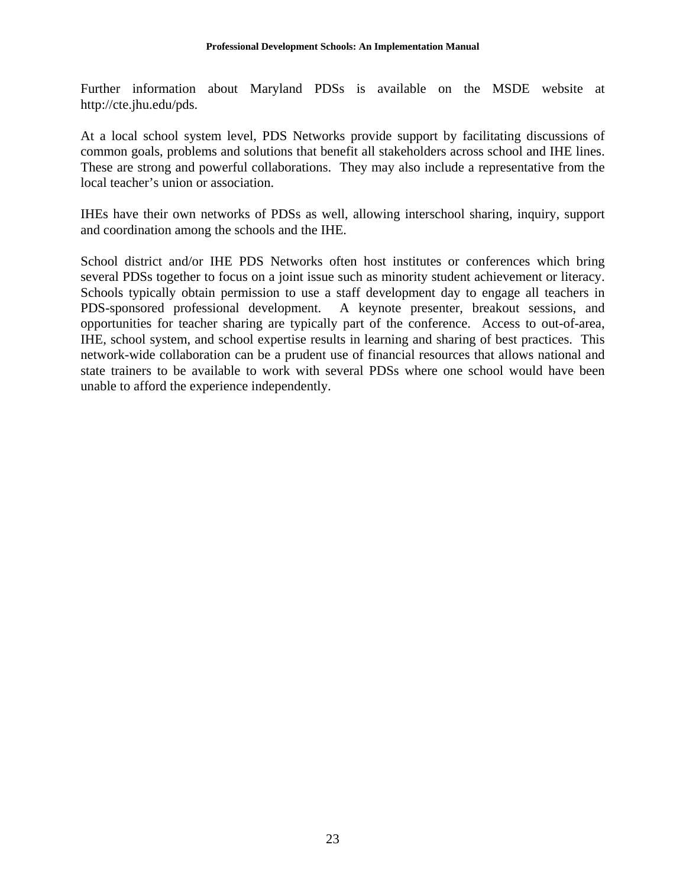Further information about Maryland PDSs is available on the MSDE website at http://cte.jhu.edu/pds.

At a local school system level, PDS Networks provide support by facilitating discussions of common goals, problems and solutions that benefit all stakeholders across school and IHE lines. These are strong and powerful collaborations. They may also include a representative from the local teacher's union or association.

IHEs have their own networks of PDSs as well, allowing interschool sharing, inquiry, support and coordination among the schools and the IHE.

School district and/or IHE PDS Networks often host institutes or conferences which bring several PDSs together to focus on a joint issue such as minority student achievement or literacy. Schools typically obtain permission to use a staff development day to engage all teachers in PDS-sponsored professional development. A keynote presenter, breakout sessions, and opportunities for teacher sharing are typically part of the conference. Access to out-of-area, IHE, school system, and school expertise results in learning and sharing of best practices. This network-wide collaboration can be a prudent use of financial resources that allows national and state trainers to be available to work with several PDSs where one school would have been unable to afford the experience independently.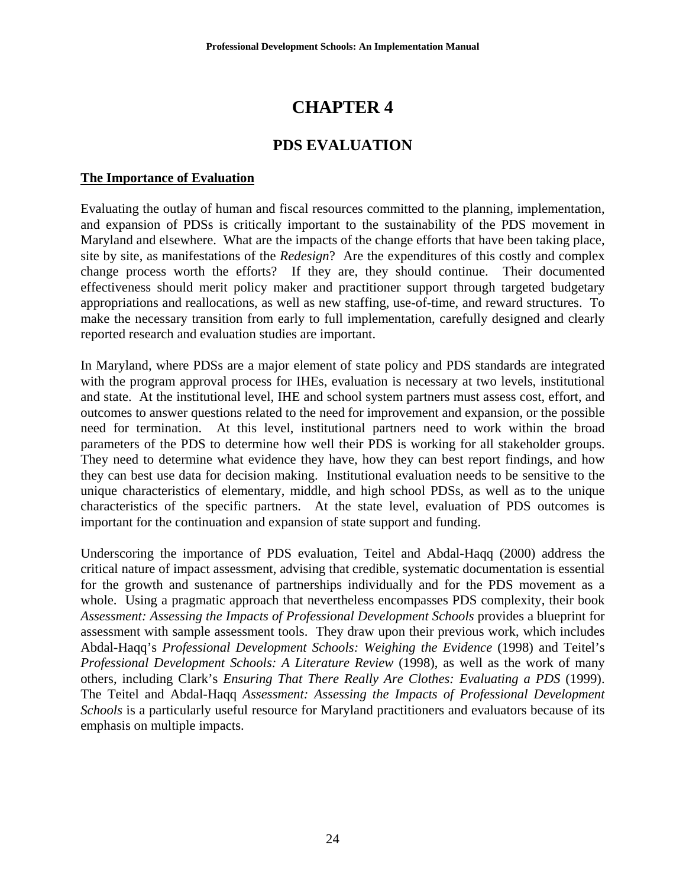# **CHAPTER 4**

# **PDS EVALUATION**

## **The Importance of Evaluation**

Evaluating the outlay of human and fiscal resources committed to the planning, implementation, and expansion of PDSs is critically important to the sustainability of the PDS movement in Maryland and elsewhere. What are the impacts of the change efforts that have been taking place, site by site, as manifestations of the *Redesign*? Are the expenditures of this costly and complex change process worth the efforts? If they are, they should continue. Their documented effectiveness should merit policy maker and practitioner support through targeted budgetary appropriations and reallocations, as well as new staffing, use-of-time, and reward structures. To make the necessary transition from early to full implementation, carefully designed and clearly reported research and evaluation studies are important.

In Maryland, where PDSs are a major element of state policy and PDS standards are integrated with the program approval process for IHEs, evaluation is necessary at two levels, institutional and state. At the institutional level, IHE and school system partners must assess cost, effort, and outcomes to answer questions related to the need for improvement and expansion, or the possible need for termination. At this level, institutional partners need to work within the broad parameters of the PDS to determine how well their PDS is working for all stakeholder groups. They need to determine what evidence they have, how they can best report findings, and how they can best use data for decision making. Institutional evaluation needs to be sensitive to the unique characteristics of elementary, middle, and high school PDSs, as well as to the unique characteristics of the specific partners. At the state level, evaluation of PDS outcomes is important for the continuation and expansion of state support and funding.

Underscoring the importance of PDS evaluation, Teitel and Abdal-Haqq (2000) address the critical nature of impact assessment, advising that credible, systematic documentation is essential for the growth and sustenance of partnerships individually and for the PDS movement as a whole. Using a pragmatic approach that nevertheless encompasses PDS complexity, their book *Assessment: Assessing the Impacts of Professional Development Schools* provides a blueprint for assessment with sample assessment tools. They draw upon their previous work, which includes Abdal-Haqq's *Professional Development Schools: Weighing the Evidence* (1998) and Teitel's *Professional Development Schools: A Literature Review* (1998), as well as the work of many others, including Clark's *Ensuring That There Really Are Clothes: Evaluating a PDS* (1999). The Teitel and Abdal-Haqq *Assessment: Assessing the Impacts of Professional Development Schools* is a particularly useful resource for Maryland practitioners and evaluators because of its emphasis on multiple impacts.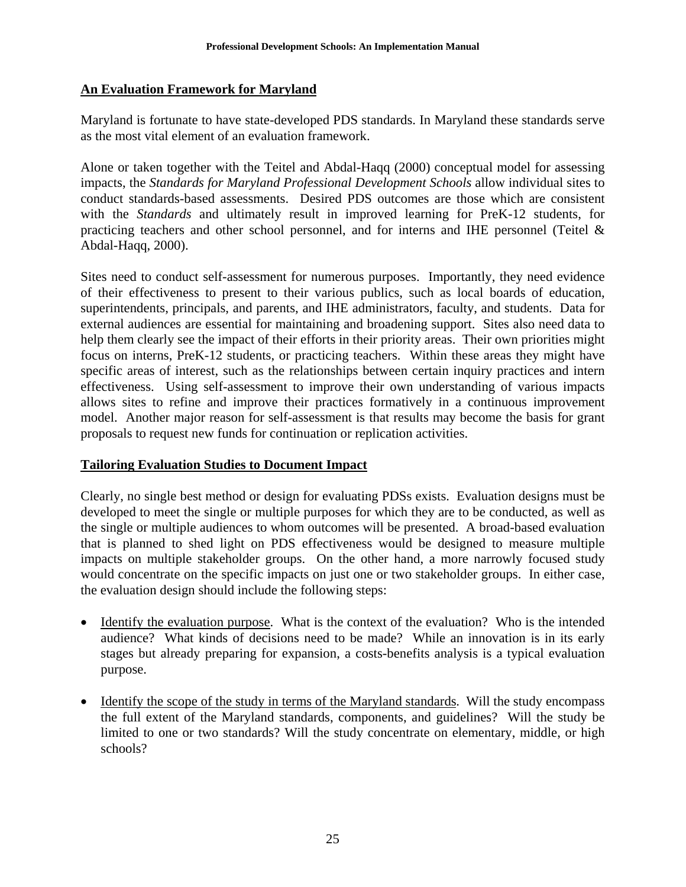## **An Evaluation Framework for Maryland**

Maryland is fortunate to have state-developed PDS standards. In Maryland these standards serve as the most vital element of an evaluation framework.

Alone or taken together with the Teitel and Abdal-Haqq (2000) conceptual model for assessing impacts, the *Standards for Maryland Professional Development Schools* allow individual sites to conduct standards-based assessments. Desired PDS outcomes are those which are consistent with the *Standards* and ultimately result in improved learning for PreK-12 students, for practicing teachers and other school personnel, and for interns and IHE personnel (Teitel & Abdal-Haqq, 2000).

Sites need to conduct self-assessment for numerous purposes. Importantly, they need evidence of their effectiveness to present to their various publics, such as local boards of education, superintendents, principals, and parents, and IHE administrators, faculty, and students. Data for external audiences are essential for maintaining and broadening support. Sites also need data to help them clearly see the impact of their efforts in their priority areas. Their own priorities might focus on interns, PreK-12 students, or practicing teachers. Within these areas they might have specific areas of interest, such as the relationships between certain inquiry practices and intern effectiveness. Using self-assessment to improve their own understanding of various impacts allows sites to refine and improve their practices formatively in a continuous improvement model. Another major reason for self-assessment is that results may become the basis for grant proposals to request new funds for continuation or replication activities.

## **Tailoring Evaluation Studies to Document Impact**

Clearly, no single best method or design for evaluating PDSs exists. Evaluation designs must be developed to meet the single or multiple purposes for which they are to be conducted, as well as the single or multiple audiences to whom outcomes will be presented. A broad-based evaluation that is planned to shed light on PDS effectiveness would be designed to measure multiple impacts on multiple stakeholder groups. On the other hand, a more narrowly focused study would concentrate on the specific impacts on just one or two stakeholder groups. In either case, the evaluation design should include the following steps:

- Identify the evaluation purpose.What is the context of the evaluation? Who is the intended audience? What kinds of decisions need to be made? While an innovation is in its early stages but already preparing for expansion, a costs-benefits analysis is a typical evaluation purpose.
- Identify the scope of the study in terms of the Maryland standards. Will the study encompass the full extent of the Maryland standards, components, and guidelines? Will the study be limited to one or two standards? Will the study concentrate on elementary, middle, or high schools?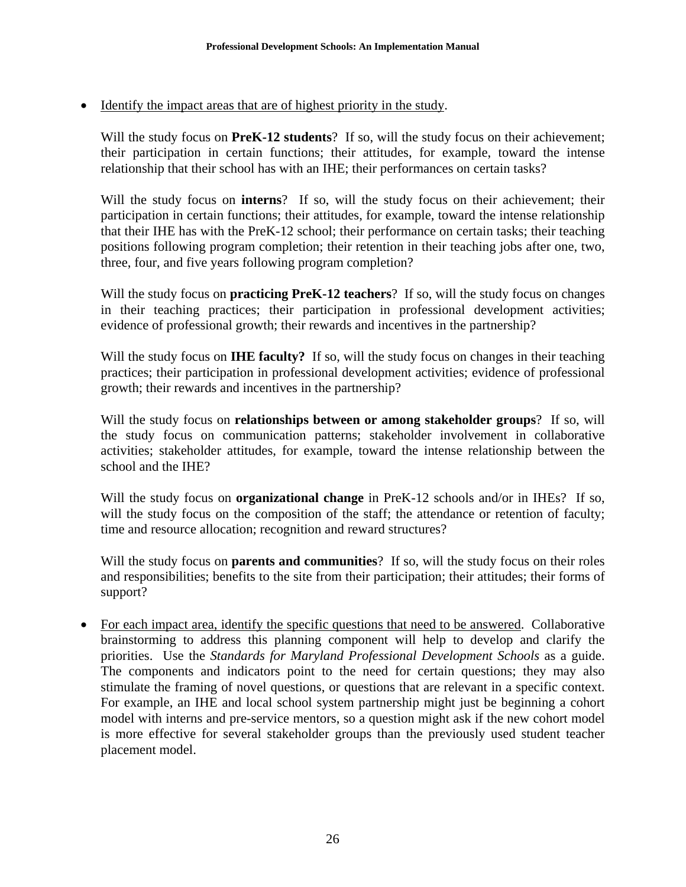• Identify the impact areas that are of highest priority in the study.

Will the study focus on **PreK-12 students**? If so, will the study focus on their achievement; their participation in certain functions; their attitudes, for example, toward the intense relationship that their school has with an IHE; their performances on certain tasks?

Will the study focus on **interns**? If so, will the study focus on their achievement; their participation in certain functions; their attitudes, for example, toward the intense relationship that their IHE has with the PreK-12 school; their performance on certain tasks; their teaching positions following program completion; their retention in their teaching jobs after one, two, three, four, and five years following program completion?

Will the study focus on **practicing PreK-12 teachers**? If so, will the study focus on changes in their teaching practices; their participation in professional development activities; evidence of professional growth; their rewards and incentives in the partnership?

Will the study focus on **IHE faculty?** If so, will the study focus on changes in their teaching practices; their participation in professional development activities; evidence of professional growth; their rewards and incentives in the partnership?

Will the study focus on **relationships between or among stakeholder groups**? If so, will the study focus on communication patterns; stakeholder involvement in collaborative activities; stakeholder attitudes, for example, toward the intense relationship between the school and the IHE?

Will the study focus on **organizational change** in PreK-12 schools and/or in IHEs? If so, will the study focus on the composition of the staff; the attendance or retention of faculty; time and resource allocation; recognition and reward structures?

Will the study focus on **parents and communities**? If so, will the study focus on their roles and responsibilities; benefits to the site from their participation; their attitudes; their forms of support?

• For each impact area, identify the specific questions that need to be answered. Collaborative brainstorming to address this planning component will help to develop and clarify the priorities. Use the *Standards for Maryland Professional Development Schools* as a guide. The components and indicators point to the need for certain questions; they may also stimulate the framing of novel questions, or questions that are relevant in a specific context. For example, an IHE and local school system partnership might just be beginning a cohort model with interns and pre-service mentors, so a question might ask if the new cohort model is more effective for several stakeholder groups than the previously used student teacher placement model.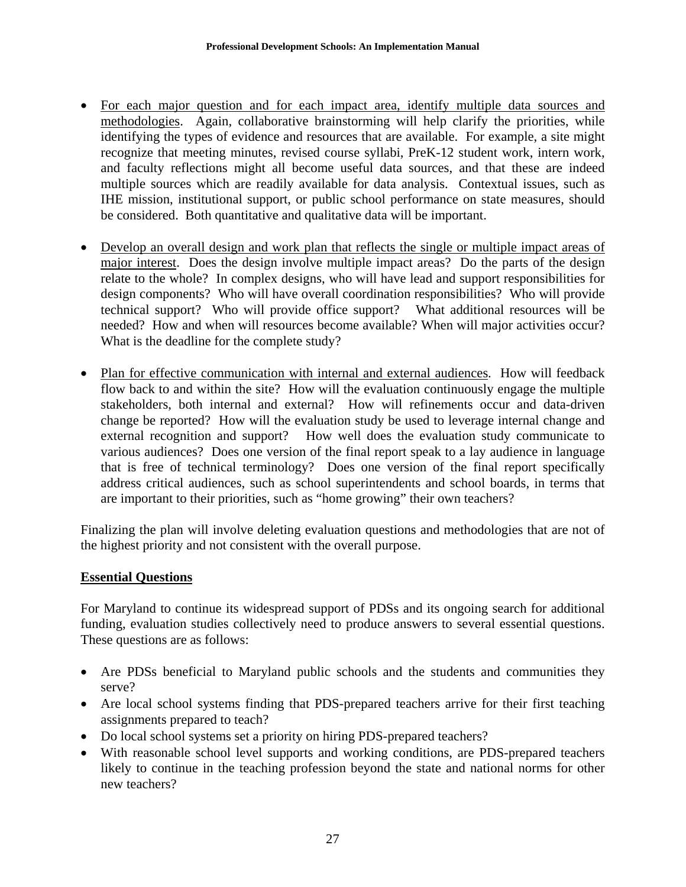- For each major question and for each impact area, identify multiple data sources and methodologies. Again, collaborative brainstorming will help clarify the priorities, while identifying the types of evidence and resources that are available. For example, a site might recognize that meeting minutes, revised course syllabi, PreK-12 student work, intern work, and faculty reflections might all become useful data sources, and that these are indeed multiple sources which are readily available for data analysis. Contextual issues, such as IHE mission, institutional support, or public school performance on state measures, should be considered. Both quantitative and qualitative data will be important.
- Develop an overall design and work plan that reflects the single or multiple impact areas of major interest. Does the design involve multiple impact areas? Do the parts of the design relate to the whole? In complex designs, who will have lead and support responsibilities for design components? Who will have overall coordination responsibilities? Who will provide technical support? Who will provide office support? What additional resources will be needed? How and when will resources become available? When will major activities occur? What is the deadline for the complete study?
- Plan for effective communication with internal and external audiences. How will feedback flow back to and within the site? How will the evaluation continuously engage the multiple stakeholders, both internal and external? How will refinements occur and data-driven change be reported? How will the evaluation study be used to leverage internal change and external recognition and support? How well does the evaluation study communicate to various audiences? Does one version of the final report speak to a lay audience in language that is free of technical terminology? Does one version of the final report specifically address critical audiences, such as school superintendents and school boards, in terms that are important to their priorities, such as "home growing" their own teachers?

Finalizing the plan will involve deleting evaluation questions and methodologies that are not of the highest priority and not consistent with the overall purpose.

#### **Essential Questions**

For Maryland to continue its widespread support of PDSs and its ongoing search for additional funding, evaluation studies collectively need to produce answers to several essential questions. These questions are as follows:

- Are PDSs beneficial to Maryland public schools and the students and communities they serve?
- Are local school systems finding that PDS-prepared teachers arrive for their first teaching assignments prepared to teach?
- Do local school systems set a priority on hiring PDS-prepared teachers?
- With reasonable school level supports and working conditions, are PDS-prepared teachers likely to continue in the teaching profession beyond the state and national norms for other new teachers?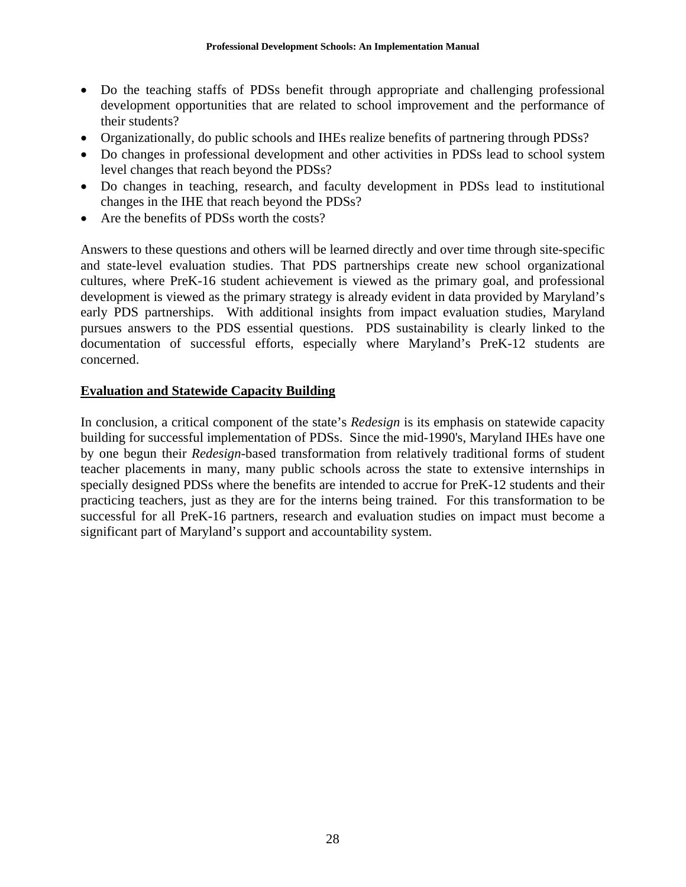- Do the teaching staffs of PDSs benefit through appropriate and challenging professional development opportunities that are related to school improvement and the performance of their students?
- Organizationally, do public schools and IHEs realize benefits of partnering through PDSs?
- Do changes in professional development and other activities in PDSs lead to school system level changes that reach beyond the PDSs?
- Do changes in teaching, research, and faculty development in PDSs lead to institutional changes in the IHE that reach beyond the PDSs?
- Are the benefits of PDSs worth the costs?

Answers to these questions and others will be learned directly and over time through site-specific and state-level evaluation studies. That PDS partnerships create new school organizational cultures, where PreK-16 student achievement is viewed as the primary goal, and professional development is viewed as the primary strategy is already evident in data provided by Maryland's early PDS partnerships. With additional insights from impact evaluation studies, Maryland pursues answers to the PDS essential questions. PDS sustainability is clearly linked to the documentation of successful efforts, especially where Maryland's PreK-12 students are concerned.

#### **Evaluation and Statewide Capacity Building**

In conclusion, a critical component of the state's *Redesign* is its emphasis on statewide capacity building for successful implementation of PDSs. Since the mid-1990's, Maryland IHEs have one by one begun their *Redesign*-based transformation from relatively traditional forms of student teacher placements in many, many public schools across the state to extensive internships in specially designed PDSs where the benefits are intended to accrue for PreK-12 students and their practicing teachers, just as they are for the interns being trained.For this transformation to be successful for all PreK-16 partners, research and evaluation studies on impact must become a significant part of Maryland's support and accountability system.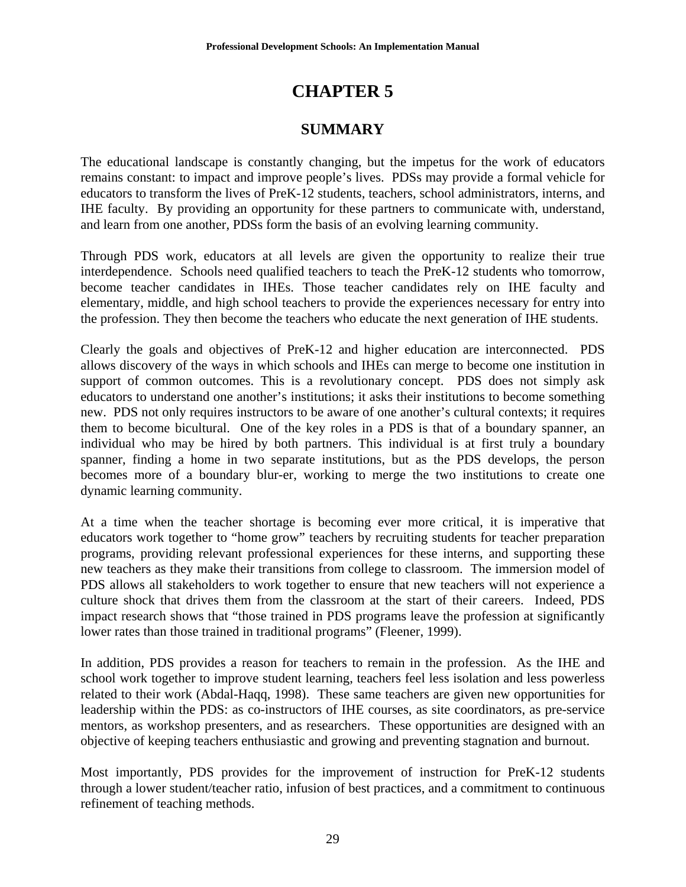## **CHAPTER 5**

### **SUMMARY**

The educational landscape is constantly changing, but the impetus for the work of educators remains constant: to impact and improve people's lives. PDSs may provide a formal vehicle for educators to transform the lives of PreK-12 students, teachers, school administrators, interns, and IHE faculty. By providing an opportunity for these partners to communicate with, understand, and learn from one another, PDSs form the basis of an evolving learning community.

Through PDS work, educators at all levels are given the opportunity to realize their true interdependence. Schools need qualified teachers to teach the PreK-12 students who tomorrow, become teacher candidates in IHEs. Those teacher candidates rely on IHE faculty and elementary, middle, and high school teachers to provide the experiences necessary for entry into the profession. They then become the teachers who educate the next generation of IHE students.

Clearly the goals and objectives of PreK-12 and higher education are interconnected. PDS allows discovery of the ways in which schools and IHEs can merge to become one institution in support of common outcomes. This is a revolutionary concept. PDS does not simply ask educators to understand one another's institutions; it asks their institutions to become something new. PDS not only requires instructors to be aware of one another's cultural contexts; it requires them to become bicultural. One of the key roles in a PDS is that of a boundary spanner, an individual who may be hired by both partners. This individual is at first truly a boundary spanner, finding a home in two separate institutions, but as the PDS develops, the person becomes more of a boundary blur-er, working to merge the two institutions to create one dynamic learning community.

At a time when the teacher shortage is becoming ever more critical, it is imperative that educators work together to "home grow" teachers by recruiting students for teacher preparation programs, providing relevant professional experiences for these interns, and supporting these new teachers as they make their transitions from college to classroom. The immersion model of PDS allows all stakeholders to work together to ensure that new teachers will not experience a culture shock that drives them from the classroom at the start of their careers. Indeed, PDS impact research shows that "those trained in PDS programs leave the profession at significantly lower rates than those trained in traditional programs" (Fleener, 1999).

In addition, PDS provides a reason for teachers to remain in the profession. As the IHE and school work together to improve student learning, teachers feel less isolation and less powerless related to their work (Abdal-Haqq, 1998). These same teachers are given new opportunities for leadership within the PDS: as co-instructors of IHE courses, as site coordinators, as pre-service mentors, as workshop presenters, and as researchers. These opportunities are designed with an objective of keeping teachers enthusiastic and growing and preventing stagnation and burnout.

Most importantly, PDS provides for the improvement of instruction for PreK-12 students through a lower student/teacher ratio, infusion of best practices, and a commitment to continuous refinement of teaching methods.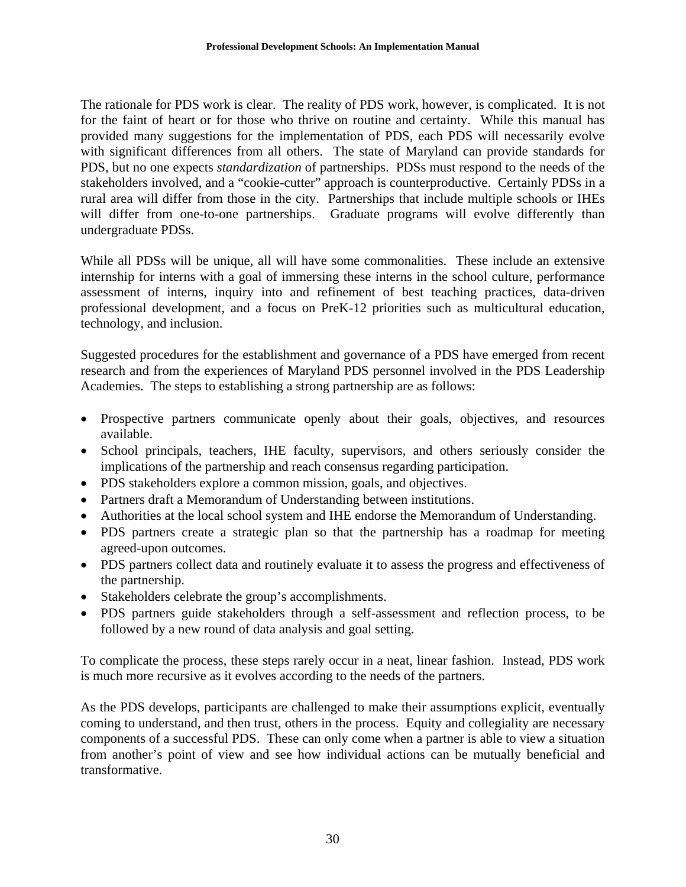The rationale for PDS work is clear. The reality of PDS work, however, is complicated. It is not for the faint of heart or for those who thrive on routine and certainty. While this manual has provided many suggestions for the implementation of PDS, each PDS will necessarily evolve with significant differences from all others. The state of Maryland can provide standards for PDS, but no one expects *standardization* of partnerships. PDSs must respond to the needs of the stakeholders involved, and a "cookie-cutter" approach is counterproductive. Certainly PDSs in a rural area will differ from those in the city. Partnerships that include multiple schools or IHEs will differ from one-to-one partnerships. Graduate programs will evolve differently than undergraduate PDSs.

While all PDSs will be unique, all will have some commonalities. These include an extensive internship for interns with a goal of immersing these interns in the school culture, performance assessment of interns, inquiry into and refinement of best teaching practices, data-driven professional development, and a focus on PreK-12 priorities such as multicultural education, technology, and inclusion.

Suggested procedures for the establishment and governance of a PDS have emerged from recent research and from the experiences of Maryland PDS personnel involved in the PDS Leadership Academies. The steps to establishing a strong partnership are as follows:

- Prospective partners communicate openly about their goals, objectives, and resources available.
- School principals, teachers, IHE faculty, supervisors, and others seriously consider the implications of the partnership and reach consensus regarding participation.
- PDS stakeholders explore a common mission, goals, and objectives.
- Partners draft a Memorandum of Understanding between institutions.
- Authorities at the local school system and IHE endorse the Memorandum of Understanding.
- PDS partners create a strategic plan so that the partnership has a roadmap for meeting agreed-upon outcomes.
- PDS partners collect data and routinely evaluate it to assess the progress and effectiveness of the partnership.
- Stakeholders celebrate the group's accomplishments.
- PDS partners guide stakeholders through a self-assessment and reflection process, to be followed by a new round of data analysis and goal setting.

To complicate the process, these steps rarely occur in a neat, linear fashion. Instead, PDS work is much more recursive as it evolves according to the needs of the partners.

As the PDS develops, participants are challenged to make their assumptions explicit, eventually coming to understand, and then trust, others in the process. Equity and collegiality are necessary components of a successful PDS. These can only come when a partner is able to view a situation from another's point of view and see how individual actions can be mutually beneficial and transformative.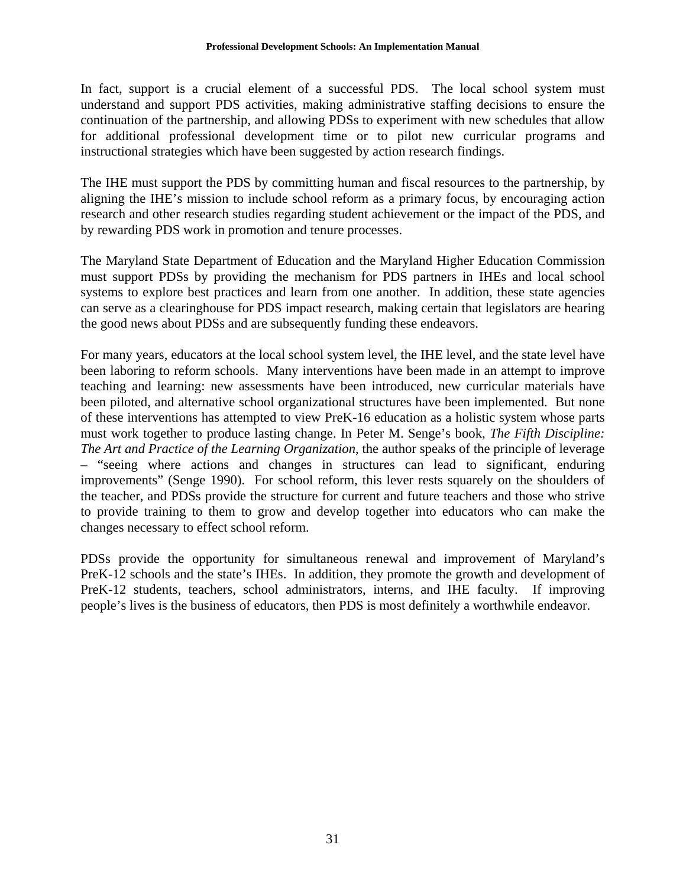In fact, support is a crucial element of a successful PDS. The local school system must understand and support PDS activities, making administrative staffing decisions to ensure the continuation of the partnership, and allowing PDSs to experiment with new schedules that allow for additional professional development time or to pilot new curricular programs and instructional strategies which have been suggested by action research findings.

The IHE must support the PDS by committing human and fiscal resources to the partnership, by aligning the IHE's mission to include school reform as a primary focus, by encouraging action research and other research studies regarding student achievement or the impact of the PDS, and by rewarding PDS work in promotion and tenure processes.

The Maryland State Department of Education and the Maryland Higher Education Commission must support PDSs by providing the mechanism for PDS partners in IHEs and local school systems to explore best practices and learn from one another. In addition, these state agencies can serve as a clearinghouse for PDS impact research, making certain that legislators are hearing the good news about PDSs and are subsequently funding these endeavors.

For many years, educators at the local school system level, the IHE level, and the state level have been laboring to reform schools. Many interventions have been made in an attempt to improve teaching and learning: new assessments have been introduced, new curricular materials have been piloted, and alternative school organizational structures have been implemented. But none of these interventions has attempted to view PreK-16 education as a holistic system whose parts must work together to produce lasting change. In Peter M. Senge's book, *The Fifth Discipline: The Art and Practice of the Learning Organization*, the author speaks of the principle of leverage – "seeing where actions and changes in structures can lead to significant, enduring improvements" (Senge 1990). For school reform, this lever rests squarely on the shoulders of the teacher, and PDSs provide the structure for current and future teachers and those who strive to provide training to them to grow and develop together into educators who can make the changes necessary to effect school reform.

PDSs provide the opportunity for simultaneous renewal and improvement of Maryland's PreK-12 schools and the state's IHEs. In addition, they promote the growth and development of PreK-12 students, teachers, school administrators, interns, and IHE faculty. If improving people's lives is the business of educators, then PDS is most definitely a worthwhile endeavor.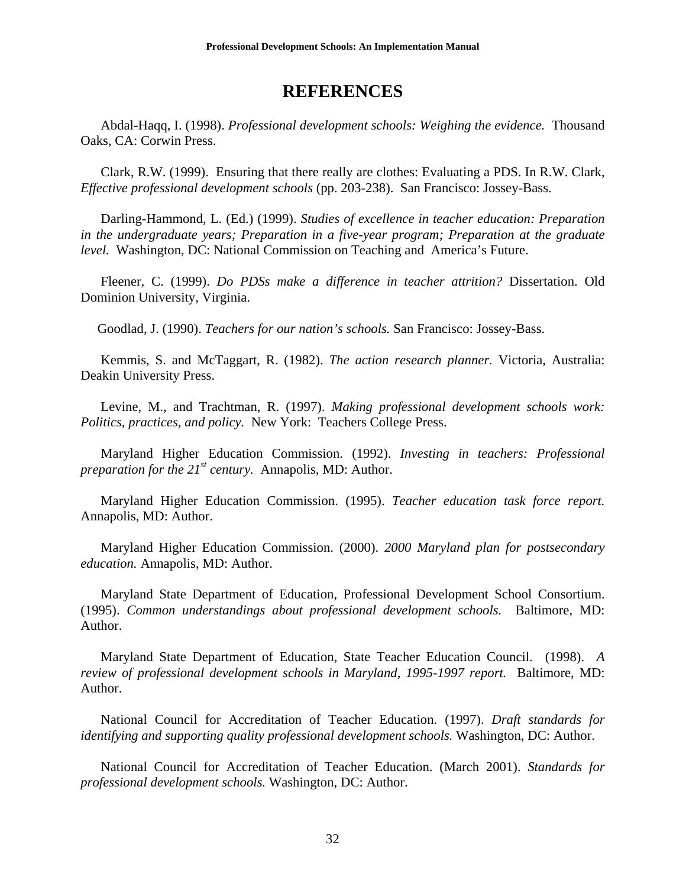### **REFERENCES**

 Abdal-Haqq, I. (1998). *Professional development schools: Weighing the evidence.* Thousand Oaks, CA: Corwin Press.

 Clark, R.W. (1999). Ensuring that there really are clothes: Evaluating a PDS. In R.W. Clark, *Effective professional development schools* (pp. 203-238). San Francisco: Jossey-Bass.

 Darling-Hammond, L. (Ed.) (1999). *Studies of excellence in teacher education: Preparation in the undergraduate years; Preparation in a five-year program; Preparation at the graduate level.* Washington, DC: National Commission on Teaching and America's Future.

Fleener, C. (1999). *Do PDSs make a difference in teacher attrition?* Dissertation. Old Dominion University, Virginia.

Goodlad, J. (1990). *Teachers for our nation's schools.* San Francisco: Jossey-Bass.

Kemmis, S. and McTaggart, R. (1982). *The action research planner.* Victoria, Australia: Deakin University Press.

Levine, M., and Trachtman, R. (1997). *Making professional development schools work: Politics, practices, and policy.* New York: Teachers College Press.

 Maryland Higher Education Commission. (1992). *Investing in teachers: Professional preparation for the 21st century.* Annapolis, MD: Author.

 Maryland Higher Education Commission. (1995). *Teacher education task force report.*  Annapolis, MD: Author.

 Maryland Higher Education Commission. (2000). *2000 Maryland plan for postsecondary education.* Annapolis, MD: Author.

 Maryland State Department of Education, Professional Development School Consortium. (1995). *Common understandings about professional development schools.* Baltimore, MD: Author.

 Maryland State Department of Education, State Teacher Education Council. (1998). *A review of professional development schools in Maryland, 1995-1997 report.* Baltimore, MD: Author.

National Council for Accreditation of Teacher Education. (1997). *Draft standards for identifying and supporting quality professional development schools.* Washington, DC: Author.

National Council for Accreditation of Teacher Education. (March 2001). *Standards for professional development schools.* Washington, DC: Author.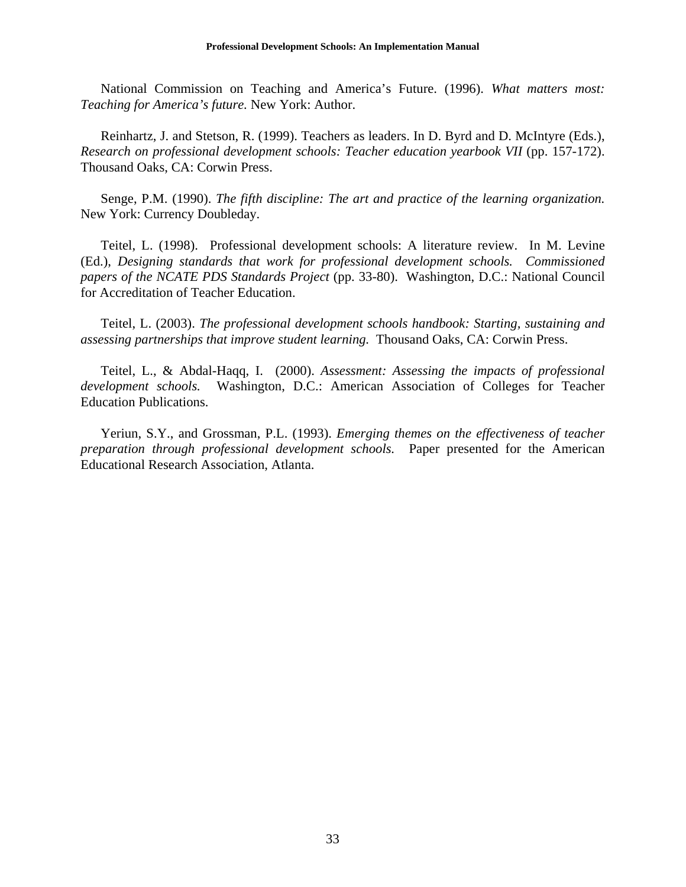National Commission on Teaching and America's Future. (1996). *What matters most: Teaching for America's future.* New York: Author.

Reinhartz, J. and Stetson, R. (1999). Teachers as leaders. In D. Byrd and D. McIntyre (Eds.), *Research on professional development schools: Teacher education yearbook VII* (pp. 157-172). Thousand Oaks, CA: Corwin Press.

Senge, P.M. (1990). *The fifth discipline: The art and practice of the learning organization.* New York: Currency Doubleday.

 Teitel, L. (1998). Professional development schools: A literature review. In M. Levine (Ed.), *Designing standards that work for professional development schools. Commissioned papers of the NCATE PDS Standards Project* (pp. 33-80). Washington, D.C.: National Council for Accreditation of Teacher Education.

 Teitel, L. (2003). *The professional development schools handbook: Starting, sustaining and assessing partnerships that improve student learning.* Thousand Oaks, CA: Corwin Press.

 Teitel, L., & Abdal-Haqq, I. (2000). *Assessment: Assessing the impacts of professional development schools.* Washington, D.C.: American Association of Colleges for Teacher Education Publications.

 Yeriun, S.Y., and Grossman, P.L. (1993). *Emerging themes on the effectiveness of teacher preparation through professional development schools.* Paper presented for the American Educational Research Association, Atlanta.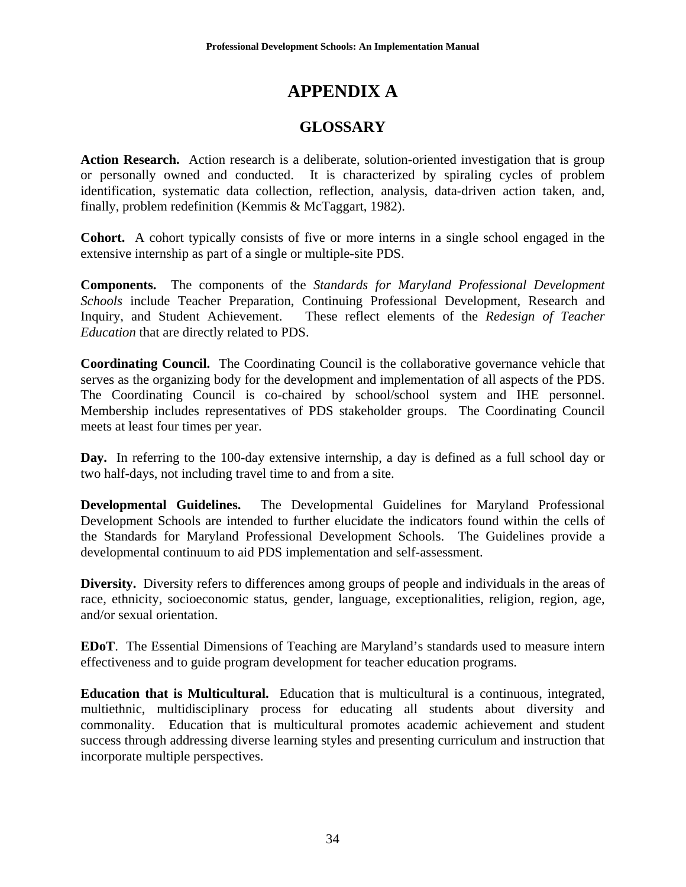# **APPENDIX A**

## **GLOSSARY**

**Action Research.** Action research is a deliberate, solution-oriented investigation that is group or personally owned and conducted. It is characterized by spiraling cycles of problem identification, systematic data collection, reflection, analysis, data-driven action taken, and, finally, problem redefinition (Kemmis & McTaggart, 1982).

**Cohort.** A cohort typically consists of five or more interns in a single school engaged in the extensive internship as part of a single or multiple-site PDS.

**Components.** The components of the *Standards for Maryland Professional Development Schools* include Teacher Preparation, Continuing Professional Development, Research and Inquiry, and Student Achievement. These reflect elements of the *Redesign of Teacher Education* that are directly related to PDS.

**Coordinating Council.** The Coordinating Council is the collaborative governance vehicle that serves as the organizing body for the development and implementation of all aspects of the PDS. The Coordinating Council is co-chaired by school/school system and IHE personnel. Membership includes representatives of PDS stakeholder groups. The Coordinating Council meets at least four times per year.

**Day.** In referring to the 100-day extensive internship, a day is defined as a full school day or two half-days, not including travel time to and from a site.

**Developmental Guidelines.** The Developmental Guidelines for Maryland Professional Development Schools are intended to further elucidate the indicators found within the cells of the Standards for Maryland Professional Development Schools. The Guidelines provide a developmental continuum to aid PDS implementation and self-assessment.

**Diversity.** Diversity refers to differences among groups of people and individuals in the areas of race, ethnicity, socioeconomic status, gender, language, exceptionalities, religion, region, age, and/or sexual orientation.

**EDoT**. The Essential Dimensions of Teaching are Maryland's standards used to measure intern effectiveness and to guide program development for teacher education programs.

**Education that is Multicultural.** Education that is multicultural is a continuous, integrated, multiethnic, multidisciplinary process for educating all students about diversity and commonality. Education that is multicultural promotes academic achievement and student success through addressing diverse learning styles and presenting curriculum and instruction that incorporate multiple perspectives.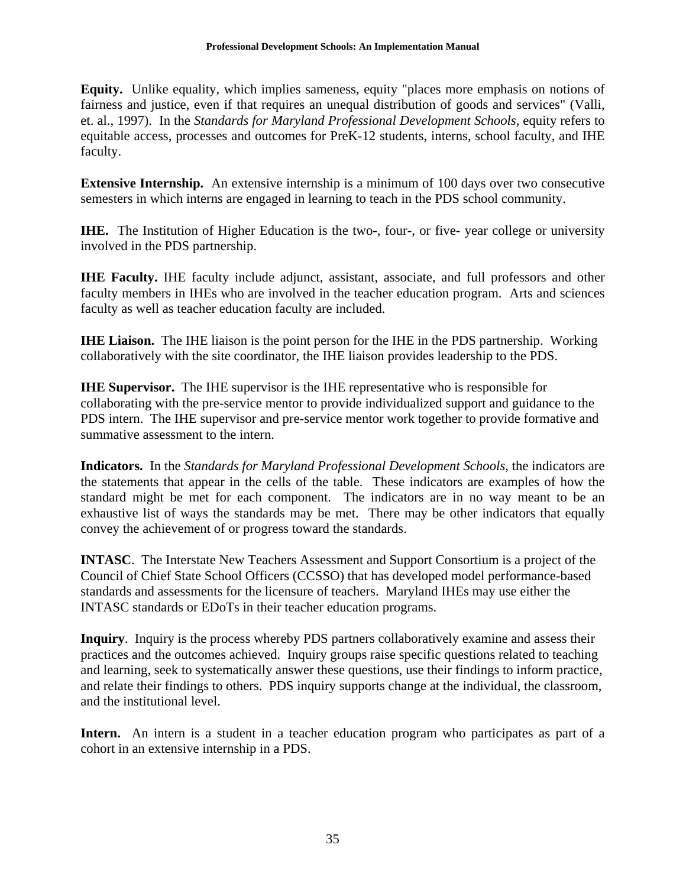**Equity.** Unlike equality, which implies sameness, equity "places more emphasis on notions of fairness and justice, even if that requires an unequal distribution of goods and services" (Valli, et. al., 1997). In the *Standards for Maryland Professional Development Schools,* equity refers to equitable access, processes and outcomes for PreK-12 students, interns, school faculty, and IHE faculty.

**Extensive Internship.** An extensive internship is a minimum of 100 days over two consecutive semesters in which interns are engaged in learning to teach in the PDS school community.

**IHE.** The Institution of Higher Education is the two-, four-, or five-year college or university involved in the PDS partnership.

**IHE Faculty.** IHE faculty include adjunct, assistant, associate, and full professors and other faculty members in IHEs who are involved in the teacher education program. Arts and sciences faculty as well as teacher education faculty are included.

**IHE Liaison.** The IHE liaison is the point person for the IHE in the PDS partnership. Working collaboratively with the site coordinator, the IHE liaison provides leadership to the PDS.

**IHE Supervisor.** The IHE supervisor is the IHE representative who is responsible for collaborating with the pre-service mentor to provide individualized support and guidance to the PDS intern. The IHE supervisor and pre-service mentor work together to provide formative and summative assessment to the intern.

**Indicators.** In the *Standards for Maryland Professional Development Schools*, the indicators are the statements that appear in the cells of the table. These indicators are examples of how the standard might be met for each component. The indicators are in no way meant to be an exhaustive list of ways the standards may be met. There may be other indicators that equally convey the achievement of or progress toward the standards.

**INTASC**. The Interstate New Teachers Assessment and Support Consortium is a project of the Council of Chief State School Officers (CCSSO) that has developed model performance-based standards and assessments for the licensure of teachers. Maryland IHEs may use either the INTASC standards or EDoTs in their teacher education programs.

**Inquiry**. Inquiry is the process whereby PDS partners collaboratively examine and assess their practices and the outcomes achieved. Inquiry groups raise specific questions related to teaching and learning, seek to systematically answer these questions, use their findings to inform practice, and relate their findings to others. PDS inquiry supports change at the individual, the classroom, and the institutional level.

Intern. An intern is a student in a teacher education program who participates as part of a cohort in an extensive internship in a PDS.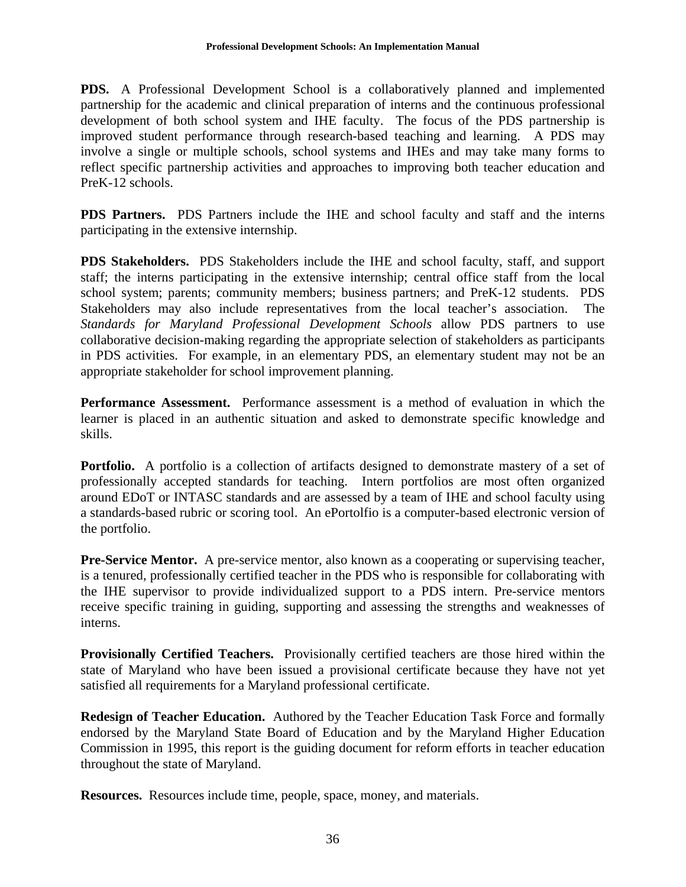**PDS.** A Professional Development School is a collaboratively planned and implemented partnership for the academic and clinical preparation of interns and the continuous professional development of both school system and IHE faculty. The focus of the PDS partnership is improved student performance through research-based teaching and learning. A PDS may involve a single or multiple schools, school systems and IHEs and may take many forms to reflect specific partnership activities and approaches to improving both teacher education and PreK-12 schools.

**PDS Partners.** PDS Partners include the IHE and school faculty and staff and the interns participating in the extensive internship.

**PDS Stakeholders.** PDS Stakeholders include the IHE and school faculty, staff, and support staff; the interns participating in the extensive internship; central office staff from the local school system; parents; community members; business partners; and PreK-12 students. PDS Stakeholders may also include representatives from the local teacher's association. The *Standards for Maryland Professional Development Schools* allow PDS partners to use collaborative decision-making regarding the appropriate selection of stakeholders as participants in PDS activities. For example, in an elementary PDS, an elementary student may not be an appropriate stakeholder for school improvement planning.

**Performance Assessment.** Performance assessment is a method of evaluation in which the learner is placed in an authentic situation and asked to demonstrate specific knowledge and skills.

**Portfolio.** A portfolio is a collection of artifacts designed to demonstrate mastery of a set of professionally accepted standards for teaching. Intern portfolios are most often organized around EDoT or INTASC standards and are assessed by a team of IHE and school faculty using a standards-based rubric or scoring tool. An ePortolfio is a computer-based electronic version of the portfolio.

**Pre-Service Mentor.** A pre-service mentor, also known as a cooperating or supervising teacher, is a tenured, professionally certified teacher in the PDS who is responsible for collaborating with the IHE supervisor to provide individualized support to a PDS intern. Pre-service mentors receive specific training in guiding, supporting and assessing the strengths and weaknesses of interns.

**Provisionally Certified Teachers.** Provisionally certified teachers are those hired within the state of Maryland who have been issued a provisional certificate because they have not yet satisfied all requirements for a Maryland professional certificate.

**Redesign of Teacher Education.** Authored by the Teacher Education Task Force and formally endorsed by the Maryland State Board of Education and by the Maryland Higher Education Commission in 1995, this report is the guiding document for reform efforts in teacher education throughout the state of Maryland.

**Resources.** Resources include time, people, space, money, and materials.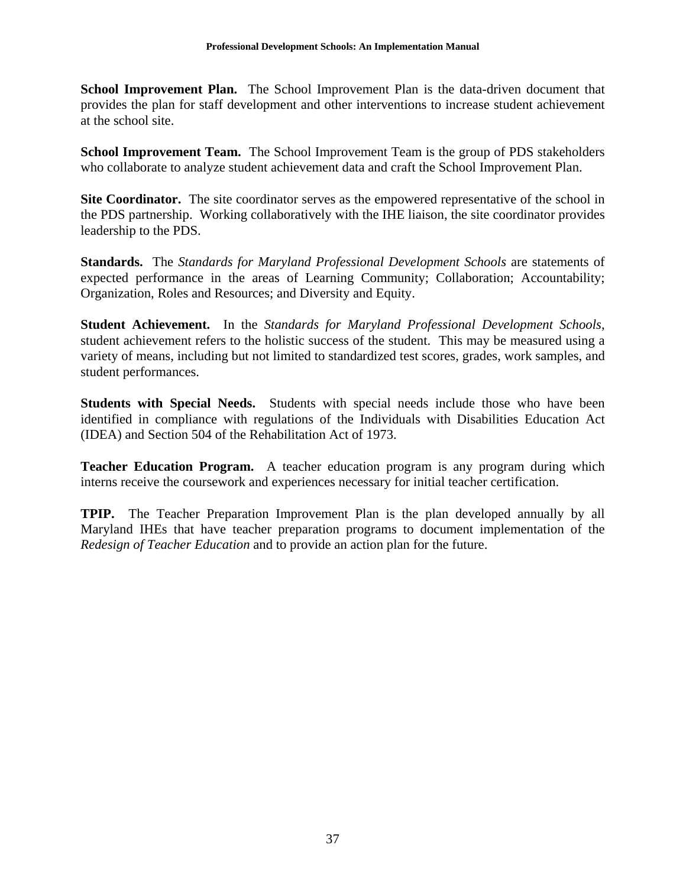**School Improvement Plan.** The School Improvement Plan is the data-driven document that provides the plan for staff development and other interventions to increase student achievement at the school site.

**School Improvement Team.** The School Improvement Team is the group of PDS stakeholders who collaborate to analyze student achievement data and craft the School Improvement Plan.

**Site Coordinator.** The site coordinator serves as the empowered representative of the school in the PDS partnership. Working collaboratively with the IHE liaison, the site coordinator provides leadership to the PDS.

**Standards.** The *Standards for Maryland Professional Development Schools* are statements of expected performance in the areas of Learning Community; Collaboration; Accountability; Organization, Roles and Resources; and Diversity and Equity.

**Student Achievement.** In the *Standards for Maryland Professional Development Schools*, student achievement refers to the holistic success of the student. This may be measured using a variety of means, including but not limited to standardized test scores, grades, work samples, and student performances.

**Students with Special Needs.** Students with special needs include those who have been identified in compliance with regulations of the Individuals with Disabilities Education Act (IDEA) and Section 504 of the Rehabilitation Act of 1973.

**Teacher Education Program.** A teacher education program is any program during which interns receive the coursework and experiences necessary for initial teacher certification.

**TPIP.** The Teacher Preparation Improvement Plan is the plan developed annually by all Maryland IHEs that have teacher preparation programs to document implementation of the *Redesign of Teacher Education* and to provide an action plan for the future.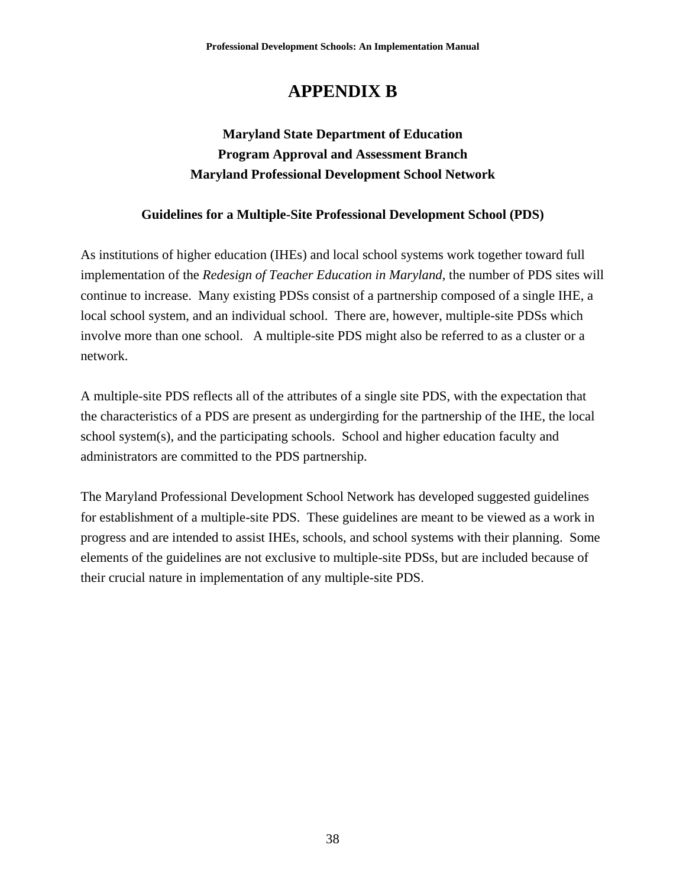# **APPENDIX B**

## **Maryland State Department of Education Program Approval and Assessment Branch Maryland Professional Development School Network**

#### **Guidelines for a Multiple-Site Professional Development School (PDS)**

As institutions of higher education (IHEs) and local school systems work together toward full implementation of the *Redesign of Teacher Education in Maryland*, the number of PDS sites will continue to increase. Many existing PDSs consist of a partnership composed of a single IHE, a local school system, and an individual school. There are, however, multiple-site PDSs which involve more than one school. A multiple-site PDS might also be referred to as a cluster or a network.

A multiple-site PDS reflects all of the attributes of a single site PDS, with the expectation that the characteristics of a PDS are present as undergirding for the partnership of the IHE, the local school system(s), and the participating schools. School and higher education faculty and administrators are committed to the PDS partnership.

The Maryland Professional Development School Network has developed suggested guidelines for establishment of a multiple-site PDS. These guidelines are meant to be viewed as a work in progress and are intended to assist IHEs, schools, and school systems with their planning. Some elements of the guidelines are not exclusive to multiple-site PDSs, but are included because of their crucial nature in implementation of any multiple-site PDS.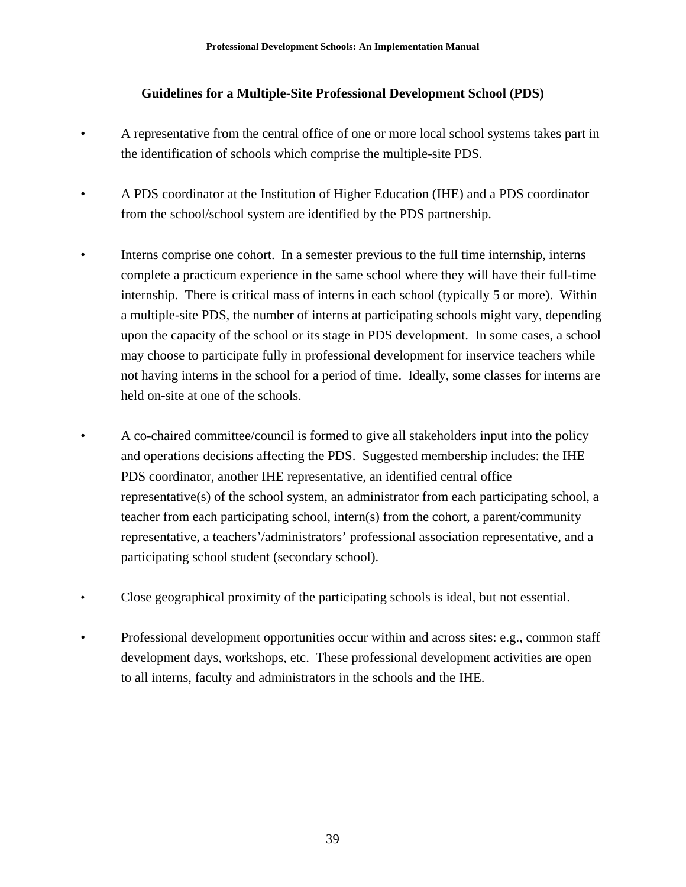#### **Guidelines for a Multiple-Site Professional Development School (PDS)**

- A representative from the central office of one or more local school systems takes part in the identification of schools which comprise the multiple-site PDS.
- A PDS coordinator at the Institution of Higher Education (IHE) and a PDS coordinator from the school/school system are identified by the PDS partnership.
- Interns comprise one cohort. In a semester previous to the full time internship, interns complete a practicum experience in the same school where they will have their full-time internship. There is critical mass of interns in each school (typically 5 or more). Within a multiple-site PDS, the number of interns at participating schools might vary, depending upon the capacity of the school or its stage in PDS development. In some cases, a school may choose to participate fully in professional development for inservice teachers while not having interns in the school for a period of time. Ideally, some classes for interns are held on-site at one of the schools.
- A co-chaired committee/council is formed to give all stakeholders input into the policy and operations decisions affecting the PDS. Suggested membership includes: the IHE PDS coordinator, another IHE representative, an identified central office representative(s) of the school system, an administrator from each participating school, a teacher from each participating school, intern(s) from the cohort, a parent/community representative, a teachers'/administrators' professional association representative, and a participating school student (secondary school).
- Close geographical proximity of the participating schools is ideal, but not essential.
- Professional development opportunities occur within and across sites: e.g., common staff development days, workshops, etc. These professional development activities are open to all interns, faculty and administrators in the schools and the IHE.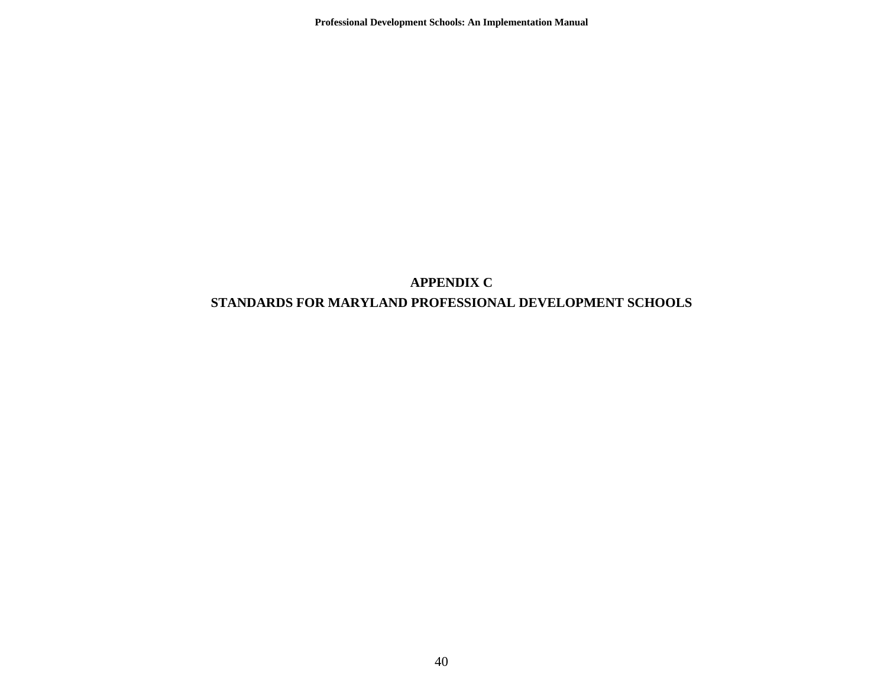**Professional Development Schools: An Implementation Manual** 

## **APPENDIX C STANDARDS FOR MARYLAND PROFESSIONAL DEVELOPMENT SCHOOLS**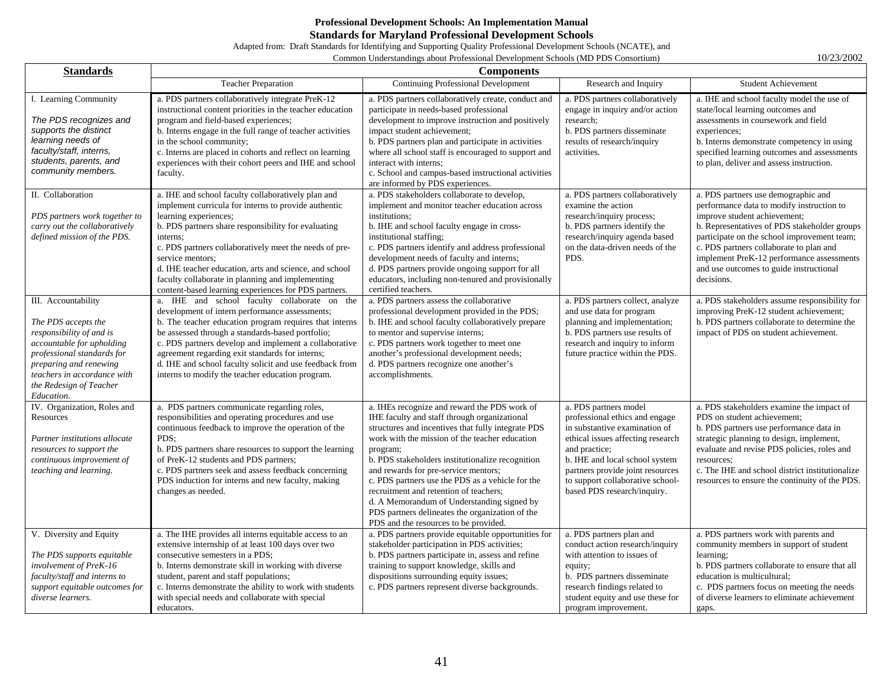#### **Professional Development Schools: An Implementation Manual Standards for Maryland Professional Development Schools**

Adapted from: Draft Standards for Identifying and Supporting Quality Professional Development Schools (NCATE), and

Common Understandings about Professional Development Schools (MD PDS Consortium) 10/23/2002

| <b>Standards</b>                                                                                                                                                                                                                    | <b>Components</b>                                                                                                                                                                                                                                                                                                                                                                                                                                          |                                                                                                                                                                                                                                                                                                                                                                                                                                                                                                                                                      |                                                                                                                                                                                                                                                                                         |                                                                                                                                                                                                                                                                                                                                                                  |
|-------------------------------------------------------------------------------------------------------------------------------------------------------------------------------------------------------------------------------------|------------------------------------------------------------------------------------------------------------------------------------------------------------------------------------------------------------------------------------------------------------------------------------------------------------------------------------------------------------------------------------------------------------------------------------------------------------|------------------------------------------------------------------------------------------------------------------------------------------------------------------------------------------------------------------------------------------------------------------------------------------------------------------------------------------------------------------------------------------------------------------------------------------------------------------------------------------------------------------------------------------------------|-----------------------------------------------------------------------------------------------------------------------------------------------------------------------------------------------------------------------------------------------------------------------------------------|------------------------------------------------------------------------------------------------------------------------------------------------------------------------------------------------------------------------------------------------------------------------------------------------------------------------------------------------------------------|
|                                                                                                                                                                                                                                     | <b>Teacher Preparation</b>                                                                                                                                                                                                                                                                                                                                                                                                                                 | <b>Continuing Professional Development</b>                                                                                                                                                                                                                                                                                                                                                                                                                                                                                                           | Research and Inquiry                                                                                                                                                                                                                                                                    | <b>Student Achievement</b>                                                                                                                                                                                                                                                                                                                                       |
| I. Learning Community<br>The PDS recognizes and<br>supports the distinct<br>learning needs of<br>faculty/staff, interns,<br>students, parents, and<br>community members.                                                            | a. PDS partners collaboratively integrate PreK-12<br>instructional content priorities in the teacher education<br>program and field-based experiences;<br>b. Interns engage in the full range of teacher activities<br>in the school community;<br>c. Interns are placed in cohorts and reflect on learning<br>experiences with their cohort peers and IHE and school<br>faculty.                                                                          | a. PDS partners collaboratively create, conduct and<br>participate in needs-based professional<br>development to improve instruction and positively<br>impact student achievement;<br>b. PDS partners plan and participate in activities<br>where all school staff is encouraged to support and<br>interact with interns;<br>c. School and campus-based instructional activities<br>are informed by PDS experiences.                                                                                                                                 | a. PDS partners collaboratively<br>engage in inquiry and/or action<br>research;<br>b. PDS partners disseminate<br>results of research/inquiry<br>activities.                                                                                                                            | a. IHE and school faculty model the use of<br>state/local learning outcomes and<br>assessments in coursework and field<br>experiences;<br>b. Interns demonstrate competency in using<br>specified learning outcomes and assessments<br>to plan, deliver and assess instruction.                                                                                  |
| II. Collaboration<br>PDS partners work together to<br>carry out the collaboratively<br>defined mission of the PDS.                                                                                                                  | a. IHE and school faculty collaboratively plan and<br>implement curricula for interns to provide authentic<br>learning experiences;<br>b. PDS partners share responsibility for evaluating<br>interns:<br>c. PDS partners collaboratively meet the needs of pre-<br>service mentors;<br>d. IHE teacher education, arts and science, and school<br>faculty collaborate in planning and implementing<br>content-based learning experiences for PDS partners. | a. PDS stakeholders collaborate to develop,<br>implement and monitor teacher education across<br>institutions;<br>b. IHE and school faculty engage in cross-<br>institutional staffing;<br>c. PDS partners identify and address professional<br>development needs of faculty and interns;<br>d. PDS partners provide ongoing support for all<br>educators, including non-tenured and provisionally<br>certified teachers.                                                                                                                            | a. PDS partners collaboratively<br>examine the action<br>research/inquiry process;<br>b. PDS partners identify the<br>research/inquiry agenda based<br>on the data-driven needs of the<br>PDS.                                                                                          | a. PDS partners use demographic and<br>performance data to modify instruction to<br>improve student achievement;<br>b. Representatives of PDS stakeholder groups<br>participate on the school improvement team;<br>c. PDS partners collaborate to plan and<br>implement PreK-12 performance assessments<br>and use outcomes to guide instructional<br>decisions. |
| III. Accountability<br>The PDS accepts the<br>responsibility of and is<br>accountable for upholding<br>professional standards for<br>preparing and renewing<br>teachers in accordance with<br>the Redesign of Teacher<br>Education. | a. IHE and school faculty collaborate on the<br>development of intern performance assessments;<br>b. The teacher education program requires that interns<br>be assessed through a standards-based portfolio;<br>c. PDS partners develop and implement a collaborative<br>agreement regarding exit standards for interns;<br>d. IHE and school faculty solicit and use feedback from<br>interns to modify the teacher education program.                    | a. PDS partners assess the collaborative<br>professional development provided in the PDS;<br>b. IHE and school faculty collaboratively prepare<br>to mentor and supervise interns;<br>c. PDS partners work together to meet one<br>another's professional development needs;<br>d. PDS partners recognize one another's<br>accomplishments.                                                                                                                                                                                                          | a. PDS partners collect, analyze<br>and use data for program<br>planning and implementation;<br>b. PDS partners use results of<br>research and inquiry to inform<br>future practice within the PDS.                                                                                     | a. PDS stakeholders assume responsibility for<br>improving PreK-12 student achievement;<br>b. PDS partners collaborate to determine the<br>impact of PDS on student achievement.                                                                                                                                                                                 |
| IV. Organization, Roles and<br>Resources<br>Partner institutions allocate<br>resources to support the<br>continuous improvement of<br>teaching and learning.                                                                        | a. PDS partners communicate regarding roles,<br>responsibilities and operating procedures and use<br>continuous feedback to improve the operation of the<br>PDS:<br>b. PDS partners share resources to support the learning<br>of PreK-12 students and PDS partners;<br>c. PDS partners seek and assess feedback concerning<br>PDS induction for interns and new faculty, making<br>changes as needed.                                                     | a. IHEs recognize and reward the PDS work of<br>IHE faculty and staff through organizational<br>structures and incentives that fully integrate PDS<br>work with the mission of the teacher education<br>program;<br>b. PDS stakeholders institutionalize recognition<br>and rewards for pre-service mentors;<br>c. PDS partners use the PDS as a vehicle for the<br>recruitment and retention of teachers;<br>d. A Memorandum of Understanding signed by<br>PDS partners delineates the organization of the<br>PDS and the resources to be provided. | a. PDS partners model<br>professional ethics and engage<br>in substantive examination of<br>ethical issues affecting research<br>and practice;<br>b. IHE and local school system<br>partners provide joint resources<br>to support collaborative school-<br>based PDS research/inquiry. | a. PDS stakeholders examine the impact of<br>PDS on student achievement;<br>b. PDS partners use performance data in<br>strategic planning to design, implement,<br>evaluate and revise PDS policies, roles and<br>resources;<br>c. The IHE and school district institutionalize<br>resources to ensure the continuity of the PDS.                                |
| V. Diversity and Equity<br>The PDS supports equitable<br>involvement of PreK-16<br>faculty/staff and interns to<br>support equitable outcomes for<br>diverse learners.                                                              | a. The IHE provides all interns equitable access to an<br>extensive internship of at least 100 days over two<br>consecutive semesters in a PDS;<br>b. Interns demonstrate skill in working with diverse<br>student, parent and staff populations;<br>c. Interns demonstrate the ability to work with students<br>with special needs and collaborate with special<br>educators.                                                                             | a. PDS partners provide equitable opportunities for<br>stakeholder participation in PDS activities;<br>b. PDS partners participate in, assess and refine<br>training to support knowledge, skills and<br>dispositions surrounding equity issues;<br>c. PDS partners represent diverse backgrounds.                                                                                                                                                                                                                                                   | a. PDS partners plan and<br>conduct action research/inquiry<br>with attention to issues of<br>equity;<br>b. PDS partners disseminate<br>research findings related to<br>student equity and use these for<br>program improvement.                                                        | a. PDS partners work with parents and<br>community members in support of student<br>learning;<br>b. PDS partners collaborate to ensure that all<br>education is multicultural;<br>c. PDS partners focus on meeting the needs<br>of diverse learners to eliminate achievement<br>gaps.                                                                            |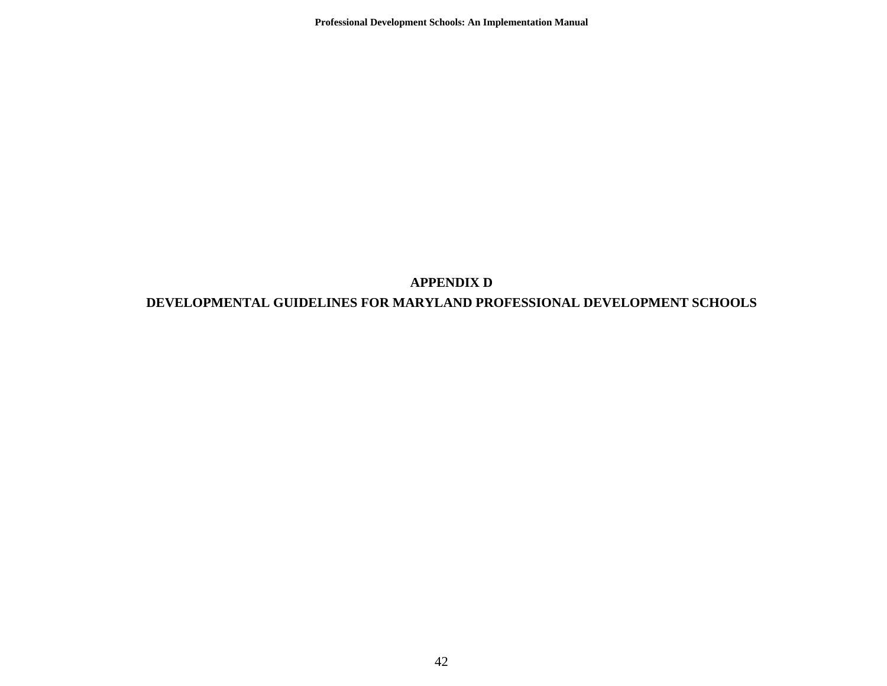**Professional Development Schools: An Implementation Manual** 

#### **APPENDIX D**

#### **DEVELOPMENTAL GUIDELINES FOR MARYLAND PROFESSIONAL DEVELOPMENT SCHOOLS**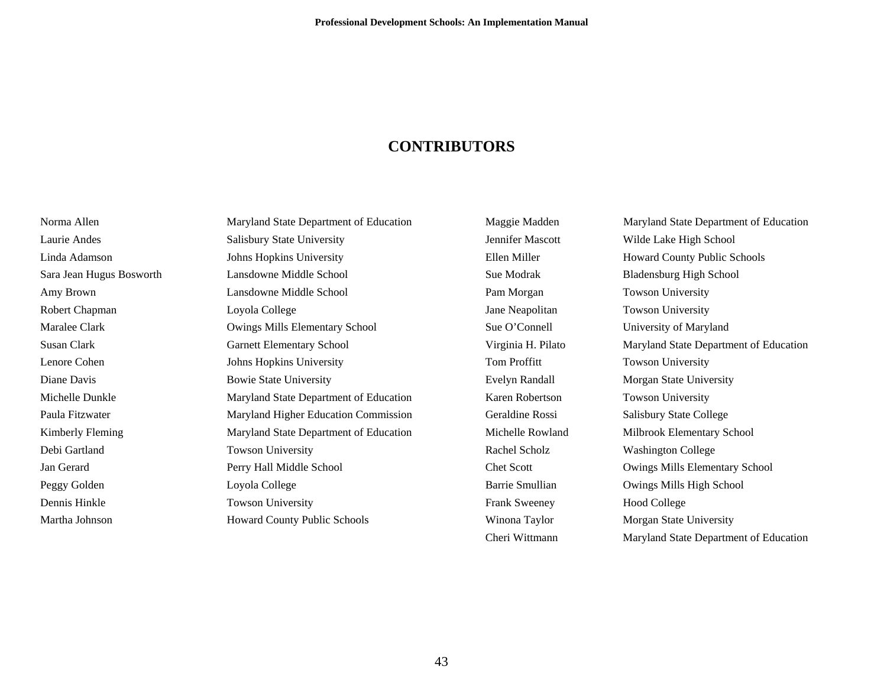### **CONTRIBUTORS**

Norma Allen Maryland State Department of Education Robert Chapman Loyola College Diane Davis Bowie State University Debi Gartland Towson University Peggy Golden Loyola College Dennis Hinkle Towson University

Laurie Andes Salisbury State University Linda Adamson Johns Hopkins University Sara Jean Hugus Bosworth Lansdowne Middle School Amy Brown Lansdowne Middle School Maralee Clark **Owings Mills Elementary School** Susan Clark Garnett Elementary School Lenore Cohen Johns Hopkins University Michelle Dunkle Maryland State Department of Education Paula Fitzwater Maryland Higher Education Commission Kimberly Fleming Maryland State Department of Education Jan Gerard Perry Hall Middle School Martha Johnson Howard County Public Schools

Frank Sweeney Hood College

Maggie Madden Maryland State Department of Education Jennifer Mascott Wilde Lake High School Ellen Miller Howard County Public Schools Sue Modrak Bladensburg High School Pam Morgan Towson University Jane Neapolitan Towson University Sue O'Connell University of Maryland Virginia H. Pilato Maryland State Department of Education Tom Proffitt Towson University Evelyn Randall Morgan State University Karen Robertson Towson University Geraldine Rossi Salisbury State College Michelle Rowland Milbrook Elementary School Rachel Scholz Washington College Chet Scott Owings Mills Elementary School Barrie Smullian Owings Mills High School Winona Taylor Morgan State University Cheri Wittmann Maryland State Department of Education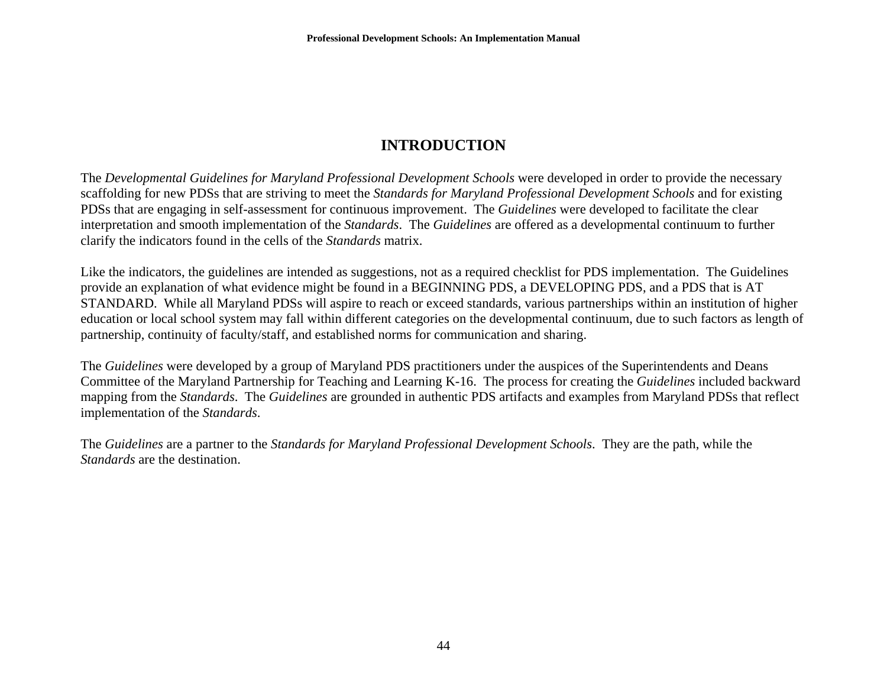## **INTRODUCTION**

The *Developmental Guidelines for Maryland Professional Development Schools* were developed in order to provide the necessary scaffolding for new PDSs that are striving to meet the *Standards for Maryland Professional Development Schools* and for existing PDSs that are engaging in self-assessment for continuous improvement. The *Guidelines* were developed to facilitate the clear interpretation and smooth implementation of the *Standards*. The *Guidelines* are offered as a developmental continuum to further clarify the indicators found in the cells of the *Standards* matrix.

Like the indicators, the guidelines are intended as suggestions, not as a required checklist for PDS implementation. The Guidelines provide an explanation of what evidence might be found in a BEGINNING PDS, a DEVELOPING PDS, and a PDS that is AT STANDARD. While all Maryland PDSs will aspire to reach or exceed standards, various partnerships within an institution of higher education or local school system may fall within different categories on the developmental continuum, due to such factors as length of partnership, continuity of faculty/staff, and established norms for communication and sharing.

The *Guidelines* were developed by a group of Maryland PDS practitioners under the auspices of the Superintendents and Deans Committee of the Maryland Partnership for Teaching and Learning K-16. The process for creating the *Guidelines* included backward mapping from the *Standards*. The *Guidelines* are grounded in authentic PDS artifacts and examples from Maryland PDSs that reflect implementation of the *Standards*.

The *Guidelines* are a partner to the *Standards for Maryland Professional Development Schools*. They are the path, while the *Standards* are the destination.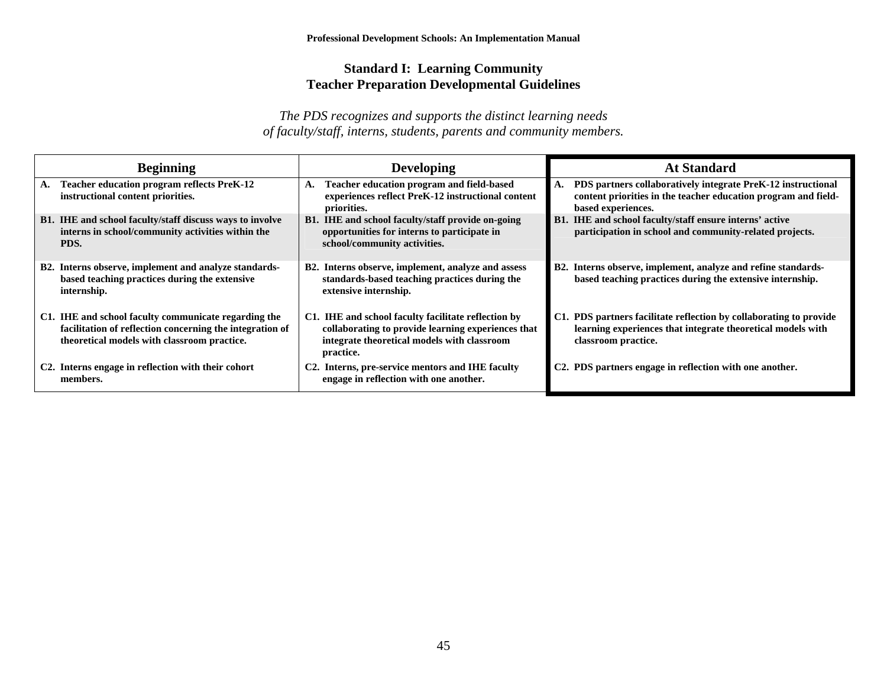#### **Standard I: Learning Community Teacher Preparation Developmental Guidelines**

| Beginning                                                                                                                                                       | <b>Developing</b>                                                                                                                                                     | <b>At Standard</b>                                                                                                                                       |
|-----------------------------------------------------------------------------------------------------------------------------------------------------------------|-----------------------------------------------------------------------------------------------------------------------------------------------------------------------|----------------------------------------------------------------------------------------------------------------------------------------------------------|
| <b>Teacher education program reflects PreK-12</b><br>А.<br>instructional content priorities.                                                                    | Teacher education program and field-based<br>А.<br>experiences reflect PreK-12 instructional content<br>priorities.                                                   | A. PDS partners collaboratively integrate PreK-12 instructional<br>content priorities in the teacher education program and field-<br>based experiences.  |
| B1. IHE and school faculty/staff discuss ways to involve<br>interns in school/community activities within the<br>PDS.                                           | <b>B1.</b> IHE and school faculty/staff provide on-going<br>opportunities for interns to participate in<br>school/community activities.                               | <b>B1.</b> IHE and school faculty/staff ensure interns' active<br>participation in school and community-related projects.                                |
| B2. Interns observe, implement and analyze standards-<br>based teaching practices during the extensive<br>internship.                                           | B2. Interns observe, implement, analyze and assess<br>standards-based teaching practices during the<br>extensive internship.                                          | B2. Interns observe, implement, analyze and refine standards-<br>based teaching practices during the extensive internship.                               |
| C1. IHE and school faculty communicate regarding the<br>facilitation of reflection concerning the integration of<br>theoretical models with classroom practice. | C1. IHE and school faculty facilitate reflection by<br>collaborating to provide learning experiences that<br>integrate theoretical models with classroom<br>practice. | C1. PDS partners facilitate reflection by collaborating to provide<br>learning experiences that integrate theoretical models with<br>classroom practice. |
| C2. Interns engage in reflection with their cohort<br>members.                                                                                                  | C2. Interns, pre-service mentors and IHE faculty<br>engage in reflection with one another.                                                                            | C2. PDS partners engage in reflection with one another.                                                                                                  |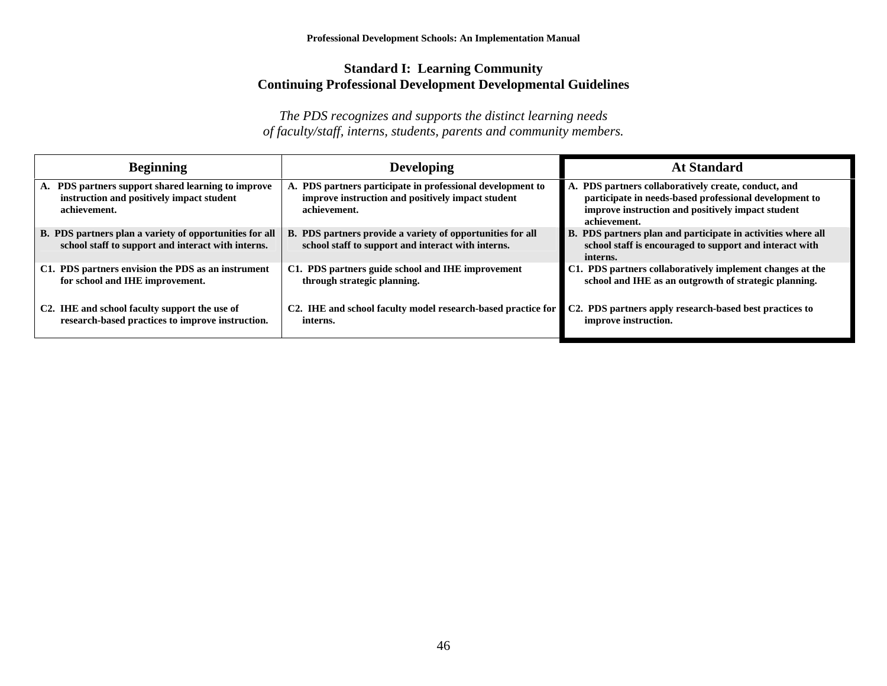#### **Standard I: Learning Community Continuing Professional Development Developmental Guidelines**

| <b>Beginning</b>                                                                                                | <b>Developing</b>                                                                                                               | <b>At Standard</b>                                                                                                                                                                  |
|-----------------------------------------------------------------------------------------------------------------|---------------------------------------------------------------------------------------------------------------------------------|-------------------------------------------------------------------------------------------------------------------------------------------------------------------------------------|
| A. PDS partners support shared learning to improve<br>instruction and positively impact student<br>achievement. | A. PDS partners participate in professional development to<br>improve instruction and positively impact student<br>achievement. | A. PDS partners collaboratively create, conduct, and<br>participate in needs-based professional development to<br>improve instruction and positively impact student<br>achievement. |
| B. PDS partners plan a variety of opportunities for all<br>school staff to support and interact with interns.   | B. PDS partners provide a variety of opportunities for all<br>school staff to support and interact with interns.                | B. PDS partners plan and participate in activities where all<br>school staff is encouraged to support and interact with<br>interns.                                                 |
| C1. PDS partners envision the PDS as an instrument<br>for school and IHE improvement.                           | C1. PDS partners guide school and IHE improvement<br>through strategic planning.                                                | C1. PDS partners collaboratively implement changes at the<br>school and IHE as an outgrowth of strategic planning.                                                                  |
| C <sub>2</sub> . IHE and school faculty support the use of<br>research-based practices to improve instruction.  | C <sub>2</sub> . IHE and school faculty model research-based practice for<br>interns.                                           | C2. PDS partners apply research-based best practices to<br>improve instruction.                                                                                                     |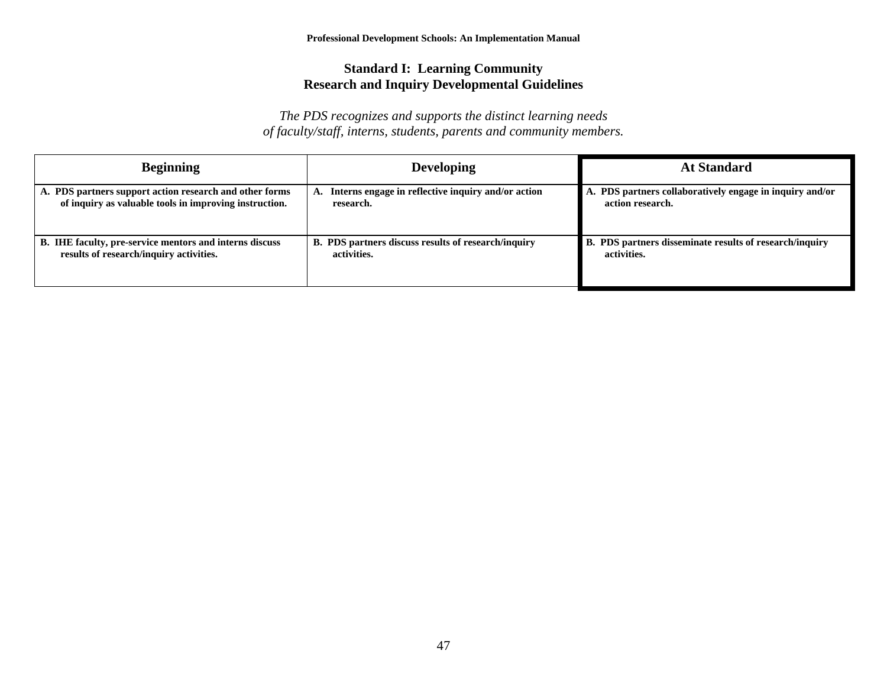#### **Standard I: Learning Community Research and Inquiry Developmental Guidelines**

| <b>Beginning</b>                                        | <b>Developing</b>                                          | <b>At Standard</b>                                       |
|---------------------------------------------------------|------------------------------------------------------------|----------------------------------------------------------|
| A. PDS partners support action research and other forms | A. Interns engage in reflective inquiry and/or action      | A. PDS partners collaboratively engage in inquiry and/or |
| of inquiry as valuable tools in improving instruction.  | research.                                                  | action research.                                         |
| B. IHE faculty, pre-service mentors and interns discuss | <b>B. PDS partners discuss results of research/inquiry</b> | B. PDS partners disseminate results of research/inquiry  |
| results of research/inquiry activities.                 | activities.                                                | activities.                                              |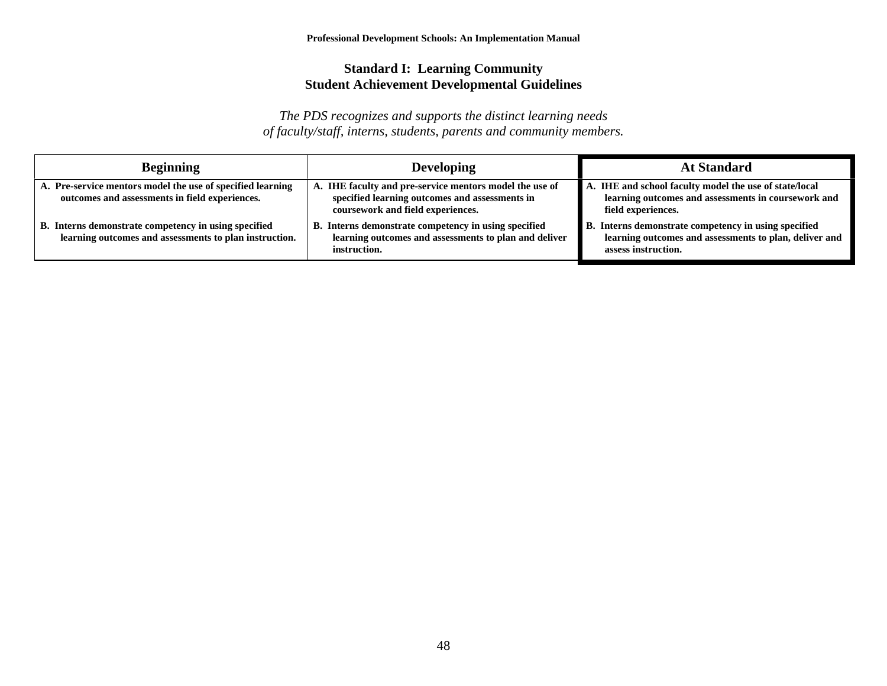#### **Standard I: Learning Community Student Achievement Developmental Guidelines**

| <b>Beginning</b>                                                                                               | <b>Developing</b>                                                                                                                              | <b>At Standard</b>                                                                                                                    |
|----------------------------------------------------------------------------------------------------------------|------------------------------------------------------------------------------------------------------------------------------------------------|---------------------------------------------------------------------------------------------------------------------------------------|
| A. Pre-service mentors model the use of specified learning<br>outcomes and assessments in field experiences.   | A. IHE faculty and pre-service mentors model the use of<br>specified learning outcomes and assessments in<br>coursework and field experiences. | A. IHE and school faculty model the use of state/local<br>learning outcomes and assessments in coursework and<br>field experiences.   |
| B. Interns demonstrate competency in using specified<br>learning outcomes and assessments to plan instruction. | Interns demonstrate competency in using specified<br>learning outcomes and assessments to plan and deliver<br>instruction.                     | B. Interns demonstrate competency in using specified<br>learning outcomes and assessments to plan, deliver and<br>assess instruction. |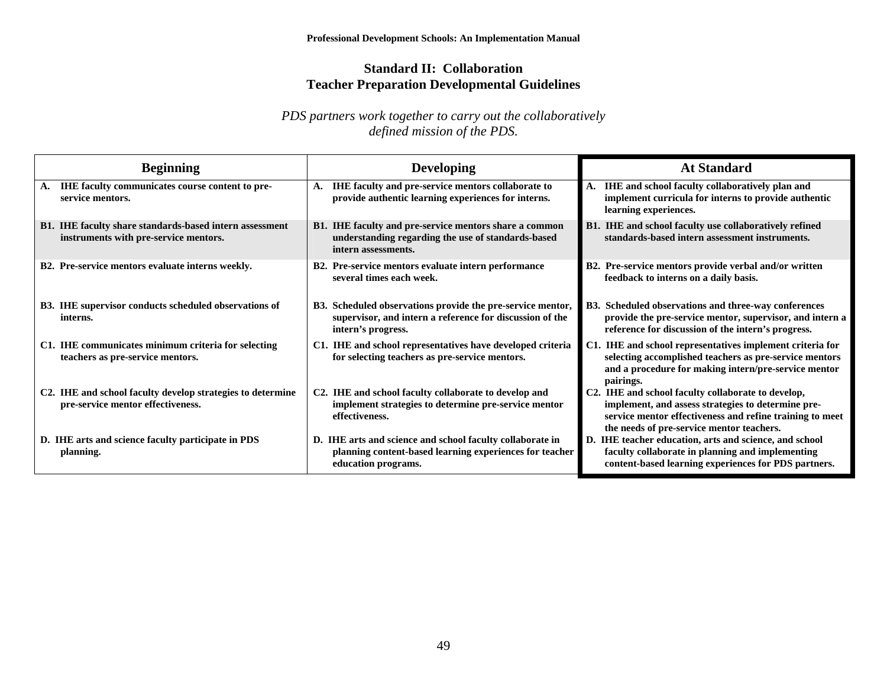#### **Standard II: Collaboration Teacher Preparation Developmental Guidelines**

| <b>Beginning</b>                                                                                 | <b>Developing</b>                                                                                                                            | <b>At Standard</b>                                                                                                                                                                                                |
|--------------------------------------------------------------------------------------------------|----------------------------------------------------------------------------------------------------------------------------------------------|-------------------------------------------------------------------------------------------------------------------------------------------------------------------------------------------------------------------|
| <b>IHE faculty communicates course content to pre-</b><br>A.<br>service mentors.                 | A. IHE faculty and pre-service mentors collaborate to<br>provide authentic learning experiences for interns.                                 | A. IHE and school faculty collaboratively plan and<br>implement curricula for interns to provide authentic<br>learning experiences.                                                                               |
| B1. IHE faculty share standards-based intern assessment<br>instruments with pre-service mentors. | B1. IHE faculty and pre-service mentors share a common<br>understanding regarding the use of standards-based<br>intern assessments.          | B1. IHE and school faculty use collaboratively refined<br>standards-based intern assessment instruments.                                                                                                          |
| B2. Pre-service mentors evaluate interns weekly.                                                 | B2. Pre-service mentors evaluate intern performance<br>several times each week.                                                              | B2. Pre-service mentors provide verbal and/or written<br>feedback to interns on a daily basis.                                                                                                                    |
| B3. IHE supervisor conducts scheduled observations of<br>interns.                                | B3. Scheduled observations provide the pre-service mentor,<br>supervisor, and intern a reference for discussion of the<br>intern's progress. | B3. Scheduled observations and three-way conferences<br>provide the pre-service mentor, supervisor, and intern a<br>reference for discussion of the intern's progress.                                            |
| C1. IHE communicates minimum criteria for selecting<br>teachers as pre-service mentors.          | C1. IHE and school representatives have developed criteria<br>for selecting teachers as pre-service mentors.                                 | C1. IHE and school representatives implement criteria for<br>selecting accomplished teachers as pre-service mentors<br>and a procedure for making intern/pre-service mentor<br>pairings.                          |
| C2. IHE and school faculty develop strategies to determine<br>pre-service mentor effectiveness.  | C2. IHE and school faculty collaborate to develop and<br>implement strategies to determine pre-service mentor<br>effectiveness.              | C2. IHE and school faculty collaborate to develop,<br>implement, and assess strategies to determine pre-<br>service mentor effectiveness and refine training to meet<br>the needs of pre-service mentor teachers. |
| D. IHE arts and science faculty participate in PDS<br>planning.                                  | D. IHE arts and science and school faculty collaborate in<br>planning content-based learning experiences for teacher<br>education programs.  | D. IHE teacher education, arts and science, and school<br>faculty collaborate in planning and implementing<br>content-based learning experiences for PDS partners.                                                |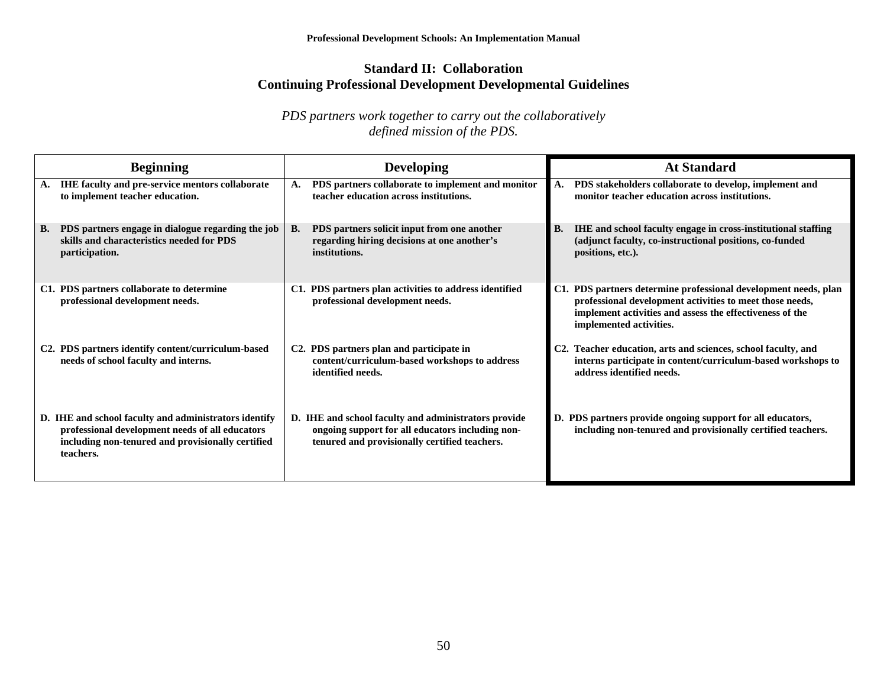#### **Standard II: Collaboration Continuing Professional Development Developmental Guidelines**

| <b>Beginning</b>                                                                                                                                                           | <b>Developing</b>                                                                                                                                         | <b>At Standard</b>                                                                                                                                                                                                 |
|----------------------------------------------------------------------------------------------------------------------------------------------------------------------------|-----------------------------------------------------------------------------------------------------------------------------------------------------------|--------------------------------------------------------------------------------------------------------------------------------------------------------------------------------------------------------------------|
| IHE faculty and pre-service mentors collaborate<br>A.<br>to implement teacher education.                                                                                   | PDS partners collaborate to implement and monitor<br>A.<br>teacher education across institutions.                                                         | PDS stakeholders collaborate to develop, implement and<br>A.<br>monitor teacher education across institutions.                                                                                                     |
| PDS partners engage in dialogue regarding the job<br>В.<br>skills and characteristics needed for PDS<br>participation.                                                     | PDS partners solicit input from one another<br><b>B.</b><br>regarding hiring decisions at one another's<br>institutions.                                  | IHE and school faculty engage in cross-institutional staffing<br>В.<br>(adjunct faculty, co-instructional positions, co-funded<br>positions, etc.).                                                                |
| C1. PDS partners collaborate to determine<br>professional development needs.                                                                                               | C1. PDS partners plan activities to address identified<br>professional development needs.                                                                 | C1. PDS partners determine professional development needs, plan<br>professional development activities to meet those needs,<br>implement activities and assess the effectiveness of the<br>implemented activities. |
| C2. PDS partners identify content/curriculum-based<br>needs of school faculty and interns.                                                                                 | C <sub>2</sub> . PDS partners plan and participate in<br>content/curriculum-based workshops to address<br>identified needs.                               | Teacher education, arts and sciences, school faculty, and<br>C2.<br>interns participate in content/curriculum-based workshops to<br>address identified needs.                                                      |
| D. IHE and school faculty and administrators identify<br>professional development needs of all educators<br>including non-tenured and provisionally certified<br>teachers. | D. IHE and school faculty and administrators provide<br>ongoing support for all educators including non-<br>tenured and provisionally certified teachers. | D. PDS partners provide ongoing support for all educators,<br>including non-tenured and provisionally certified teachers.                                                                                          |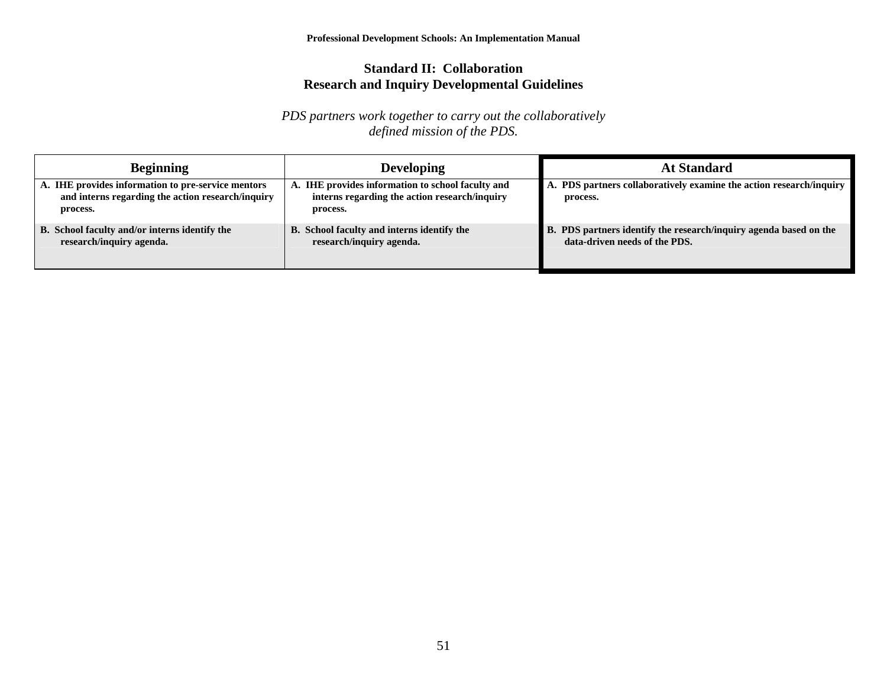#### **Standard II: Collaboration Research and Inquiry Developmental Guidelines**

| <b>Beginning</b>                                                                                                    | <b>Developing</b>                                                                                              | <b>At Standard</b>                                                                                 |
|---------------------------------------------------------------------------------------------------------------------|----------------------------------------------------------------------------------------------------------------|----------------------------------------------------------------------------------------------------|
| A. IHE provides information to pre-service mentors<br>and interns regarding the action research/inquiry<br>process. | A. IHE provides information to school faculty and<br>interns regarding the action research/inquiry<br>process. | A. PDS partners collaboratively examine the action research/inquiry<br>process.                    |
| B. School faculty and/or interns identify the<br>research/inquiry agenda.                                           | B. School faculty and interns identify the<br>research/inquiry agenda.                                         | B. PDS partners identify the research/inquiry agenda based on the<br>data-driven needs of the PDS. |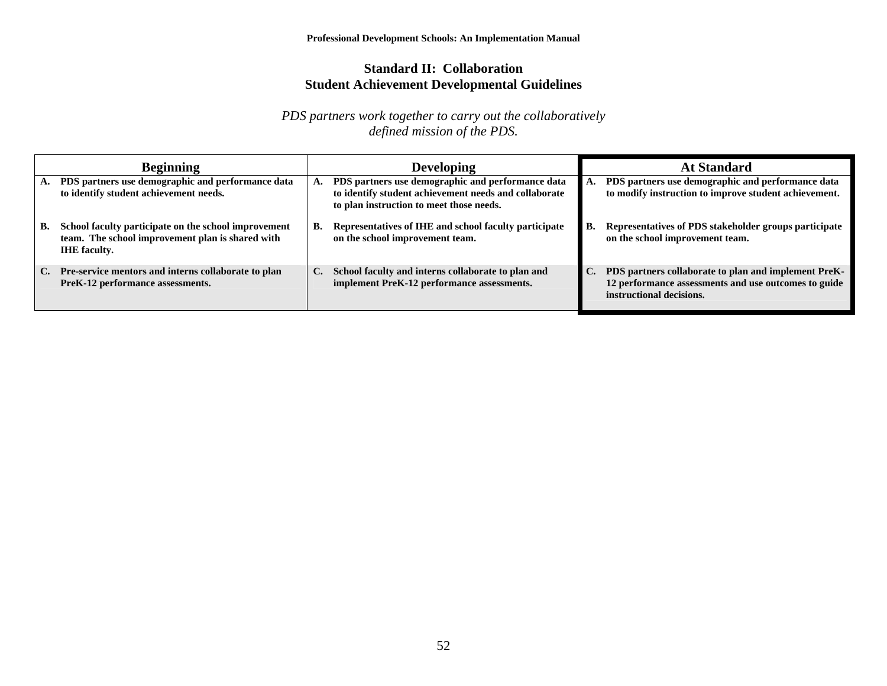#### **Standard II: Collaboration Student Achievement Developmental Guidelines**

| <b>Beginning</b> |                                                                                                                                 |                | <b>Developing</b>                                                                                                                                      |    | <b>At Standard</b>                                                                                                                       |
|------------------|---------------------------------------------------------------------------------------------------------------------------------|----------------|--------------------------------------------------------------------------------------------------------------------------------------------------------|----|------------------------------------------------------------------------------------------------------------------------------------------|
| A.               | PDS partners use demographic and performance data<br>to identify student achievement needs.                                     |                | PDS partners use demographic and performance data<br>to identify student achievement needs and collaborate<br>to plan instruction to meet those needs. |    | PDS partners use demographic and performance data<br>to modify instruction to improve student achievement.                               |
| В.               | School faculty participate on the school improvement<br>team. The school improvement plan is shared with<br><b>IHE</b> faculty. | В.             | Representatives of IHE and school faculty participate<br>on the school improvement team.                                                               | В. | Representatives of PDS stakeholder groups participate<br>on the school improvement team.                                                 |
| C.               | Pre-service mentors and interns collaborate to plan<br>PreK-12 performance assessments.                                         | $\mathbf{C}$ . | School faculty and interns collaborate to plan and<br>implement PreK-12 performance assessments.                                                       | C. | PDS partners collaborate to plan and implement PreK-<br>12 performance assessments and use outcomes to guide<br>instructional decisions. |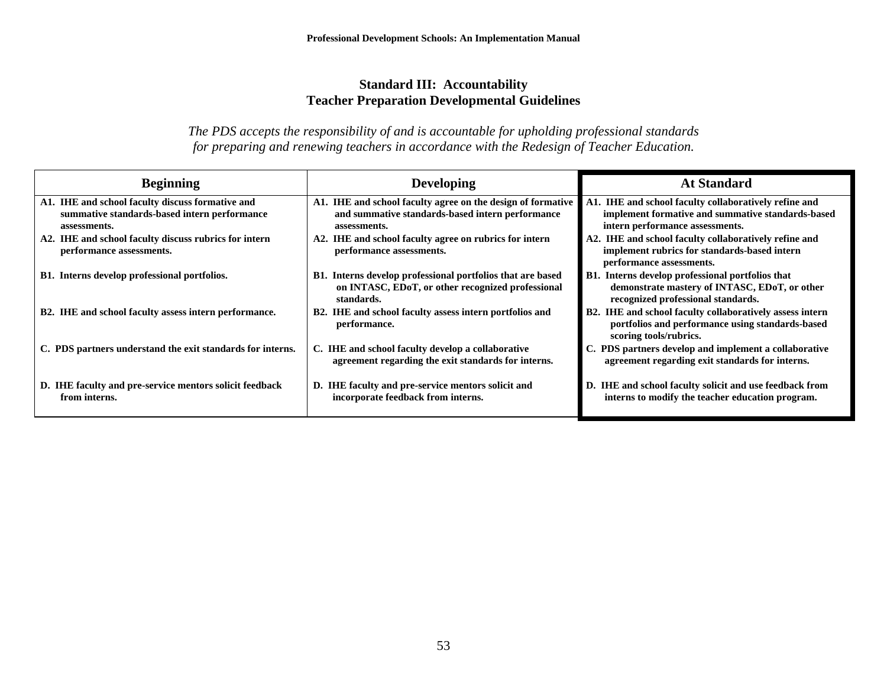#### **Standard III: Accountability Teacher Preparation Developmental Guidelines**

| <b>Beginning</b>                                                                                                 | <b>Developing</b>                                                                                                               | <b>At Standard</b>                                                                                                                            |
|------------------------------------------------------------------------------------------------------------------|---------------------------------------------------------------------------------------------------------------------------------|-----------------------------------------------------------------------------------------------------------------------------------------------|
| A1. IHE and school faculty discuss formative and<br>summative standards-based intern performance<br>assessments. | A1. IHE and school faculty agree on the design of formative<br>and summative standards-based intern performance<br>assessments. | A1. IHE and school faculty collaboratively refine and<br>implement formative and summative standards-based<br>intern performance assessments. |
| A2. IHE and school faculty discuss rubrics for intern<br>performance assessments.                                | A2. IHE and school faculty agree on rubrics for intern<br>performance assessments.                                              | A2. IHE and school faculty collaboratively refine and<br>implement rubrics for standards-based intern<br>performance assessments.             |
| <b>B1.</b> Interns develop professional portfolios.                                                              | B1. Interns develop professional portfolios that are based<br>on INTASC, EDoT, or other recognized professional<br>standards.   | B1. Interns develop professional portfolios that<br>demonstrate mastery of INTASC, EDoT, or other<br>recognized professional standards.       |
| B2. IHE and school faculty assess intern performance.                                                            | B2. IHE and school faculty assess intern portfolios and<br>performance.                                                         | B2. IHE and school faculty collaboratively assess intern<br>portfolios and performance using standards-based<br>scoring tools/rubrics.        |
| C. PDS partners understand the exit standards for interns.                                                       | C. IHE and school faculty develop a collaborative<br>agreement regarding the exit standards for interns.                        | C. PDS partners develop and implement a collaborative<br>agreement regarding exit standards for interns.                                      |
| D. IHE faculty and pre-service mentors solicit feedback<br>from interns.                                         | D. IHE faculty and pre-service mentors solicit and<br>incorporate feedback from interns.                                        | D. IHE and school faculty solicit and use feedback from<br>interns to modify the teacher education program.                                   |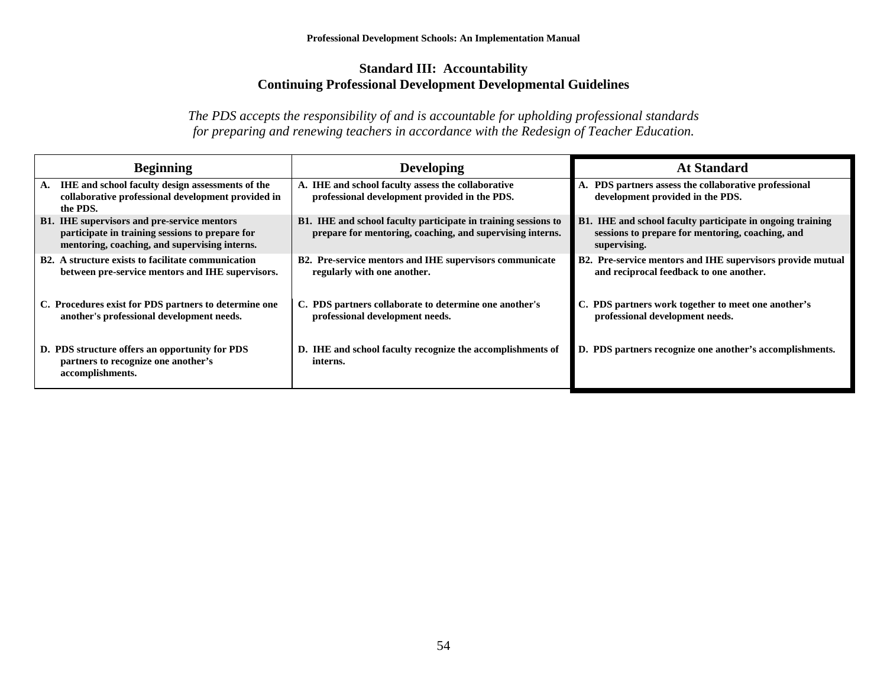#### **Standard III: Accountability Continuing Professional Development Developmental Guidelines**

| <b>Beginning</b>                                                                                                                                       | <b>Developing</b>                                                                                                           | <b>At Standard</b>                                                                                                             |
|--------------------------------------------------------------------------------------------------------------------------------------------------------|-----------------------------------------------------------------------------------------------------------------------------|--------------------------------------------------------------------------------------------------------------------------------|
| IHE and school faculty design assessments of the<br>А.<br>collaborative professional development provided in<br>the PDS.                               | A. IHE and school faculty assess the collaborative<br>professional development provided in the PDS.                         | A. PDS partners assess the collaborative professional<br>development provided in the PDS.                                      |
| <b>B1.</b> IHE supervisors and pre-service mentors<br>participate in training sessions to prepare for<br>mentoring, coaching, and supervising interns. | B1. IHE and school faculty participate in training sessions to<br>prepare for mentoring, coaching, and supervising interns. | B1. IHE and school faculty participate in ongoing training<br>sessions to prepare for mentoring, coaching, and<br>supervising. |
| <b>B2.</b> A structure exists to facilitate communication<br>between pre-service mentors and IHE supervisors.                                          | B2. Pre-service mentors and IHE supervisors communicate<br>regularly with one another.                                      | B2. Pre-service mentors and IHE supervisors provide mutual<br>and reciprocal feedback to one another.                          |
| C. Procedures exist for PDS partners to determine one<br>another's professional development needs.                                                     | C. PDS partners collaborate to determine one another's<br>professional development needs.                                   | C. PDS partners work together to meet one another's<br>professional development needs.                                         |
| D. PDS structure offers an opportunity for PDS<br>partners to recognize one another's<br>accomplishments.                                              | D. IHE and school faculty recognize the accomplishments of<br>interns.                                                      | D. PDS partners recognize one another's accomplishments.                                                                       |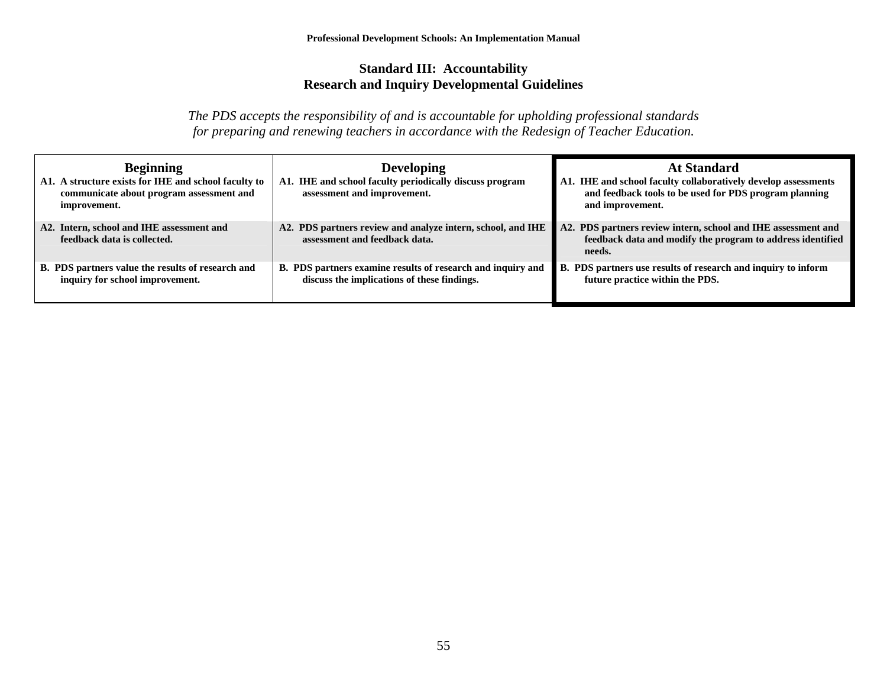#### **Standard III: Accountability Research and Inquiry Developmental Guidelines**

| <b>Beginning</b><br>A1. A structure exists for IHE and school faculty to<br>communicate about program assessment and<br>improvement. | <b>Developing</b><br>A1. IHE and school faculty periodically discuss program<br>assessment and improvement. | <b>At Standard</b><br>A1. IHE and school faculty collaboratively develop assessments<br>and feedback tools to be used for PDS program planning<br>and improvement. |  |  |
|--------------------------------------------------------------------------------------------------------------------------------------|-------------------------------------------------------------------------------------------------------------|--------------------------------------------------------------------------------------------------------------------------------------------------------------------|--|--|
| A2. Intern, school and IHE assessment and<br>feedback data is collected.                                                             | A2. PDS partners review and analyze intern, school, and IHE<br>assessment and feedback data.                | A2. PDS partners review intern, school and IHE assessment and<br>feedback data and modify the program to address identified<br>needs.                              |  |  |
| B. PDS partners value the results of research and<br>inquiry for school improvement.                                                 | B. PDS partners examine results of research and inquiry and<br>discuss the implications of these findings.  | B. PDS partners use results of research and inquiry to inform<br>future practice within the PDS.                                                                   |  |  |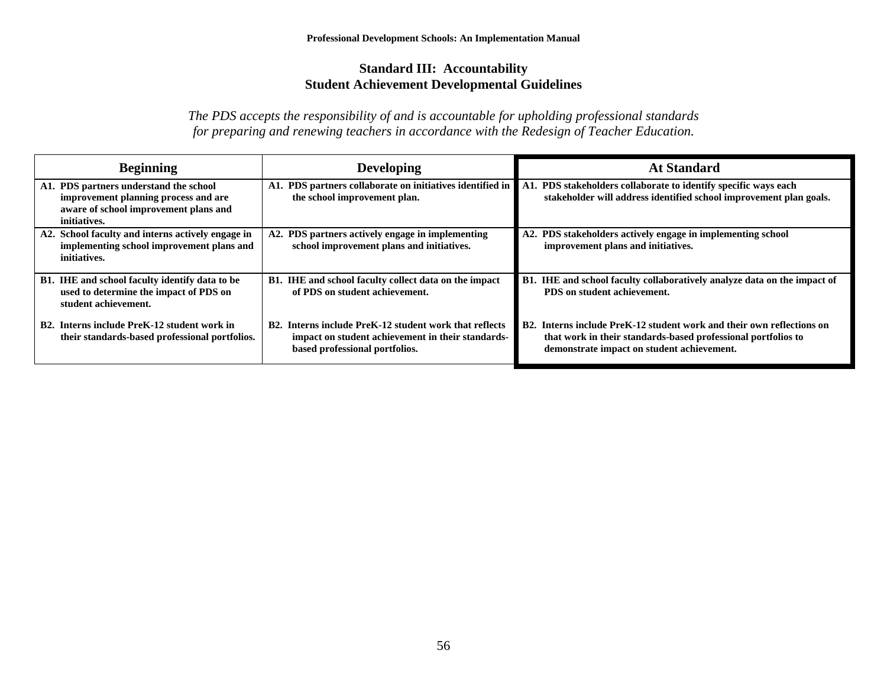#### **Standard III: Accountability Student Achievement Developmental Guidelines**

| <b>Beginning</b>                                                                                                                        | <b>Developing</b>                                                                                                                             | <b>At Standard</b>                                                                                                                                                                   |
|-----------------------------------------------------------------------------------------------------------------------------------------|-----------------------------------------------------------------------------------------------------------------------------------------------|--------------------------------------------------------------------------------------------------------------------------------------------------------------------------------------|
| A1. PDS partners understand the school<br>improvement planning process and are<br>aware of school improvement plans and<br>initiatives. | A1. PDS partners collaborate on initiatives identified in<br>the school improvement plan.                                                     | A1. PDS stakeholders collaborate to identify specific ways each<br>stakeholder will address identified school improvement plan goals.                                                |
| A2. School faculty and interns actively engage in<br>implementing school improvement plans and<br>initiatives.                          | A2. PDS partners actively engage in implementing<br>school improvement plans and initiatives.                                                 | A2. PDS stakeholders actively engage in implementing school<br>improvement plans and initiatives.                                                                                    |
| B1. IHE and school faculty identify data to be<br>used to determine the impact of PDS on<br>student achievement.                        | B1. IHE and school faculty collect data on the impact<br>of PDS on student achievement.                                                       | B1. IHE and school faculty collaboratively analyze data on the impact of<br>PDS on student achievement.                                                                              |
| B2. Interns include PreK-12 student work in<br>their standards-based professional portfolios.                                           | B2. Interns include PreK-12 student work that reflects<br>impact on student achievement in their standards-<br>based professional portfolios. | B2. Interns include PreK-12 student work and their own reflections on<br>that work in their standards-based professional portfolios to<br>demonstrate impact on student achievement. |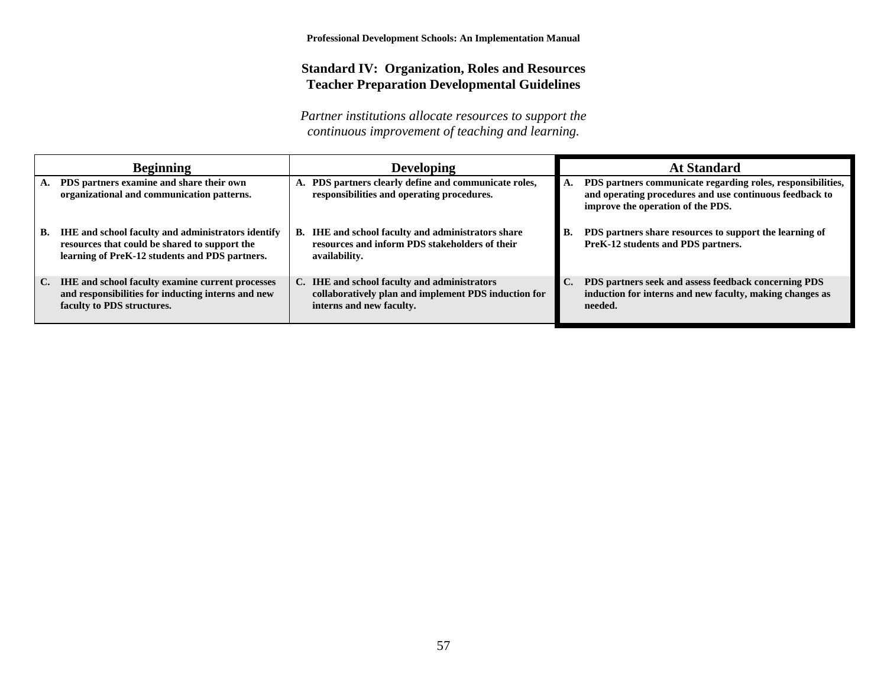#### **Standard IV: Organization, Roles and Resources Teacher Preparation Developmental Guidelines**

|    | <b>Beginning</b>                                                                                                                                      |    | <b>Developing</b>                                                                                                                | <b>At Standard</b>                                                                                                                                          |
|----|-------------------------------------------------------------------------------------------------------------------------------------------------------|----|----------------------------------------------------------------------------------------------------------------------------------|-------------------------------------------------------------------------------------------------------------------------------------------------------------|
|    | PDS partners examine and share their own<br>organizational and communication patterns.                                                                |    | A. PDS partners clearly define and communicate roles,<br>responsibilities and operating procedures.                              | PDS partners communicate regarding roles, responsibilities,<br>and operating procedures and use continuous feedback to<br>improve the operation of the PDS. |
| В. | IHE and school faculty and administrators identify<br>resources that could be shared to support the<br>learning of PreK-12 students and PDS partners. | В. | <b>IHE</b> and school faculty and administrators share<br>resources and inform PDS stakeholders of their<br>availability.        | PDS partners share resources to support the learning of<br>PreK-12 students and PDS partners.                                                               |
| C. | <b>IHE</b> and school faculty examine current processes<br>and responsibilities for inducting interns and new<br>faculty to PDS structures.           |    | C. IHE and school faculty and administrators<br>collaboratively plan and implement PDS induction for<br>interns and new faculty. | PDS partners seek and assess feedback concerning PDS<br>induction for interns and new faculty, making changes as<br>needed.                                 |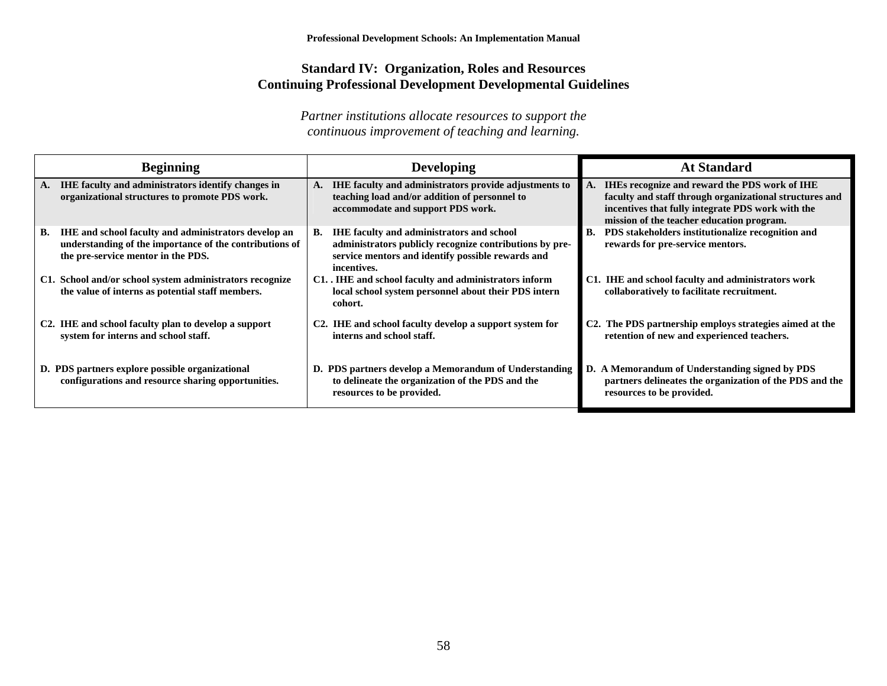#### **Standard IV: Organization, Roles and Resources Continuing Professional Development Developmental Guidelines**

| Beginning                                                                                                                                                          | <b>Developing</b>                                                                                                                                                                     | <b>At Standard</b>                                                                                                                                                                                                |
|--------------------------------------------------------------------------------------------------------------------------------------------------------------------|---------------------------------------------------------------------------------------------------------------------------------------------------------------------------------------|-------------------------------------------------------------------------------------------------------------------------------------------------------------------------------------------------------------------|
| IHE faculty and administrators identify changes in<br>А.<br>organizational structures to promote PDS work.                                                         | IHE faculty and administrators provide adjustments to<br>teaching load and/or addition of personnel to<br>accommodate and support PDS work.                                           | <b>IHEs recognize and reward the PDS work of IHE</b><br>faculty and staff through organizational structures and<br>incentives that fully integrate PDS work with the<br>mission of the teacher education program. |
| <b>IHE</b> and school faculty and administrators develop an<br>В.<br>understanding of the importance of the contributions of<br>the pre-service mentor in the PDS. | <b>IHE faculty and administrators and school</b><br>В.<br>administrators publicly recognize contributions by pre-<br>service mentors and identify possible rewards and<br>incentives. | PDS stakeholders institutionalize recognition and<br><b>B.</b><br>rewards for pre-service mentors.                                                                                                                |
| C1. School and/or school system administrators recognize<br>the value of interns as potential staff members.                                                       | C1. IHE and school faculty and administrators inform<br>local school system personnel about their PDS intern<br>cohort.                                                               | C1. IHE and school faculty and administrators work<br>collaboratively to facilitate recruitment.                                                                                                                  |
| C <sub>2</sub> . IHE and school faculty plan to develop a support<br>system for interns and school staff.                                                          | C2. IHE and school faculty develop a support system for<br>interns and school staff.                                                                                                  | C <sub>2</sub> . The PDS partnership employs strategies aimed at the<br>retention of new and experienced teachers.                                                                                                |
| D. PDS partners explore possible organizational<br>configurations and resource sharing opportunities.                                                              | D. PDS partners develop a Memorandum of Understanding<br>to delineate the organization of the PDS and the<br>resources to be provided.                                                | D. A Memorandum of Understanding signed by PDS<br>partners delineates the organization of the PDS and the<br>resources to be provided.                                                                            |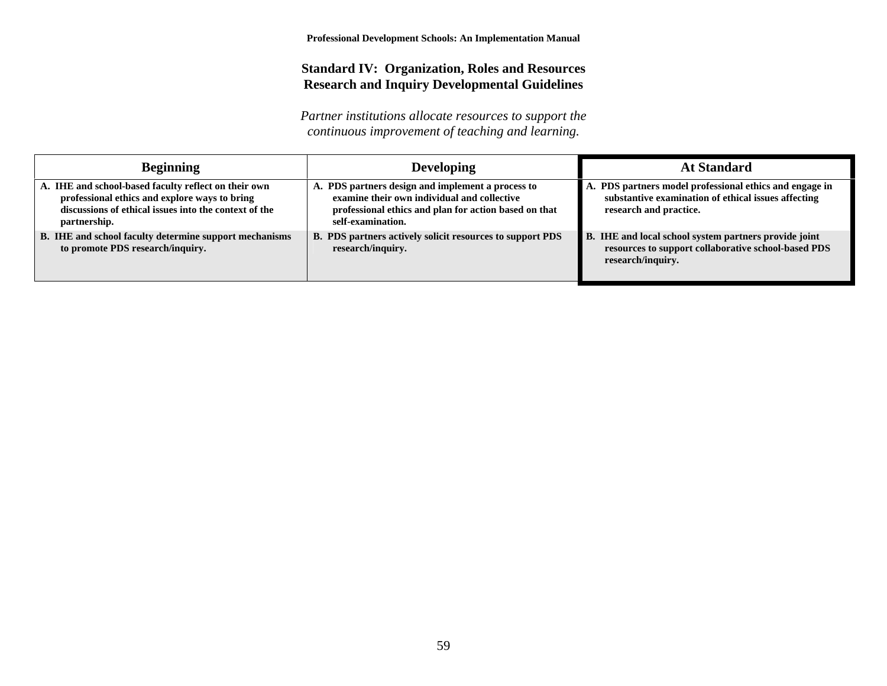#### **Standard IV: Organization, Roles and Resources Research and Inquiry Developmental Guidelines**

| <b>Beginning</b>                                                                                                                                                               | <b>Developing</b>                                                                                                                                                              | <b>At Standard</b>                                                                                                                       |
|--------------------------------------------------------------------------------------------------------------------------------------------------------------------------------|--------------------------------------------------------------------------------------------------------------------------------------------------------------------------------|------------------------------------------------------------------------------------------------------------------------------------------|
| A. IHE and school-based faculty reflect on their own<br>professional ethics and explore ways to bring<br>discussions of ethical issues into the context of the<br>partnership. | A. PDS partners design and implement a process to<br>examine their own individual and collective<br>professional ethics and plan for action based on that<br>self-examination. | A. PDS partners model professional ethics and engage in<br>substantive examination of ethical issues affecting<br>research and practice. |
| B. IHE and school faculty determine support mechanisms<br>to promote PDS research/inquiry.                                                                                     | B. PDS partners actively solicit resources to support PDS<br>research/inquiry.                                                                                                 | B. IHE and local school system partners provide joint<br>resources to support collaborative school-based PDS<br>research/inquiry.        |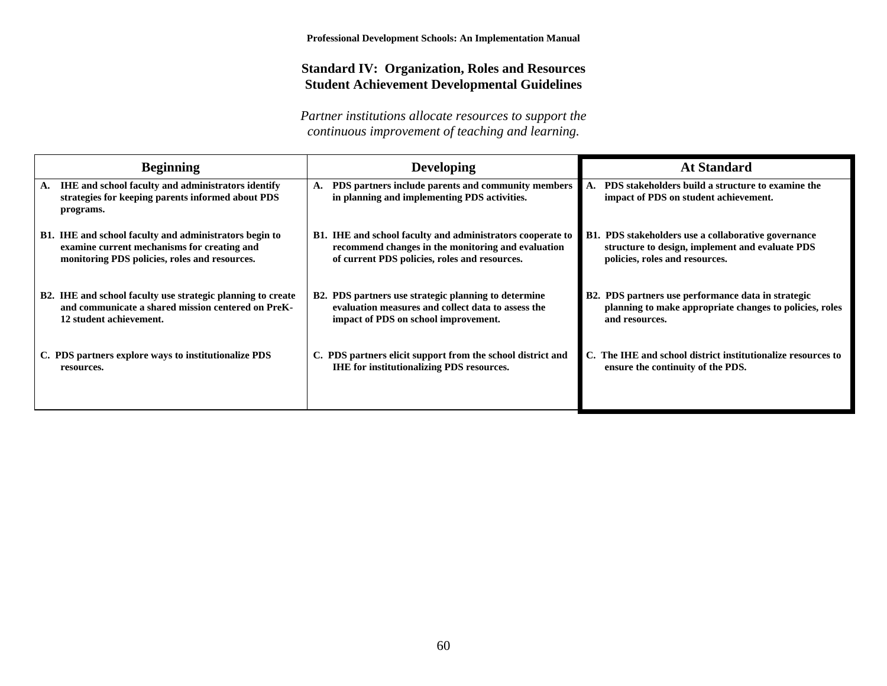#### **Standard IV: Organization, Roles and Resources Student Achievement Developmental Guidelines**

| <b>Beginning</b>                                                                                                                  | <b>Developing</b>                                                                                  | <b>At Standard</b>                                                                         |
|-----------------------------------------------------------------------------------------------------------------------------------|----------------------------------------------------------------------------------------------------|--------------------------------------------------------------------------------------------|
| <b>IHE</b> and school faculty and administrators identify<br>A.<br>strategies for keeping parents informed about PDS<br>programs. | PDS partners include parents and community members<br>in planning and implementing PDS activities. | PDS stakeholders build a structure to examine the<br>impact of PDS on student achievement. |
| <b>B1.</b> IHE and school faculty and administrators begin to                                                                     | <b>B1.</b> IHE and school faculty and administrators cooperate to                                  | <b>B1. PDS stakeholders use a collaborative governance</b>                                 |
| examine current mechanisms for creating and                                                                                       | recommend changes in the monitoring and evaluation                                                 | structure to design, implement and evaluate PDS                                            |
| monitoring PDS policies, roles and resources.                                                                                     | of current PDS policies, roles and resources.                                                      | policies, roles and resources.                                                             |
| B2. IHE and school faculty use strategic planning to create                                                                       | B2. PDS partners use strategic planning to determine                                               | B2. PDS partners use performance data in strategic                                         |
| and communicate a shared mission centered on PreK-                                                                                | evaluation measures and collect data to assess the                                                 | planning to make appropriate changes to policies, roles                                    |
| 12 student achievement.                                                                                                           | impact of PDS on school improvement.                                                               | and resources.                                                                             |
| C. PDS partners explore ways to institutionalize PDS                                                                              | C. PDS partners elicit support from the school district and                                        | C. The IHE and school district institutionalize resources to                               |
| resources.                                                                                                                        | <b>IHE</b> for institutionalizing PDS resources.                                                   | ensure the continuity of the PDS.                                                          |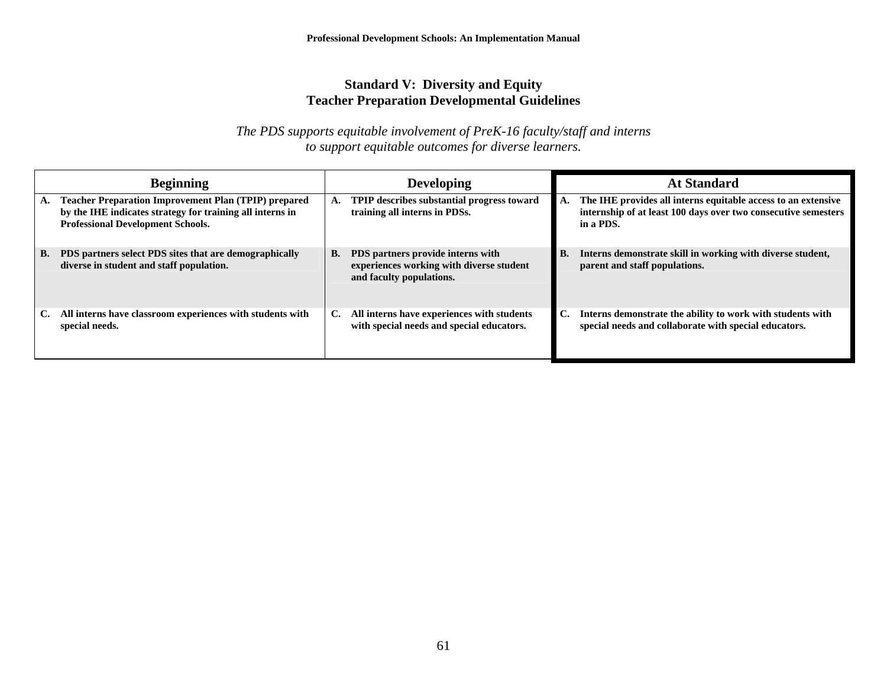### **Standard V: Diversity and Equity Teacher Preparation Developmental Guidelines**

*The PDS supports equitable involvement of PreK-16 faculty/staff and interns to support equitable outcomes for diverse learners.* 

| <b>Beginning</b>                                                                                                                                                           | <b>Developing</b>                                                                                               | <b>At Standard</b>                                                                                                                                 |
|----------------------------------------------------------------------------------------------------------------------------------------------------------------------------|-----------------------------------------------------------------------------------------------------------------|----------------------------------------------------------------------------------------------------------------------------------------------------|
| <b>Teacher Preparation Improvement Plan (TPIP) prepared</b><br>А.<br>by the IHE indicates strategy for training all interns in<br><b>Professional Development Schools.</b> | TPIP describes substantial progress toward<br>А.<br>training all interns in PDSs.                               | The IHE provides all interns equitable access to an extensive<br>А.<br>internship of at least 100 days over two consecutive semesters<br>in a PDS. |
| PDS partners select PDS sites that are demographically<br>В.<br>diverse in student and staff population.                                                                   | PDS partners provide interns with<br>В.<br>experiences working with diverse student<br>and faculty populations. | Interns demonstrate skill in working with diverse student,<br>В.<br>parent and staff populations.                                                  |
| All interns have classroom experiences with students with<br>C.<br>special needs.                                                                                          | All interns have experiences with students<br>C.<br>with special needs and special educators.                   | Interns demonstrate the ability to work with students with<br>C.<br>special needs and collaborate with special educators.                          |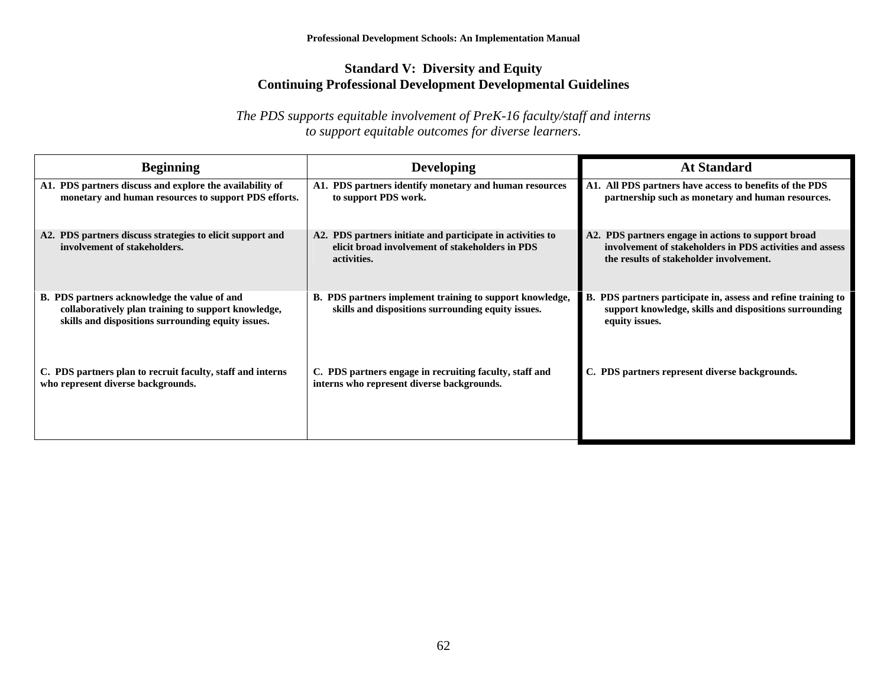## **Standard V: Diversity and Equity Continuing Professional Development Developmental Guidelines**

*The PDS supports equitable involvement of PreK-16 faculty/staff and interns to support equitable outcomes for diverse learners.* 

| <b>Beginning</b>                                                                                                                                          | <b>Developing</b>                                                                                                            | <b>At Standard</b>                                                                                                                                         |  |  |  |  |  |
|-----------------------------------------------------------------------------------------------------------------------------------------------------------|------------------------------------------------------------------------------------------------------------------------------|------------------------------------------------------------------------------------------------------------------------------------------------------------|--|--|--|--|--|
| A1. PDS partners discuss and explore the availability of<br>monetary and human resources to support PDS efforts.                                          | A1. PDS partners identify monetary and human resources<br>to support PDS work.                                               | A1. All PDS partners have access to benefits of the PDS<br>partnership such as monetary and human resources.                                               |  |  |  |  |  |
| A2. PDS partners discuss strategies to elicit support and<br>involvement of stakeholders.                                                                 | A2. PDS partners initiate and participate in activities to<br>elicit broad involvement of stakeholders in PDS<br>activities. | A2. PDS partners engage in actions to support broad<br>involvement of stakeholders in PDS activities and assess<br>the results of stakeholder involvement. |  |  |  |  |  |
| B. PDS partners acknowledge the value of and<br>collaboratively plan training to support knowledge,<br>skills and dispositions surrounding equity issues. | B. PDS partners implement training to support knowledge,<br>skills and dispositions surrounding equity issues.               | B. PDS partners participate in, assess and refine training to<br>support knowledge, skills and dispositions surrounding<br>equity issues.                  |  |  |  |  |  |
| C. PDS partners plan to recruit faculty, staff and interns<br>who represent diverse backgrounds.                                                          | C. PDS partners engage in recruiting faculty, staff and<br>interns who represent diverse backgrounds.                        | C. PDS partners represent diverse backgrounds.                                                                                                             |  |  |  |  |  |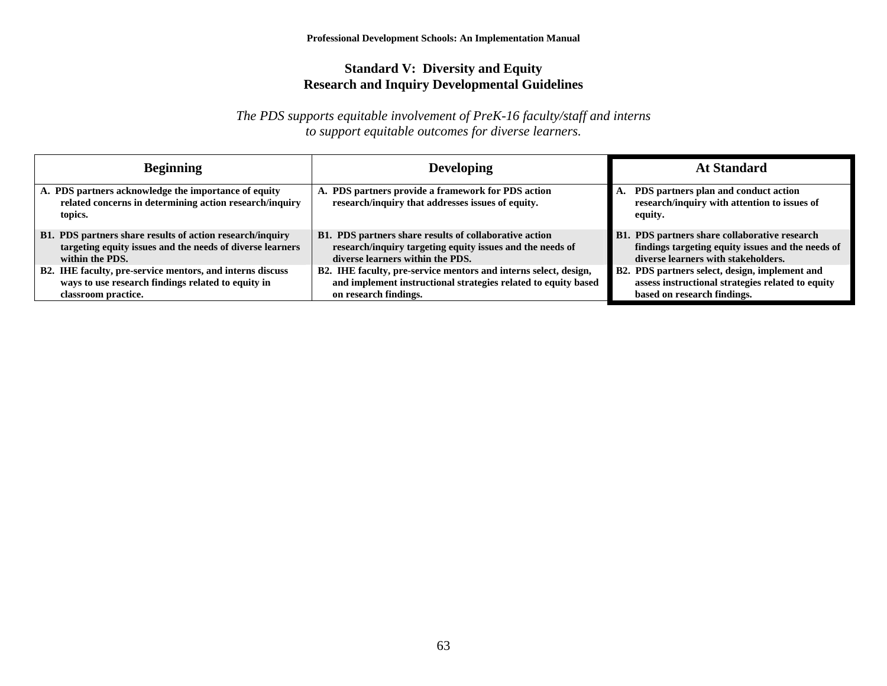## **Standard V: Diversity and Equity Research and Inquiry Developmental Guidelines**

*The PDS supports equitable involvement of PreK-16 faculty/staff and interns to support equitable outcomes for diverse learners.* 

| <b>Beginning</b>                                                                                                           | <b>Developing</b>                                                                                       | <b>At Standard</b>                                                                              |  |  |  |  |
|----------------------------------------------------------------------------------------------------------------------------|---------------------------------------------------------------------------------------------------------|-------------------------------------------------------------------------------------------------|--|--|--|--|
| A. PDS partners acknowledge the importance of equity<br>related concerns in determining action research/inquiry<br>topics. | A. PDS partners provide a framework for PDS action<br>research/inquiry that addresses issues of equity. | PDS partners plan and conduct action<br>research/inquiry with attention to issues of<br>equity. |  |  |  |  |
| B1. PDS partners share results of action research/inquiry                                                                  | B1. PDS partners share results of collaborative action                                                  | B1. PDS partners share collaborative research                                                   |  |  |  |  |
| targeting equity issues and the needs of diverse learners                                                                  | research/inquiry targeting equity issues and the needs of                                               | findings targeting equity issues and the needs of                                               |  |  |  |  |
| within the PDS.                                                                                                            | diverse learners within the PDS.                                                                        | diverse learners with stakeholders.                                                             |  |  |  |  |
| B2. IHE faculty, pre-service mentors, and interns discuss                                                                  | B2. IHE faculty, pre-service mentors and interns select, design,                                        | B2. PDS partners select, design, implement and                                                  |  |  |  |  |
| ways to use research findings related to equity in                                                                         | and implement instructional strategies related to equity based                                          | assess instructional strategies related to equity                                               |  |  |  |  |
| classroom practice.                                                                                                        | on research findings.                                                                                   | based on research findings.                                                                     |  |  |  |  |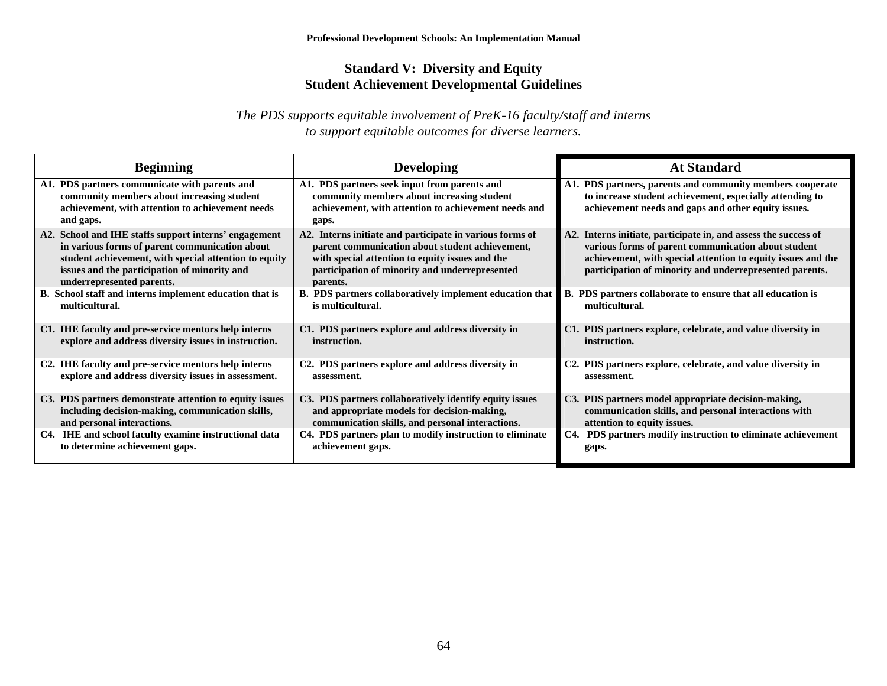## **Standard V: Diversity and Equity Student Achievement Developmental Guidelines**

*The PDS supports equitable involvement of PreK-16 faculty/staff and interns to support equitable outcomes for diverse learners.* 

| <b>Beginning</b>                                                                                                                                                                                                                              | <b>Developing</b>                                                                                                                                                                                                            | <b>At Standard</b>                                                                                                                                                                                                                                |
|-----------------------------------------------------------------------------------------------------------------------------------------------------------------------------------------------------------------------------------------------|------------------------------------------------------------------------------------------------------------------------------------------------------------------------------------------------------------------------------|---------------------------------------------------------------------------------------------------------------------------------------------------------------------------------------------------------------------------------------------------|
| A1. PDS partners communicate with parents and<br>community members about increasing student<br>achievement, with attention to achievement needs<br>and gaps.                                                                                  | A1. PDS partners seek input from parents and<br>community members about increasing student<br>achievement, with attention to achievement needs and<br>gaps.                                                                  | A1. PDS partners, parents and community members cooperate<br>to increase student achievement, especially attending to<br>achievement needs and gaps and other equity issues.                                                                      |
| A2. School and IHE staffs support interns' engagement<br>in various forms of parent communication about<br>student achievement, with special attention to equity<br>issues and the participation of minority and<br>underrepresented parents. | A2. Interns initiate and participate in various forms of<br>parent communication about student achievement,<br>with special attention to equity issues and the<br>participation of minority and underrepresented<br>parents. | A2. Interns initiate, participate in, and assess the success of<br>various forms of parent communication about student<br>achievement, with special attention to equity issues and the<br>participation of minority and underrepresented parents. |
| B. School staff and interns implement education that is                                                                                                                                                                                       | B. PDS partners collaboratively implement education that                                                                                                                                                                     | B. PDS partners collaborate to ensure that all education is                                                                                                                                                                                       |
| multicultural.                                                                                                                                                                                                                                | is multicultural.                                                                                                                                                                                                            | multicultural.                                                                                                                                                                                                                                    |
| C1. IHE faculty and pre-service mentors help interns                                                                                                                                                                                          | C1. PDS partners explore and address diversity in                                                                                                                                                                            | C1. PDS partners explore, celebrate, and value diversity in                                                                                                                                                                                       |
| explore and address diversity issues in instruction.                                                                                                                                                                                          | instruction.                                                                                                                                                                                                                 | instruction.                                                                                                                                                                                                                                      |
| C2. IHE faculty and pre-service mentors help interns                                                                                                                                                                                          | C2. PDS partners explore and address diversity in                                                                                                                                                                            | C2. PDS partners explore, celebrate, and value diversity in                                                                                                                                                                                       |
| explore and address diversity issues in assessment.                                                                                                                                                                                           | assessment.                                                                                                                                                                                                                  | assessment.                                                                                                                                                                                                                                       |
| C3. PDS partners demonstrate attention to equity issues                                                                                                                                                                                       | C3. PDS partners collaboratively identify equity issues                                                                                                                                                                      | C3. PDS partners model appropriate decision-making,                                                                                                                                                                                               |
| including decision-making, communication skills,                                                                                                                                                                                              | and appropriate models for decision-making,                                                                                                                                                                                  | communication skills, and personal interactions with                                                                                                                                                                                              |
| and personal interactions.                                                                                                                                                                                                                    | communication skills, and personal interactions.                                                                                                                                                                             | attention to equity issues.                                                                                                                                                                                                                       |
| C4. IHE and school faculty examine instructional data                                                                                                                                                                                         | C4. PDS partners plan to modify instruction to eliminate                                                                                                                                                                     | C4. PDS partners modify instruction to eliminate achievement                                                                                                                                                                                      |
| to determine achievement gaps.                                                                                                                                                                                                                | achievement gaps.                                                                                                                                                                                                            | gaps.                                                                                                                                                                                                                                             |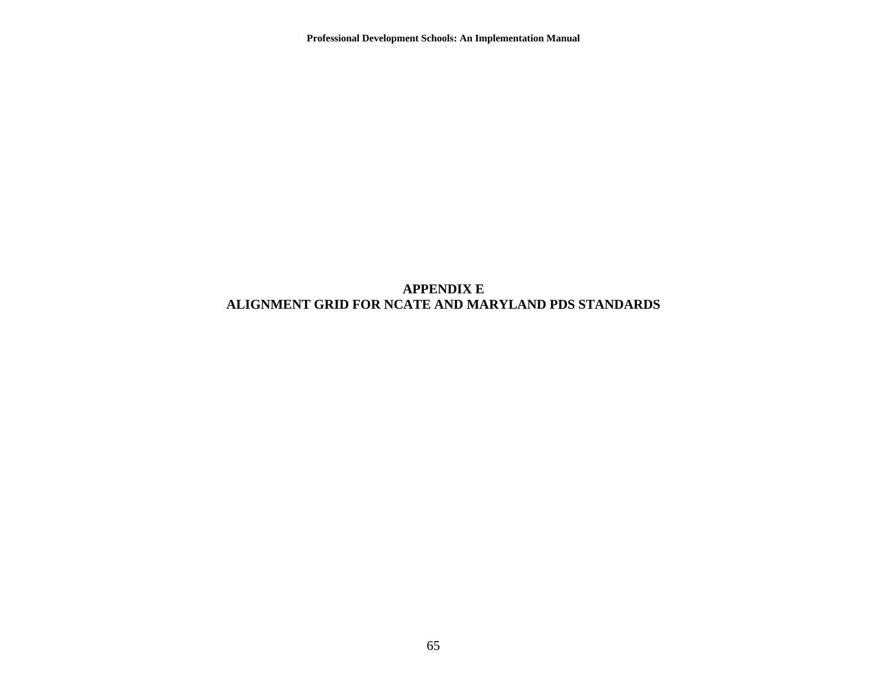**Professional Development Schools: An Implementation Manual** 

#### **APPENDIX E ALIGNMENT GRID FOR NCATE AND MARYLAND PDS STANDARDS**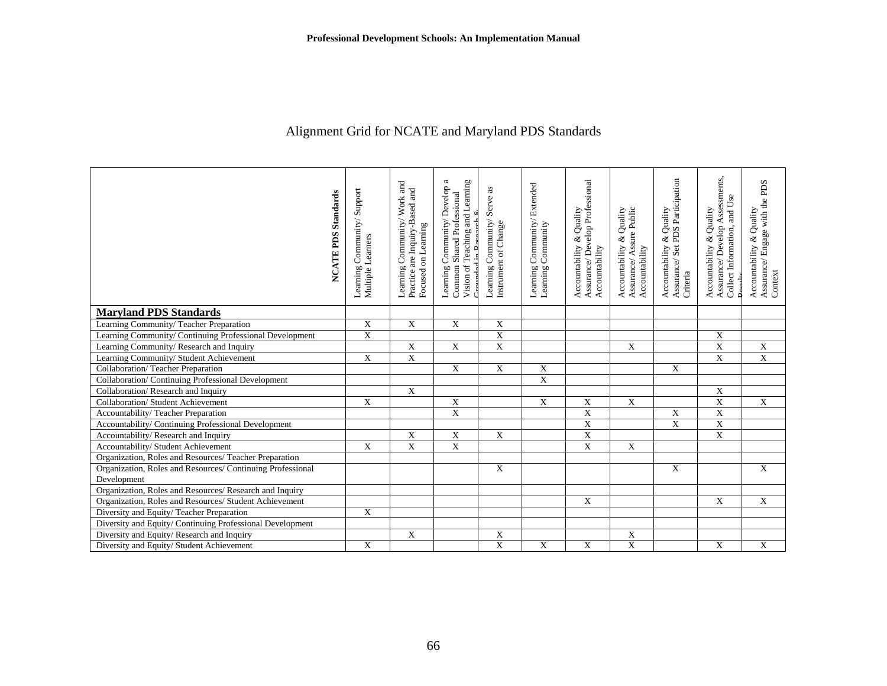# Alignment Grid for NCATE and Maryland PDS Standards

| <b>NCATE PDS Standards</b>                                 | Support<br>Community/<br>Multiple Learners<br>Learning | Learning Community/ Work and<br>Practice are Inquiry-Based and<br>Focused on Learning | Vision of Teaching and Learning<br>Learning Community/ Develop a<br>Shared Professional<br>Common! | Serve as<br>Learning Community<br>Instrument of Change | Learning Community/Extended<br>Learning Community | Assurance/Develop Professional<br>Accountability & Quality<br>Accountability | Assurance/ Assure Public<br>Accountability & Quality<br>Accountability | Assurance/Set PDS Participation<br>Accountability & Quality<br>Criteria | Assurance/Develop Assessments,<br>Collect Information, and Use<br>Accountability & Quality | Assurance/ Engage with the PDS<br>Accountability & Quality<br>Context |
|------------------------------------------------------------|--------------------------------------------------------|---------------------------------------------------------------------------------------|----------------------------------------------------------------------------------------------------|--------------------------------------------------------|---------------------------------------------------|------------------------------------------------------------------------------|------------------------------------------------------------------------|-------------------------------------------------------------------------|--------------------------------------------------------------------------------------------|-----------------------------------------------------------------------|
| <b>Maryland PDS Standards</b>                              |                                                        |                                                                                       |                                                                                                    |                                                        |                                                   |                                                                              |                                                                        |                                                                         |                                                                                            |                                                                       |
| Learning Community/Teacher Preparation                     | $\mathbf X$                                            | $\mathbf X$                                                                           | X                                                                                                  | X                                                      |                                                   |                                                                              |                                                                        |                                                                         |                                                                                            |                                                                       |
| Learning Community/ Continuing Professional Development    | $\overline{X}$                                         |                                                                                       |                                                                                                    | $\overline{\mathrm{X}}$                                |                                                   |                                                                              |                                                                        |                                                                         | $\mathbf X$                                                                                |                                                                       |
| Learning Community/Research and Inquiry                    |                                                        | $\mathbf X$                                                                           | X                                                                                                  | $\overline{\textbf{X}}$                                |                                                   |                                                                              | $\mathbf X$                                                            |                                                                         | $\mathbf X$                                                                                | $\overline{X}$                                                        |
| Learning Community/ Student Achievement                    | $\mathbf X$                                            | $\overline{\textbf{X}}$                                                               |                                                                                                    |                                                        |                                                   |                                                                              |                                                                        |                                                                         | $\overline{\text{X}}$                                                                      | $\overline{X}$                                                        |
| Collaboration/Teacher Preparation                          |                                                        |                                                                                       | $\mathbf X$                                                                                        | $\mathbf X$                                            | $\mathbf X$                                       |                                                                              |                                                                        | $\mathbf X$                                                             |                                                                                            |                                                                       |
| Collaboration/ Continuing Professional Development         |                                                        |                                                                                       |                                                                                                    |                                                        | $\overline{\textbf{X}}$                           |                                                                              |                                                                        |                                                                         |                                                                                            |                                                                       |
| Collaboration/Research and Inquiry                         |                                                        | $\overline{X}$                                                                        |                                                                                                    |                                                        |                                                   |                                                                              |                                                                        |                                                                         | $\mathbf X$                                                                                |                                                                       |
| Collaboration/ Student Achievement                         | $\mathbf X$                                            |                                                                                       | $\mathbf X$                                                                                        |                                                        | $\mathbf X$                                       | X                                                                            | $\mathbf X$                                                            |                                                                         | $\overline{X}$                                                                             | X                                                                     |
| Accountability/Teacher Preparation                         |                                                        |                                                                                       | $\overline{X}$                                                                                     |                                                        |                                                   | $\overline{X}$                                                               |                                                                        | $\mathbf X$                                                             | $\overline{\text{X}}$                                                                      |                                                                       |
| Accountability/ Continuing Professional Development        |                                                        |                                                                                       |                                                                                                    |                                                        |                                                   | $\overline{X}$                                                               |                                                                        | $\overline{X}$                                                          | $\overline{\mathbf{X}}$                                                                    |                                                                       |
| Accountability/Research and Inquiry                        |                                                        | $\mathbf X$                                                                           | X                                                                                                  | X                                                      |                                                   | $\mathbf X$                                                                  |                                                                        |                                                                         | $\mathbf X$                                                                                |                                                                       |
| Accountability/ Student Achievement                        | X                                                      | $\overline{\text{X}}$                                                                 | X                                                                                                  |                                                        |                                                   | X                                                                            | $\mathbf X$                                                            |                                                                         |                                                                                            |                                                                       |
| Organization, Roles and Resources/ Teacher Preparation     |                                                        |                                                                                       |                                                                                                    |                                                        |                                                   |                                                                              |                                                                        |                                                                         |                                                                                            |                                                                       |
| Organization, Roles and Resources/ Continuing Professional |                                                        |                                                                                       |                                                                                                    | X                                                      |                                                   |                                                                              |                                                                        | $\mathbf X$                                                             |                                                                                            | X                                                                     |
| Development                                                |                                                        |                                                                                       |                                                                                                    |                                                        |                                                   |                                                                              |                                                                        |                                                                         |                                                                                            |                                                                       |
| Organization, Roles and Resources/Research and Inquiry     |                                                        |                                                                                       |                                                                                                    |                                                        |                                                   |                                                                              |                                                                        |                                                                         |                                                                                            |                                                                       |
| Organization, Roles and Resources/ Student Achievement     |                                                        |                                                                                       |                                                                                                    |                                                        |                                                   | $\mathbf X$                                                                  |                                                                        |                                                                         | $\mathbf X$                                                                                | $\mathbf X$                                                           |
| Diversity and Equity/Teacher Preparation                   | X                                                      |                                                                                       |                                                                                                    |                                                        |                                                   |                                                                              |                                                                        |                                                                         |                                                                                            |                                                                       |
| Diversity and Equity/ Continuing Professional Development  |                                                        |                                                                                       |                                                                                                    |                                                        |                                                   |                                                                              |                                                                        |                                                                         |                                                                                            |                                                                       |
| Diversity and Equity/Research and Inquiry                  |                                                        | X                                                                                     |                                                                                                    | X                                                      |                                                   |                                                                              | X                                                                      |                                                                         |                                                                                            |                                                                       |
| Diversity and Equity/Student Achievement                   | X                                                      |                                                                                       |                                                                                                    | X                                                      | $\mathbf X$                                       | X                                                                            | $\mathbf X$                                                            |                                                                         | X                                                                                          | X                                                                     |